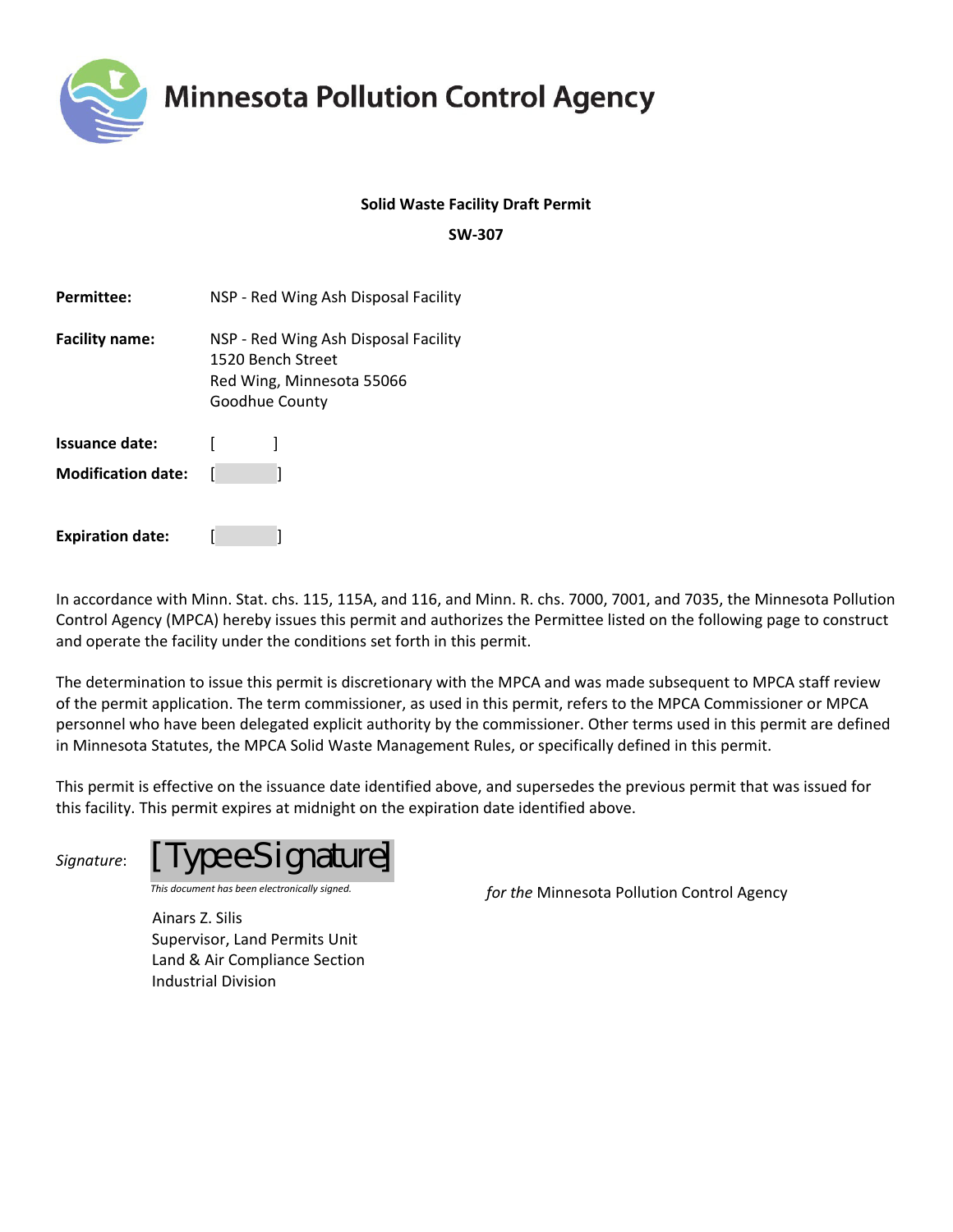

### **Solid Waste Facility Draft Permit**

**SW‐307**

| <b>Permittee:</b>         | NSP - Red Wing Ash Disposal Facility                                                                     |
|---------------------------|----------------------------------------------------------------------------------------------------------|
| <b>Facility name:</b>     | NSP - Red Wing Ash Disposal Facility<br>1520 Bench Street<br>Red Wing, Minnesota 55066<br>Goodhue County |
| Issuance date:            |                                                                                                          |
| <b>Modification date:</b> |                                                                                                          |
| <b>Expiration date:</b>   |                                                                                                          |

In accordance with Minn. Stat. chs. 115, 115A, and 116, and Minn. R. chs. 7000, 7001, and 7035, the Minnesota Pollution Control Agency (MPCA) hereby issues this permit and authorizes the Permittee listed on the following page to construct and operate the facility under the conditions set forth in this permit.

The determination to issue this permit is discretionary with the MPCA and was made subsequent to MPCA staff review of the permit application. The term commissioner, as used in this permit, refers to the MPCA Commissioner or MPCA personnel who have been delegated explicit authority by the commissioner. Other terms used in this permit are defined in Minnesota Statutes, the MPCA Solid Waste Management Rules, or specifically defined in this permit.

This permit is effective on the issuance date identified above, and supersedes the previous permit that was issued for this facility. This permit expires at midnight on the expiration date identified above.

*Signature*: *[Type e-Signature]* 

*This document has been electronically signed. for the* Minnesota Pollution Control Agency

Ainars Z. Silis Supervisor, Land Permits Unit Land & Air Compliance Section Industrial Division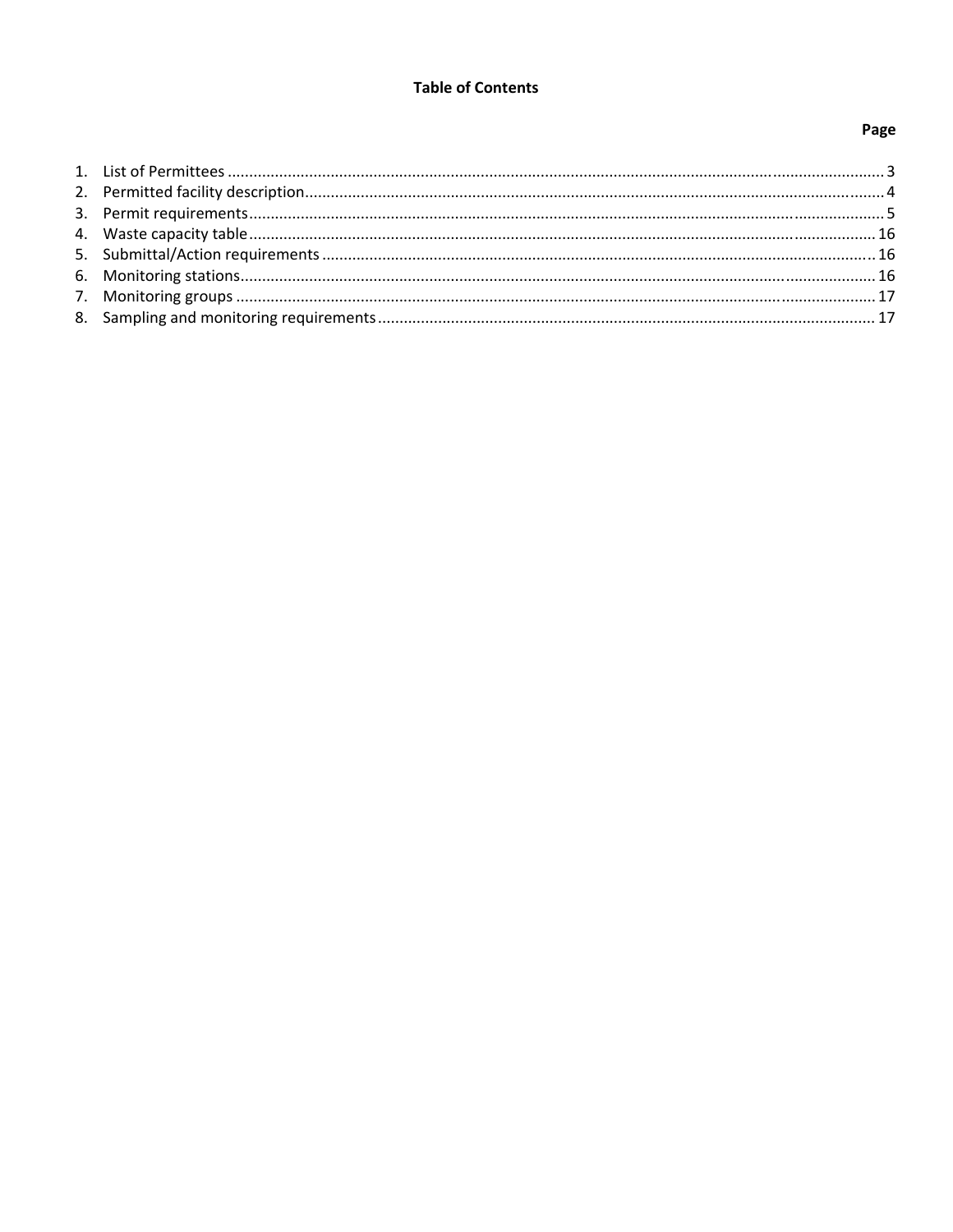### **Table of Contents**

# Page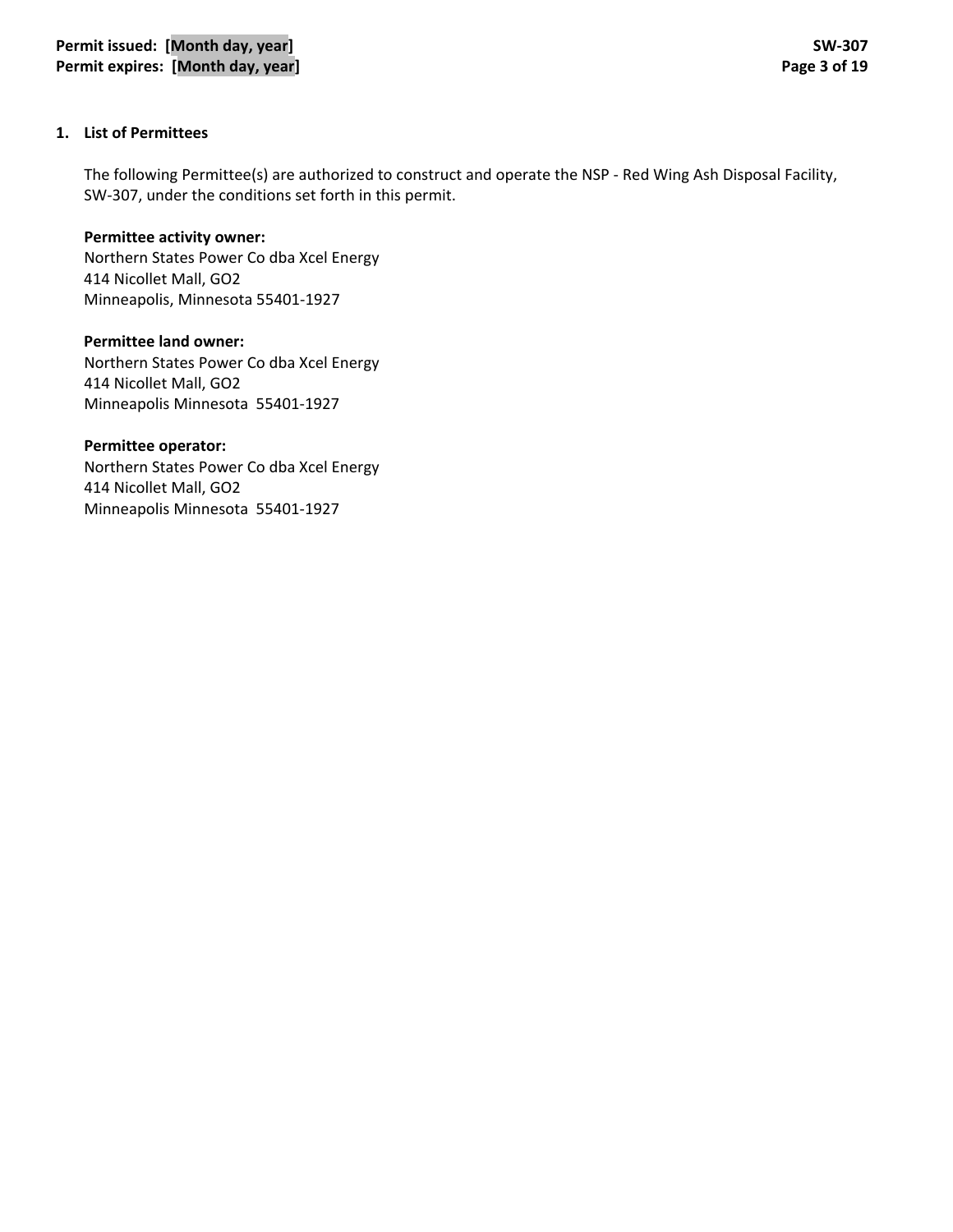### **1. List of Permittees**

The following Permittee(s) are authorized to construct and operate the NSP ‐ Red Wing Ash Disposal Facility, SW‐307, under the conditions set forth in this permit.

**Permittee activity owner:** Northern States Power Co dba Xcel Energy 414 Nicollet Mall, GO2 Minneapolis, Minnesota 55401‐1927

**Permittee land owner:** Northern States Power Co dba Xcel Energy 414 Nicollet Mall, GO2 Minneapolis Minnesota 55401‐1927

**Permittee operator:**

Northern States Power Co dba Xcel Energy 414 Nicollet Mall, GO2 Minneapolis Minnesota 55401‐1927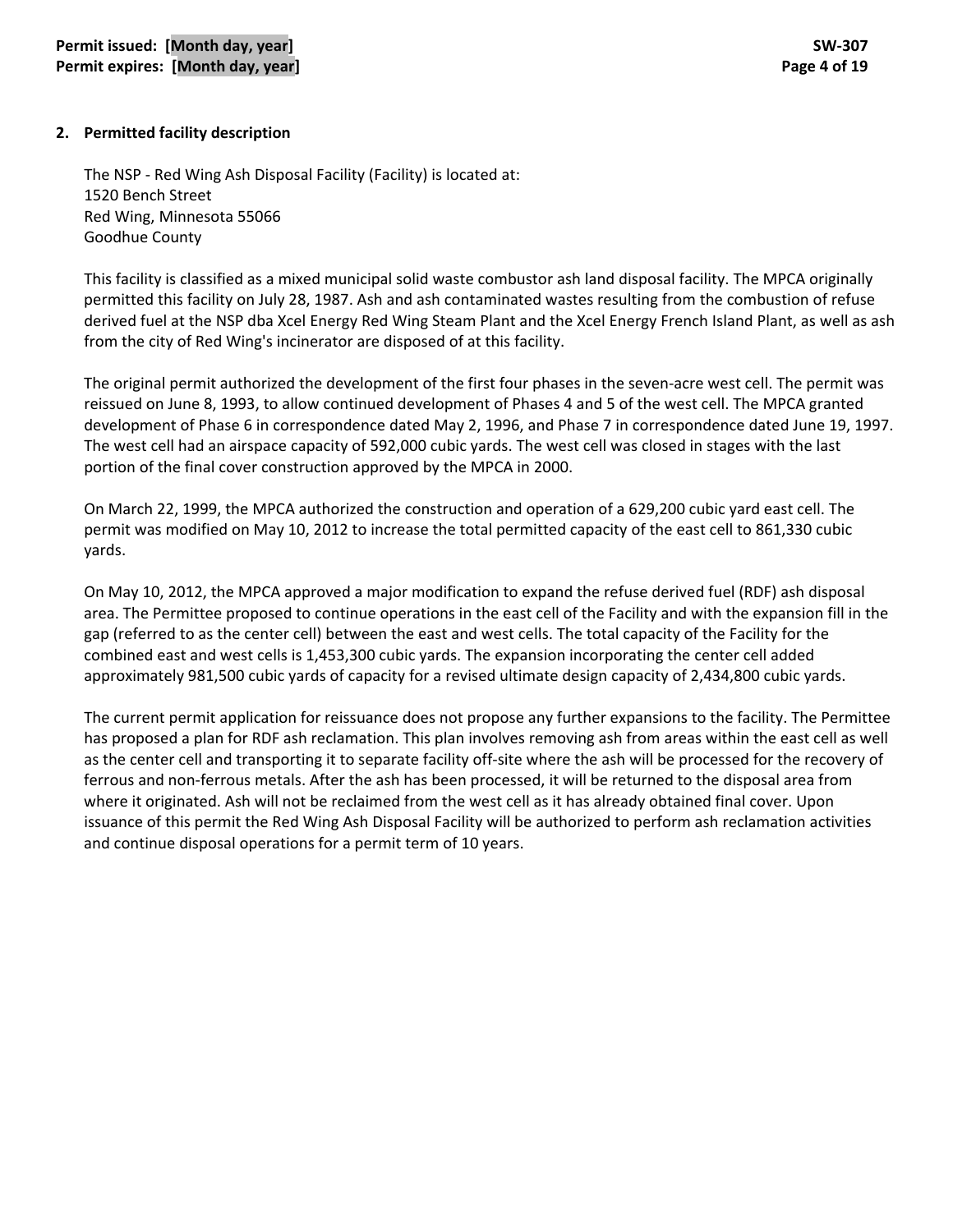### **2. Permitted facility description**

The NSP ‐ Red Wing Ash Disposal Facility (Facility) is located at: 1520 Bench Street Red Wing, Minnesota 55066 Goodhue County

This facility is classified as a mixed municipal solid waste combustor ash land disposal facility. The MPCA originally permitted this facility on July 28, 1987. Ash and ash contaminated wastes resulting from the combustion of refuse derived fuel at the NSP dba Xcel Energy Red Wing Steam Plant and the Xcel Energy French Island Plant, as well as ash from the city of Red Wing's incinerator are disposed of at this facility.

The original permit authorized the development of the first four phases in the seven-acre west cell. The permit was reissued on June 8, 1993, to allow continued development of Phases 4 and 5 of the west cell. The MPCA granted development of Phase 6 in correspondence dated May 2, 1996, and Phase 7 in correspondence dated June 19, 1997. The west cell had an airspace capacity of 592,000 cubic yards. The west cell was closed in stages with the last portion of the final cover construction approved by the MPCA in 2000.

On March 22, 1999, the MPCA authorized the construction and operation of a 629,200 cubic yard east cell. The permit was modified on May 10, 2012 to increase the total permitted capacity of the east cell to 861,330 cubic yards.

On May 10, 2012, the MPCA approved a major modification to expand the refuse derived fuel (RDF) ash disposal area. The Permittee proposed to continue operations in the east cell of the Facility and with the expansion fill in the gap (referred to as the center cell) between the east and west cells. The total capacity of the Facility for the combined east and west cells is 1,453,300 cubic yards. The expansion incorporating the center cell added approximately 981,500 cubic yards of capacity for a revised ultimate design capacity of 2,434,800 cubic yards.

The current permit application for reissuance does not propose any further expansions to the facility. The Permittee has proposed a plan for RDF ash reclamation. This plan involves removing ash from areas within the east cell as well as the center cell and transporting it to separate facility off‐site where the ash will be processed for the recovery of ferrous and non‐ferrous metals. After the ash has been processed, it will be returned to the disposal area from where it originated. Ash will not be reclaimed from the west cell as it has already obtained final cover. Upon issuance of this permit the Red Wing Ash Disposal Facility will be authorized to perform ash reclamation activities and continue disposal operations for a permit term of 10 years.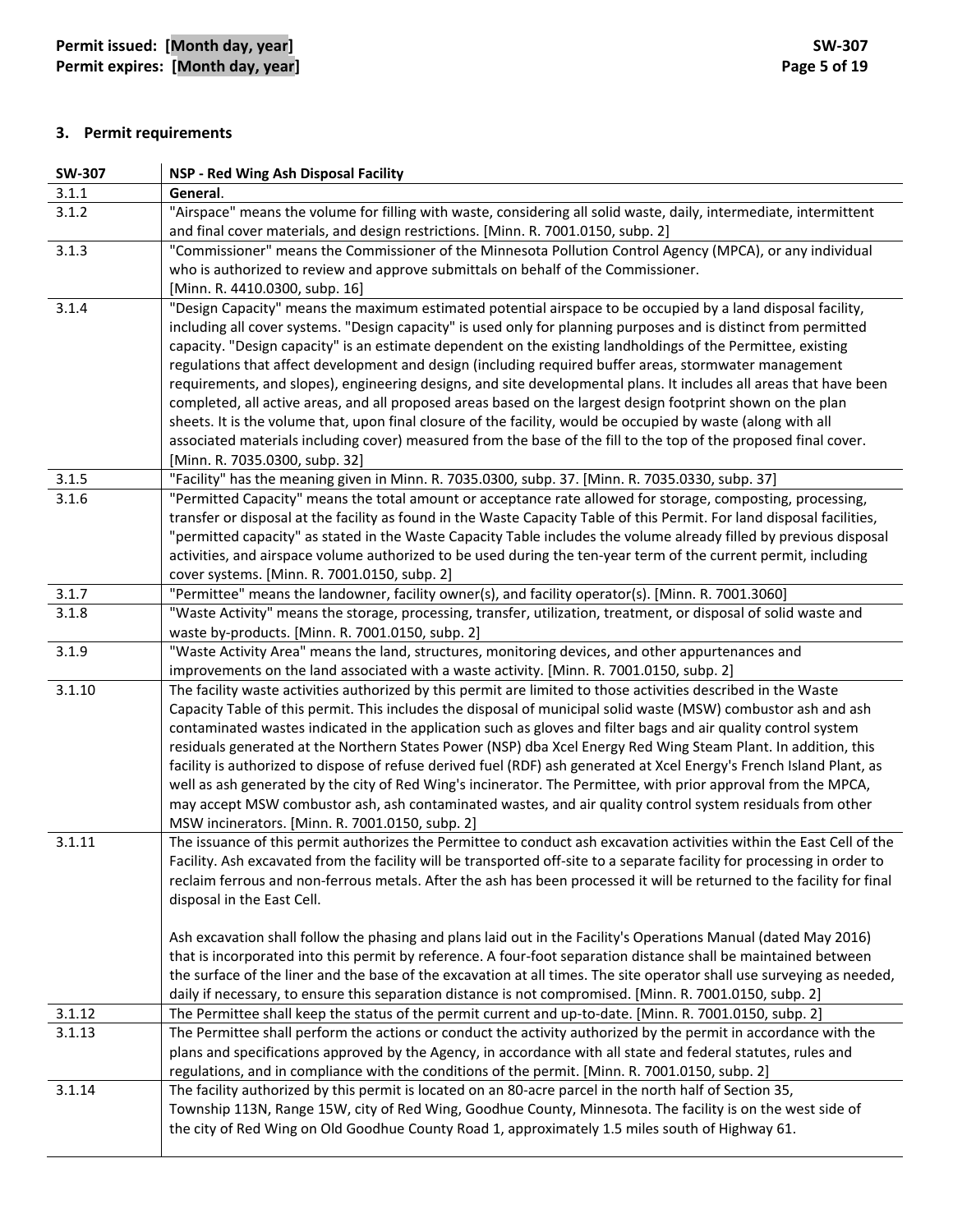# **3. Permit requirements**

| <b>SW-307</b> | NSP - Red Wing Ash Disposal Facility                                                                                                                                                                                                                                                                                                                                                                                                                                                                                                                                                                                                                                                                                                                                                                                                                                                                                                                                   |
|---------------|------------------------------------------------------------------------------------------------------------------------------------------------------------------------------------------------------------------------------------------------------------------------------------------------------------------------------------------------------------------------------------------------------------------------------------------------------------------------------------------------------------------------------------------------------------------------------------------------------------------------------------------------------------------------------------------------------------------------------------------------------------------------------------------------------------------------------------------------------------------------------------------------------------------------------------------------------------------------|
| 3.1.1         | General.                                                                                                                                                                                                                                                                                                                                                                                                                                                                                                                                                                                                                                                                                                                                                                                                                                                                                                                                                               |
| 3.1.2         | "Airspace" means the volume for filling with waste, considering all solid waste, daily, intermediate, intermittent<br>and final cover materials, and design restrictions. [Minn. R. 7001.0150, subp. 2]                                                                                                                                                                                                                                                                                                                                                                                                                                                                                                                                                                                                                                                                                                                                                                |
| 3.1.3         | "Commissioner" means the Commissioner of the Minnesota Pollution Control Agency (MPCA), or any individual<br>who is authorized to review and approve submittals on behalf of the Commissioner.<br>[Minn. R. 4410.0300, subp. 16]                                                                                                                                                                                                                                                                                                                                                                                                                                                                                                                                                                                                                                                                                                                                       |
| 3.1.4         | "Design Capacity" means the maximum estimated potential airspace to be occupied by a land disposal facility,<br>including all cover systems. "Design capacity" is used only for planning purposes and is distinct from permitted<br>capacity. "Design capacity" is an estimate dependent on the existing landholdings of the Permittee, existing<br>regulations that affect development and design (including required buffer areas, stormwater management<br>requirements, and slopes), engineering designs, and site developmental plans. It includes all areas that have been<br>completed, all active areas, and all proposed areas based on the largest design footprint shown on the plan<br>sheets. It is the volume that, upon final closure of the facility, would be occupied by waste (along with all<br>associated materials including cover) measured from the base of the fill to the top of the proposed final cover.<br>[Minn. R. 7035.0300, subp. 32] |
| 3.1.5         | "Facility" has the meaning given in Minn. R. 7035.0300, subp. 37. [Minn. R. 7035.0330, subp. 37]                                                                                                                                                                                                                                                                                                                                                                                                                                                                                                                                                                                                                                                                                                                                                                                                                                                                       |
| 3.1.6         | "Permitted Capacity" means the total amount or acceptance rate allowed for storage, composting, processing,<br>transfer or disposal at the facility as found in the Waste Capacity Table of this Permit. For land disposal facilities,<br>"permitted capacity" as stated in the Waste Capacity Table includes the volume already filled by previous disposal<br>activities, and airspace volume authorized to be used during the ten-year term of the current permit, including<br>cover systems. [Minn. R. 7001.0150, subp. 2]                                                                                                                                                                                                                                                                                                                                                                                                                                        |
| 3.1.7         | "Permittee" means the landowner, facility owner(s), and facility operator(s). [Minn. R. 7001.3060]                                                                                                                                                                                                                                                                                                                                                                                                                                                                                                                                                                                                                                                                                                                                                                                                                                                                     |
| 3.1.8         | "Waste Activity" means the storage, processing, transfer, utilization, treatment, or disposal of solid waste and<br>waste by-products. [Minn. R. 7001.0150, subp. 2]                                                                                                                                                                                                                                                                                                                                                                                                                                                                                                                                                                                                                                                                                                                                                                                                   |
| 3.1.9         | "Waste Activity Area" means the land, structures, monitoring devices, and other appurtenances and<br>improvements on the land associated with a waste activity. [Minn. R. 7001.0150, subp. 2]                                                                                                                                                                                                                                                                                                                                                                                                                                                                                                                                                                                                                                                                                                                                                                          |
| 3.1.10        | The facility waste activities authorized by this permit are limited to those activities described in the Waste<br>Capacity Table of this permit. This includes the disposal of municipal solid waste (MSW) combustor ash and ash<br>contaminated wastes indicated in the application such as gloves and filter bags and air quality control system<br>residuals generated at the Northern States Power (NSP) dba Xcel Energy Red Wing Steam Plant. In addition, this<br>facility is authorized to dispose of refuse derived fuel (RDF) ash generated at Xcel Energy's French Island Plant, as<br>well as ash generated by the city of Red Wing's incinerator. The Permittee, with prior approval from the MPCA,<br>may accept MSW combustor ash, ash contaminated wastes, and air quality control system residuals from other<br>MSW incinerators. [Minn. R. 7001.0150, subp. 2]                                                                                       |
| 3.1.11        | The issuance of this permit authorizes the Permittee to conduct ash excavation activities within the East Cell of the<br>Facility. Ash excavated from the facility will be transported off-site to a separate facility for processing in order to<br>reclaim ferrous and non-ferrous metals. After the ash has been processed it will be returned to the facility for final<br>disposal in the East Cell.<br>Ash excavation shall follow the phasing and plans laid out in the Facility's Operations Manual (dated May 2016)<br>that is incorporated into this permit by reference. A four-foot separation distance shall be maintained between<br>the surface of the liner and the base of the excavation at all times. The site operator shall use surveying as needed,                                                                                                                                                                                              |
| 3.1.12        | daily if necessary, to ensure this separation distance is not compromised. [Minn. R. 7001.0150, subp. 2]<br>The Permittee shall keep the status of the permit current and up-to-date. [Minn. R. 7001.0150, subp. 2]                                                                                                                                                                                                                                                                                                                                                                                                                                                                                                                                                                                                                                                                                                                                                    |
| 3.1.13        | The Permittee shall perform the actions or conduct the activity authorized by the permit in accordance with the<br>plans and specifications approved by the Agency, in accordance with all state and federal statutes, rules and<br>regulations, and in compliance with the conditions of the permit. [Minn. R. 7001.0150, subp. 2]                                                                                                                                                                                                                                                                                                                                                                                                                                                                                                                                                                                                                                    |
| 3.1.14        | The facility authorized by this permit is located on an 80-acre parcel in the north half of Section 35,<br>Township 113N, Range 15W, city of Red Wing, Goodhue County, Minnesota. The facility is on the west side of<br>the city of Red Wing on Old Goodhue County Road 1, approximately 1.5 miles south of Highway 61.                                                                                                                                                                                                                                                                                                                                                                                                                                                                                                                                                                                                                                               |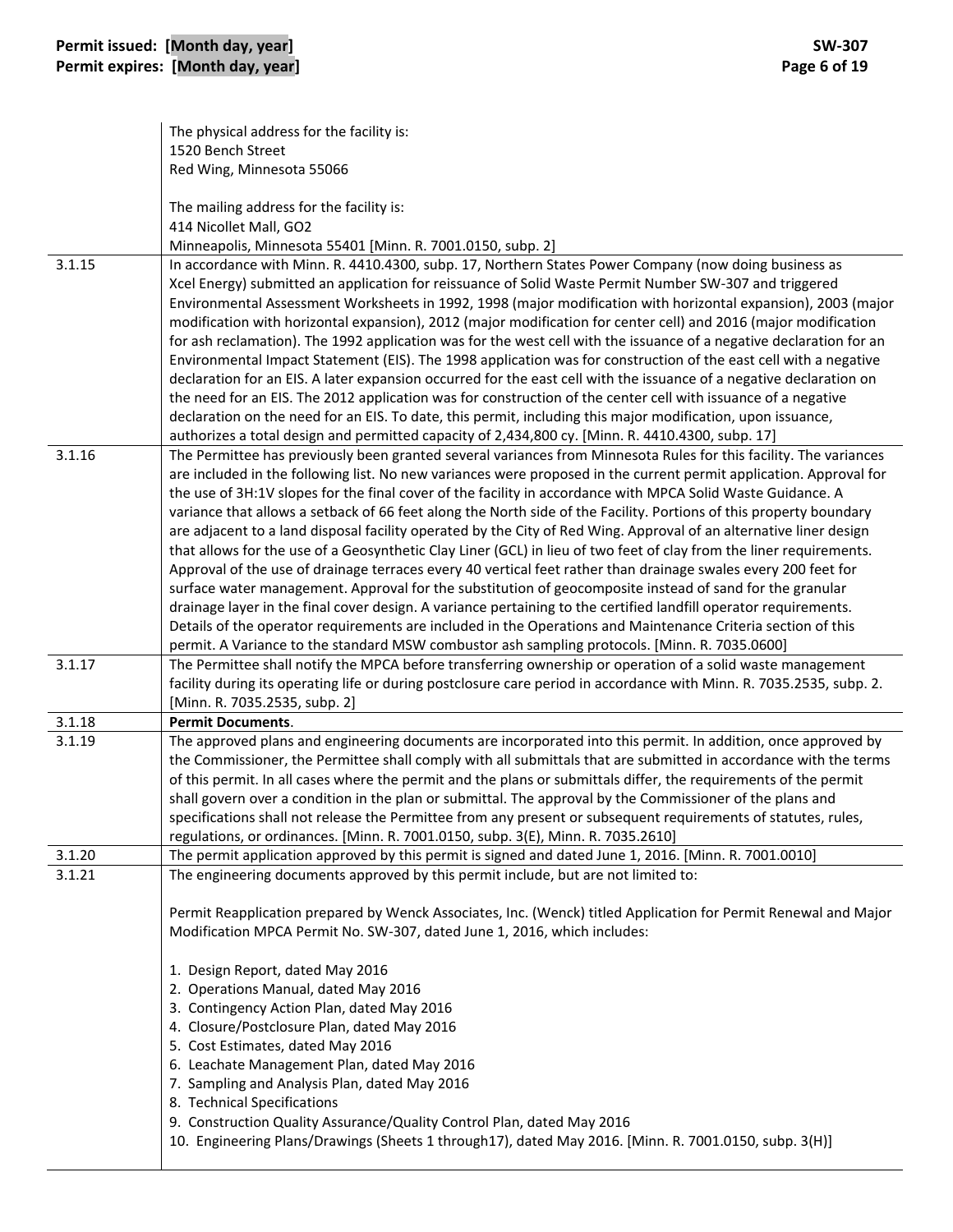|        | The physical address for the facility is:                                                                                                                                                                                                                                                                                                                                                                                                                                                                                                                                                                                                                                                                                                                                                                                                                                                                                                                                                                                                                                                                                                                                                                                                                                                    |
|--------|----------------------------------------------------------------------------------------------------------------------------------------------------------------------------------------------------------------------------------------------------------------------------------------------------------------------------------------------------------------------------------------------------------------------------------------------------------------------------------------------------------------------------------------------------------------------------------------------------------------------------------------------------------------------------------------------------------------------------------------------------------------------------------------------------------------------------------------------------------------------------------------------------------------------------------------------------------------------------------------------------------------------------------------------------------------------------------------------------------------------------------------------------------------------------------------------------------------------------------------------------------------------------------------------|
|        | 1520 Bench Street                                                                                                                                                                                                                                                                                                                                                                                                                                                                                                                                                                                                                                                                                                                                                                                                                                                                                                                                                                                                                                                                                                                                                                                                                                                                            |
|        | Red Wing, Minnesota 55066                                                                                                                                                                                                                                                                                                                                                                                                                                                                                                                                                                                                                                                                                                                                                                                                                                                                                                                                                                                                                                                                                                                                                                                                                                                                    |
|        | The mailing address for the facility is:<br>414 Nicollet Mall, GO2                                                                                                                                                                                                                                                                                                                                                                                                                                                                                                                                                                                                                                                                                                                                                                                                                                                                                                                                                                                                                                                                                                                                                                                                                           |
| 3.1.15 | Minneapolis, Minnesota 55401 [Minn. R. 7001.0150, subp. 2]<br>In accordance with Minn. R. 4410.4300, subp. 17, Northern States Power Company (now doing business as                                                                                                                                                                                                                                                                                                                                                                                                                                                                                                                                                                                                                                                                                                                                                                                                                                                                                                                                                                                                                                                                                                                          |
|        | Xcel Energy) submitted an application for reissuance of Solid Waste Permit Number SW-307 and triggered<br>Environmental Assessment Worksheets in 1992, 1998 (major modification with horizontal expansion), 2003 (major<br>modification with horizontal expansion), 2012 (major modification for center cell) and 2016 (major modification<br>for ash reclamation). The 1992 application was for the west cell with the issuance of a negative declaration for an<br>Environmental Impact Statement (EIS). The 1998 application was for construction of the east cell with a negative<br>declaration for an EIS. A later expansion occurred for the east cell with the issuance of a negative declaration on<br>the need for an EIS. The 2012 application was for construction of the center cell with issuance of a negative<br>declaration on the need for an EIS. To date, this permit, including this major modification, upon issuance,<br>authorizes a total design and permitted capacity of 2,434,800 cy. [Minn. R. 4410.4300, subp. 17]                                                                                                                                                                                                                                             |
| 3.1.16 | The Permittee has previously been granted several variances from Minnesota Rules for this facility. The variances<br>are included in the following list. No new variances were proposed in the current permit application. Approval for<br>the use of 3H:1V slopes for the final cover of the facility in accordance with MPCA Solid Waste Guidance. A<br>variance that allows a setback of 66 feet along the North side of the Facility. Portions of this property boundary<br>are adjacent to a land disposal facility operated by the City of Red Wing. Approval of an alternative liner design<br>that allows for the use of a Geosynthetic Clay Liner (GCL) in lieu of two feet of clay from the liner requirements.<br>Approval of the use of drainage terraces every 40 vertical feet rather than drainage swales every 200 feet for<br>surface water management. Approval for the substitution of geocomposite instead of sand for the granular<br>drainage layer in the final cover design. A variance pertaining to the certified landfill operator requirements.<br>Details of the operator requirements are included in the Operations and Maintenance Criteria section of this<br>permit. A Variance to the standard MSW combustor ash sampling protocols. [Minn. R. 7035.0600] |
| 3.1.17 | The Permittee shall notify the MPCA before transferring ownership or operation of a solid waste management<br>facility during its operating life or during postclosure care period in accordance with Minn. R. 7035.2535, subp. 2.<br>[Minn. R. 7035.2535, subp. 2]                                                                                                                                                                                                                                                                                                                                                                                                                                                                                                                                                                                                                                                                                                                                                                                                                                                                                                                                                                                                                          |
| 3.1.18 | <b>Permit Documents.</b>                                                                                                                                                                                                                                                                                                                                                                                                                                                                                                                                                                                                                                                                                                                                                                                                                                                                                                                                                                                                                                                                                                                                                                                                                                                                     |
| 3.1.19 | The approved plans and engineering documents are incorporated into this permit. In addition, once approved by<br>the Commissioner, the Permittee shall comply with all submittals that are submitted in accordance with the terms<br>of this permit. In all cases where the permit and the plans or submittals differ, the requirements of the permit<br>shall govern over a condition in the plan or submittal. The approval by the Commissioner of the plans and<br>specifications shall not release the Permittee from any present or subsequent requirements of statutes, rules,<br>regulations, or ordinances. [Minn. R. 7001.0150, subp. 3(E), Minn. R. 7035.2610]                                                                                                                                                                                                                                                                                                                                                                                                                                                                                                                                                                                                                     |
| 3.1.20 | The permit application approved by this permit is signed and dated June 1, 2016. [Minn. R. 7001.0010]                                                                                                                                                                                                                                                                                                                                                                                                                                                                                                                                                                                                                                                                                                                                                                                                                                                                                                                                                                                                                                                                                                                                                                                        |
| 3.1.21 | The engineering documents approved by this permit include, but are not limited to:<br>Permit Reapplication prepared by Wenck Associates, Inc. (Wenck) titled Application for Permit Renewal and Major                                                                                                                                                                                                                                                                                                                                                                                                                                                                                                                                                                                                                                                                                                                                                                                                                                                                                                                                                                                                                                                                                        |
|        | Modification MPCA Permit No. SW-307, dated June 1, 2016, which includes:<br>1. Design Report, dated May 2016                                                                                                                                                                                                                                                                                                                                                                                                                                                                                                                                                                                                                                                                                                                                                                                                                                                                                                                                                                                                                                                                                                                                                                                 |
|        | 2. Operations Manual, dated May 2016                                                                                                                                                                                                                                                                                                                                                                                                                                                                                                                                                                                                                                                                                                                                                                                                                                                                                                                                                                                                                                                                                                                                                                                                                                                         |
|        | 3. Contingency Action Plan, dated May 2016                                                                                                                                                                                                                                                                                                                                                                                                                                                                                                                                                                                                                                                                                                                                                                                                                                                                                                                                                                                                                                                                                                                                                                                                                                                   |
|        | 4. Closure/Postclosure Plan, dated May 2016<br>5. Cost Estimates, dated May 2016                                                                                                                                                                                                                                                                                                                                                                                                                                                                                                                                                                                                                                                                                                                                                                                                                                                                                                                                                                                                                                                                                                                                                                                                             |
|        | 6. Leachate Management Plan, dated May 2016                                                                                                                                                                                                                                                                                                                                                                                                                                                                                                                                                                                                                                                                                                                                                                                                                                                                                                                                                                                                                                                                                                                                                                                                                                                  |
|        | 7. Sampling and Analysis Plan, dated May 2016                                                                                                                                                                                                                                                                                                                                                                                                                                                                                                                                                                                                                                                                                                                                                                                                                                                                                                                                                                                                                                                                                                                                                                                                                                                |
|        | 8. Technical Specifications                                                                                                                                                                                                                                                                                                                                                                                                                                                                                                                                                                                                                                                                                                                                                                                                                                                                                                                                                                                                                                                                                                                                                                                                                                                                  |
|        | 9. Construction Quality Assurance/Quality Control Plan, dated May 2016<br>10. Engineering Plans/Drawings (Sheets 1 through17), dated May 2016. [Minn. R. 7001.0150, subp. 3(H)]                                                                                                                                                                                                                                                                                                                                                                                                                                                                                                                                                                                                                                                                                                                                                                                                                                                                                                                                                                                                                                                                                                              |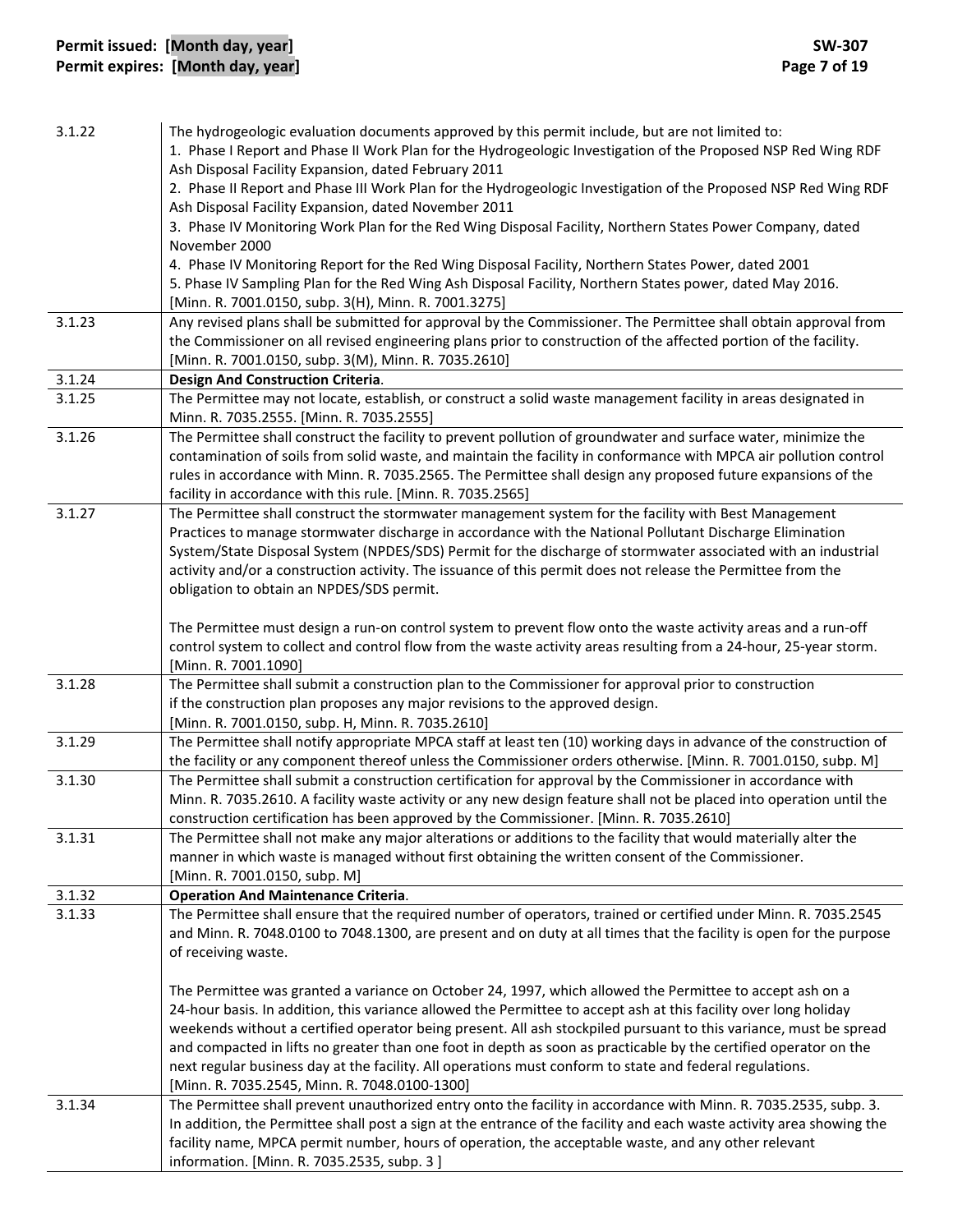| 3.1.22 | The hydrogeologic evaluation documents approved by this permit include, but are not limited to:<br>1. Phase I Report and Phase II Work Plan for the Hydrogeologic Investigation of the Proposed NSP Red Wing RDF<br>Ash Disposal Facility Expansion, dated February 2011<br>2. Phase II Report and Phase III Work Plan for the Hydrogeologic Investigation of the Proposed NSP Red Wing RDF<br>Ash Disposal Facility Expansion, dated November 2011<br>3. Phase IV Monitoring Work Plan for the Red Wing Disposal Facility, Northern States Power Company, dated<br>November 2000<br>4. Phase IV Monitoring Report for the Red Wing Disposal Facility, Northern States Power, dated 2001<br>5. Phase IV Sampling Plan for the Red Wing Ash Disposal Facility, Northern States power, dated May 2016.<br>[Minn. R. 7001.0150, subp. 3(H), Minn. R. 7001.3275] |
|--------|--------------------------------------------------------------------------------------------------------------------------------------------------------------------------------------------------------------------------------------------------------------------------------------------------------------------------------------------------------------------------------------------------------------------------------------------------------------------------------------------------------------------------------------------------------------------------------------------------------------------------------------------------------------------------------------------------------------------------------------------------------------------------------------------------------------------------------------------------------------|
| 3.1.23 | Any revised plans shall be submitted for approval by the Commissioner. The Permittee shall obtain approval from<br>the Commissioner on all revised engineering plans prior to construction of the affected portion of the facility.<br>[Minn. R. 7001.0150, subp. 3(M), Minn. R. 7035.2610]                                                                                                                                                                                                                                                                                                                                                                                                                                                                                                                                                                  |
| 3.1.24 | Design And Construction Criteria.                                                                                                                                                                                                                                                                                                                                                                                                                                                                                                                                                                                                                                                                                                                                                                                                                            |
| 3.1.25 | The Permittee may not locate, establish, or construct a solid waste management facility in areas designated in<br>Minn. R. 7035.2555. [Minn. R. 7035.2555]                                                                                                                                                                                                                                                                                                                                                                                                                                                                                                                                                                                                                                                                                                   |
| 3.1.26 | The Permittee shall construct the facility to prevent pollution of groundwater and surface water, minimize the<br>contamination of soils from solid waste, and maintain the facility in conformance with MPCA air pollution control<br>rules in accordance with Minn. R. 7035.2565. The Permittee shall design any proposed future expansions of the<br>facility in accordance with this rule. [Minn. R. 7035.2565]                                                                                                                                                                                                                                                                                                                                                                                                                                          |
| 3.1.27 | The Permittee shall construct the stormwater management system for the facility with Best Management<br>Practices to manage stormwater discharge in accordance with the National Pollutant Discharge Elimination<br>System/State Disposal System (NPDES/SDS) Permit for the discharge of stormwater associated with an industrial<br>activity and/or a construction activity. The issuance of this permit does not release the Permittee from the<br>obligation to obtain an NPDES/SDS permit.                                                                                                                                                                                                                                                                                                                                                               |
|        | The Permittee must design a run-on control system to prevent flow onto the waste activity areas and a run-off<br>control system to collect and control flow from the waste activity areas resulting from a 24-hour, 25-year storm.<br>[Minn. R. 7001.1090]                                                                                                                                                                                                                                                                                                                                                                                                                                                                                                                                                                                                   |
| 3.1.28 | The Permittee shall submit a construction plan to the Commissioner for approval prior to construction<br>if the construction plan proposes any major revisions to the approved design.<br>[Minn. R. 7001.0150, subp. H, Minn. R. 7035.2610]                                                                                                                                                                                                                                                                                                                                                                                                                                                                                                                                                                                                                  |
| 3.1.29 | The Permittee shall notify appropriate MPCA staff at least ten (10) working days in advance of the construction of<br>the facility or any component thereof unless the Commissioner orders otherwise. [Minn. R. 7001.0150, subp. M]                                                                                                                                                                                                                                                                                                                                                                                                                                                                                                                                                                                                                          |
| 3.1.30 | The Permittee shall submit a construction certification for approval by the Commissioner in accordance with<br>Minn. R. 7035.2610. A facility waste activity or any new design feature shall not be placed into operation until the<br>construction certification has been approved by the Commissioner. [Minn. R. 7035.2610]                                                                                                                                                                                                                                                                                                                                                                                                                                                                                                                                |
| 3.1.31 | The Permittee shall not make any major alterations or additions to the facility that would materially alter the<br>manner in which waste is managed without first obtaining the written consent of the Commissioner.<br>[Minn. R. 7001.0150, subp. M]                                                                                                                                                                                                                                                                                                                                                                                                                                                                                                                                                                                                        |
| 3.1.32 | <b>Operation And Maintenance Criteria.</b>                                                                                                                                                                                                                                                                                                                                                                                                                                                                                                                                                                                                                                                                                                                                                                                                                   |
| 3.1.33 | The Permittee shall ensure that the required number of operators, trained or certified under Minn. R. 7035.2545<br>and Minn. R. 7048.0100 to 7048.1300, are present and on duty at all times that the facility is open for the purpose<br>of receiving waste.                                                                                                                                                                                                                                                                                                                                                                                                                                                                                                                                                                                                |
|        | The Permittee was granted a variance on October 24, 1997, which allowed the Permittee to accept ash on a<br>24-hour basis. In addition, this variance allowed the Permittee to accept ash at this facility over long holiday<br>weekends without a certified operator being present. All ash stockpiled pursuant to this variance, must be spread<br>and compacted in lifts no greater than one foot in depth as soon as practicable by the certified operator on the<br>next regular business day at the facility. All operations must conform to state and federal regulations.<br>[Minn. R. 7035.2545, Minn. R. 7048.0100-1300]                                                                                                                                                                                                                           |
| 3.1.34 | The Permittee shall prevent unauthorized entry onto the facility in accordance with Minn. R. 7035.2535, subp. 3.<br>In addition, the Permittee shall post a sign at the entrance of the facility and each waste activity area showing the<br>facility name, MPCA permit number, hours of operation, the acceptable waste, and any other relevant<br>information. [Minn. R. 7035.2535, subp. 3]                                                                                                                                                                                                                                                                                                                                                                                                                                                               |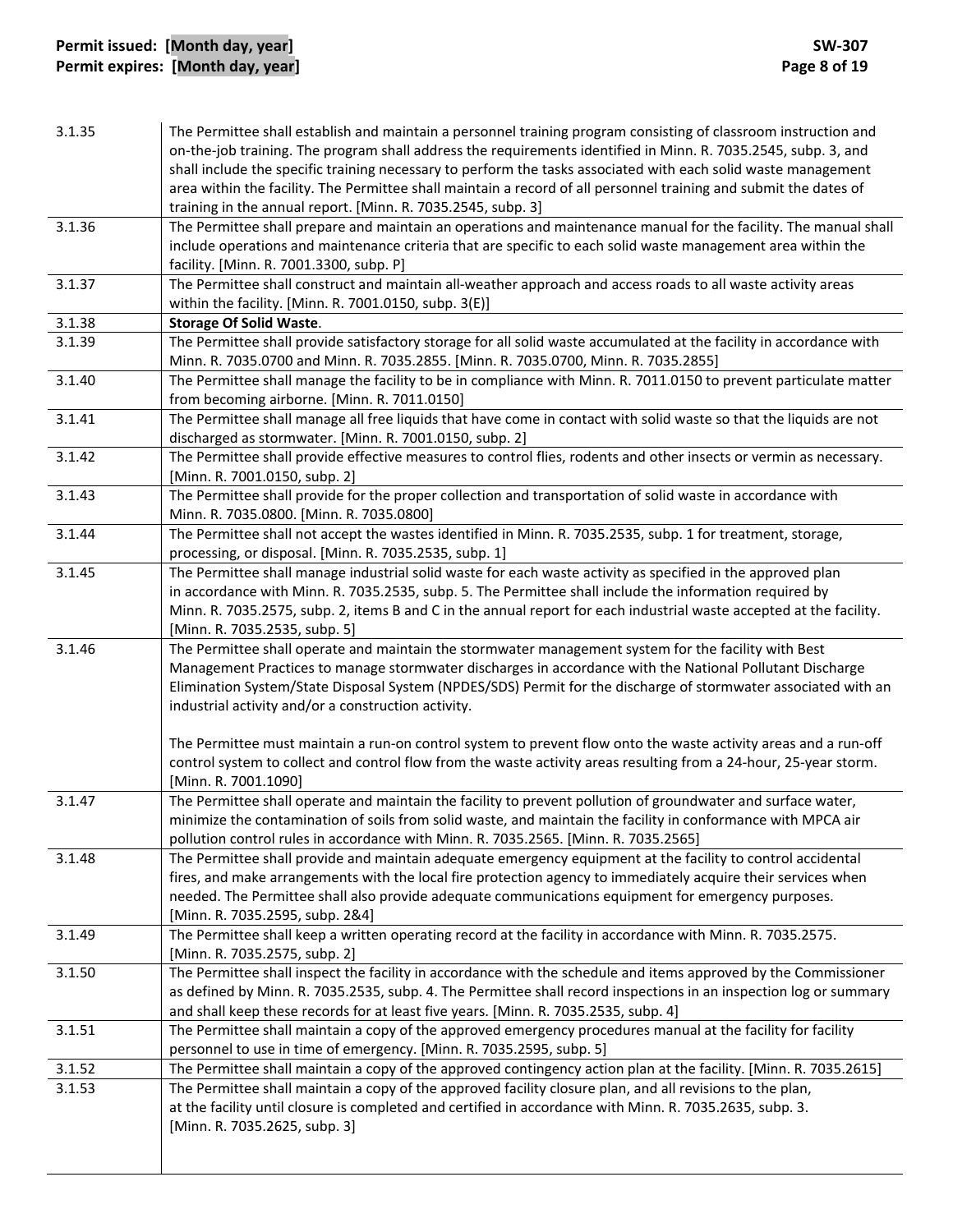# **Permit issued: [Month day, year] SW‐307 Permit expires: [Month day, year] Page 8 of 19**

| 3.1.35 | The Permittee shall establish and maintain a personnel training program consisting of classroom instruction and<br>on-the-job training. The program shall address the requirements identified in Minn. R. 7035.2545, subp. 3, and<br>shall include the specific training necessary to perform the tasks associated with each solid waste management<br>area within the facility. The Permittee shall maintain a record of all personnel training and submit the dates of<br>training in the annual report. [Minn. R. 7035.2545, subp. 3]                                                                                          |
|--------|-----------------------------------------------------------------------------------------------------------------------------------------------------------------------------------------------------------------------------------------------------------------------------------------------------------------------------------------------------------------------------------------------------------------------------------------------------------------------------------------------------------------------------------------------------------------------------------------------------------------------------------|
| 3.1.36 | The Permittee shall prepare and maintain an operations and maintenance manual for the facility. The manual shall<br>include operations and maintenance criteria that are specific to each solid waste management area within the<br>facility. [Minn. R. 7001.3300, subp. P]                                                                                                                                                                                                                                                                                                                                                       |
| 3.1.37 | The Permittee shall construct and maintain all-weather approach and access roads to all waste activity areas<br>within the facility. [Minn. R. 7001.0150, subp. 3(E)]                                                                                                                                                                                                                                                                                                                                                                                                                                                             |
| 3.1.38 | <b>Storage Of Solid Waste.</b>                                                                                                                                                                                                                                                                                                                                                                                                                                                                                                                                                                                                    |
| 3.1.39 | The Permittee shall provide satisfactory storage for all solid waste accumulated at the facility in accordance with<br>Minn. R. 7035.0700 and Minn. R. 7035.2855. [Minn. R. 7035.0700, Minn. R. 7035.2855]                                                                                                                                                                                                                                                                                                                                                                                                                        |
| 3.1.40 | The Permittee shall manage the facility to be in compliance with Minn. R. 7011.0150 to prevent particulate matter<br>from becoming airborne. [Minn. R. 7011.0150]                                                                                                                                                                                                                                                                                                                                                                                                                                                                 |
| 3.1.41 | The Permittee shall manage all free liquids that have come in contact with solid waste so that the liquids are not<br>discharged as stormwater. [Minn. R. 7001.0150, subp. 2]                                                                                                                                                                                                                                                                                                                                                                                                                                                     |
| 3.1.42 | The Permittee shall provide effective measures to control flies, rodents and other insects or vermin as necessary.<br>[Minn. R. 7001.0150, subp. 2]                                                                                                                                                                                                                                                                                                                                                                                                                                                                               |
| 3.1.43 | The Permittee shall provide for the proper collection and transportation of solid waste in accordance with<br>Minn. R. 7035.0800. [Minn. R. 7035.0800]                                                                                                                                                                                                                                                                                                                                                                                                                                                                            |
| 3.1.44 | The Permittee shall not accept the wastes identified in Minn. R. 7035.2535, subp. 1 for treatment, storage,<br>processing, or disposal. [Minn. R. 7035.2535, subp. 1]                                                                                                                                                                                                                                                                                                                                                                                                                                                             |
| 3.1.45 | The Permittee shall manage industrial solid waste for each waste activity as specified in the approved plan<br>in accordance with Minn. R. 7035.2535, subp. 5. The Permittee shall include the information required by<br>Minn. R. 7035.2575, subp. 2, items B and C in the annual report for each industrial waste accepted at the facility.<br>[Minn. R. 7035.2535, subp. 5]                                                                                                                                                                                                                                                    |
| 3.1.46 | The Permittee shall operate and maintain the stormwater management system for the facility with Best<br>Management Practices to manage stormwater discharges in accordance with the National Pollutant Discharge<br>Elimination System/State Disposal System (NPDES/SDS) Permit for the discharge of stormwater associated with an<br>industrial activity and/or a construction activity.<br>The Permittee must maintain a run-on control system to prevent flow onto the waste activity areas and a run-off<br>control system to collect and control flow from the waste activity areas resulting from a 24-hour, 25-year storm. |
| 3.1.47 | [Minn. R. 7001.1090]<br>The Permittee shall operate and maintain the facility to prevent pollution of groundwater and surface water,<br>minimize the contamination of soils from solid waste, and maintain the facility in conformance with MPCA air                                                                                                                                                                                                                                                                                                                                                                              |
| 3.1.48 | pollution control rules in accordance with Minn. R. 7035.2565. [Minn. R. 7035.2565]<br>The Permittee shall provide and maintain adequate emergency equipment at the facility to control accidental<br>fires, and make arrangements with the local fire protection agency to immediately acquire their services when<br>needed. The Permittee shall also provide adequate communications equipment for emergency purposes.<br>[Minn. R. 7035.2595, subp. 2&4]                                                                                                                                                                      |
| 3.1.49 | The Permittee shall keep a written operating record at the facility in accordance with Minn. R. 7035.2575.<br>[Minn. R. 7035.2575, subp. 2]                                                                                                                                                                                                                                                                                                                                                                                                                                                                                       |
| 3.1.50 | The Permittee shall inspect the facility in accordance with the schedule and items approved by the Commissioner<br>as defined by Minn. R. 7035.2535, subp. 4. The Permittee shall record inspections in an inspection log or summary<br>and shall keep these records for at least five years. [Minn. R. 7035.2535, subp. 4]                                                                                                                                                                                                                                                                                                       |
| 3.1.51 | The Permittee shall maintain a copy of the approved emergency procedures manual at the facility for facility<br>personnel to use in time of emergency. [Minn. R. 7035.2595, subp. 5]                                                                                                                                                                                                                                                                                                                                                                                                                                              |
| 3.1.52 | The Permittee shall maintain a copy of the approved contingency action plan at the facility. [Minn. R. 7035.2615]                                                                                                                                                                                                                                                                                                                                                                                                                                                                                                                 |
| 3.1.53 | The Permittee shall maintain a copy of the approved facility closure plan, and all revisions to the plan,<br>at the facility until closure is completed and certified in accordance with Minn. R. 7035.2635, subp. 3.<br>[Minn. R. 7035.2625, subp. 3]                                                                                                                                                                                                                                                                                                                                                                            |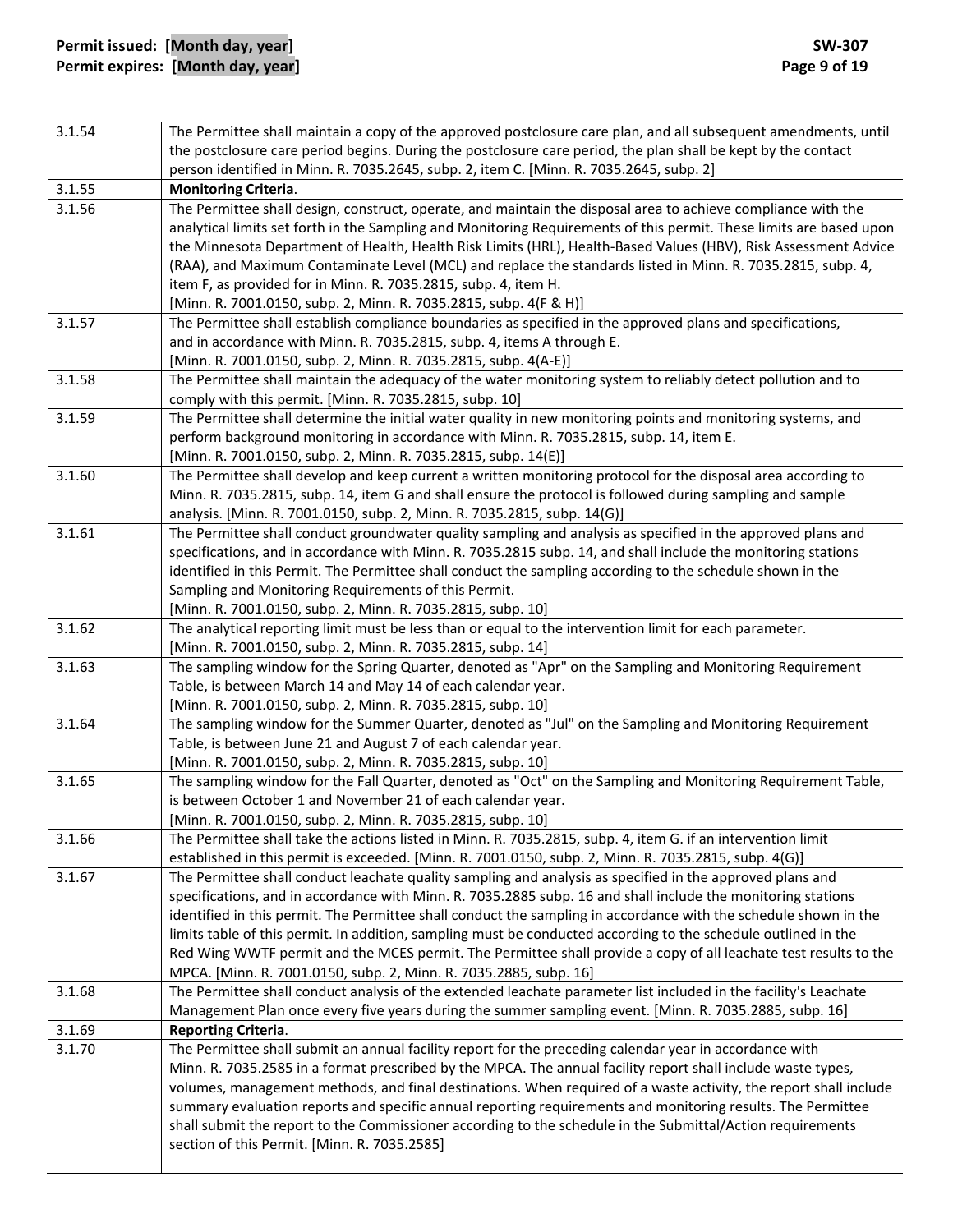# **Permit issued: [Month day, year] SW‐307 Permit expires: [Month day, year] Page 9 of 19**

| 3.1.54 | The Permittee shall maintain a copy of the approved postclosure care plan, and all subsequent amendments, until<br>the postclosure care period begins. During the postclosure care period, the plan shall be kept by the contact |
|--------|----------------------------------------------------------------------------------------------------------------------------------------------------------------------------------------------------------------------------------|
|        | person identified in Minn. R. 7035.2645, subp. 2, item C. [Minn. R. 7035.2645, subp. 2]                                                                                                                                          |
| 3.1.55 | <b>Monitoring Criteria.</b>                                                                                                                                                                                                      |
| 3.1.56 | The Permittee shall design, construct, operate, and maintain the disposal area to achieve compliance with the                                                                                                                    |
|        | analytical limits set forth in the Sampling and Monitoring Requirements of this permit. These limits are based upon                                                                                                              |
|        | the Minnesota Department of Health, Health Risk Limits (HRL), Health-Based Values (HBV), Risk Assessment Advice                                                                                                                  |
|        | (RAA), and Maximum Contaminate Level (MCL) and replace the standards listed in Minn. R. 7035.2815, subp. 4,                                                                                                                      |
|        | item F, as provided for in Minn. R. 7035.2815, subp. 4, item H.                                                                                                                                                                  |
|        | [Minn. R. 7001.0150, subp. 2, Minn. R. 7035.2815, subp. 4(F & H)]                                                                                                                                                                |
| 3.1.57 | The Permittee shall establish compliance boundaries as specified in the approved plans and specifications,                                                                                                                       |
|        | and in accordance with Minn. R. 7035.2815, subp. 4, items A through E.                                                                                                                                                           |
|        | [Minn. R. 7001.0150, subp. 2, Minn. R. 7035.2815, subp. 4(A-E)]                                                                                                                                                                  |
| 3.1.58 | The Permittee shall maintain the adequacy of the water monitoring system to reliably detect pollution and to                                                                                                                     |
|        | comply with this permit. [Minn. R. 7035.2815, subp. 10]                                                                                                                                                                          |
| 3.1.59 | The Permittee shall determine the initial water quality in new monitoring points and monitoring systems, and                                                                                                                     |
|        | perform background monitoring in accordance with Minn. R. 7035.2815, subp. 14, item E.                                                                                                                                           |
|        | [Minn. R. 7001.0150, subp. 2, Minn. R. 7035.2815, subp. 14(E)]                                                                                                                                                                   |
| 3.1.60 | The Permittee shall develop and keep current a written monitoring protocol for the disposal area according to                                                                                                                    |
|        | Minn. R. 7035.2815, subp. 14, item G and shall ensure the protocol is followed during sampling and sample                                                                                                                        |
|        | analysis. [Minn. R. 7001.0150, subp. 2, Minn. R. 7035.2815, subp. 14(G)]                                                                                                                                                         |
| 3.1.61 | The Permittee shall conduct groundwater quality sampling and analysis as specified in the approved plans and<br>specifications, and in accordance with Minn. R. 7035.2815 subp. 14, and shall include the monitoring stations    |
|        | identified in this Permit. The Permittee shall conduct the sampling according to the schedule shown in the                                                                                                                       |
|        | Sampling and Monitoring Requirements of this Permit.                                                                                                                                                                             |
|        | [Minn. R. 7001.0150, subp. 2, Minn. R. 7035.2815, subp. 10]                                                                                                                                                                      |
| 3.1.62 | The analytical reporting limit must be less than or equal to the intervention limit for each parameter.                                                                                                                          |
|        | [Minn. R. 7001.0150, subp. 2, Minn. R. 7035.2815, subp. 14]                                                                                                                                                                      |
| 3.1.63 | The sampling window for the Spring Quarter, denoted as "Apr" on the Sampling and Monitoring Requirement                                                                                                                          |
|        | Table, is between March 14 and May 14 of each calendar year.                                                                                                                                                                     |
|        | [Minn. R. 7001.0150, subp. 2, Minn. R. 7035.2815, subp. 10]                                                                                                                                                                      |
| 3.1.64 | The sampling window for the Summer Quarter, denoted as "Jul" on the Sampling and Monitoring Requirement                                                                                                                          |
|        | Table, is between June 21 and August 7 of each calendar year.                                                                                                                                                                    |
|        | [Minn. R. 7001.0150, subp. 2, Minn. R. 7035.2815, subp. 10]                                                                                                                                                                      |
| 3.1.65 | The sampling window for the Fall Quarter, denoted as "Oct" on the Sampling and Monitoring Requirement Table,                                                                                                                     |
|        | is between October 1 and November 21 of each calendar year.                                                                                                                                                                      |
|        | [Minn. R. 7001.0150, subp. 2, Minn. R. 7035.2815, subp. 10]                                                                                                                                                                      |
| 3.1.66 | The Permittee shall take the actions listed in Minn. R. 7035.2815, subp. 4, item G. if an intervention limit                                                                                                                     |
|        | established in this permit is exceeded. [Minn. R. 7001.0150, subp. 2, Minn. R. 7035.2815, subp. 4(G)]                                                                                                                            |
| 3.1.67 | The Permittee shall conduct leachate quality sampling and analysis as specified in the approved plans and                                                                                                                        |
|        | specifications, and in accordance with Minn. R. 7035.2885 subp. 16 and shall include the monitoring stations                                                                                                                     |
|        | identified in this permit. The Permittee shall conduct the sampling in accordance with the schedule shown in the                                                                                                                 |
|        | limits table of this permit. In addition, sampling must be conducted according to the schedule outlined in the                                                                                                                   |
|        | Red Wing WWTF permit and the MCES permit. The Permittee shall provide a copy of all leachate test results to the<br>MPCA. [Minn. R. 7001.0150, subp. 2, Minn. R. 7035.2885, subp. 16]                                            |
| 3.1.68 | The Permittee shall conduct analysis of the extended leachate parameter list included in the facility's Leachate                                                                                                                 |
|        | Management Plan once every five years during the summer sampling event. [Minn. R. 7035.2885, subp. 16]                                                                                                                           |
| 3.1.69 | <b>Reporting Criteria.</b>                                                                                                                                                                                                       |
| 3.1.70 | The Permittee shall submit an annual facility report for the preceding calendar year in accordance with                                                                                                                          |
|        | Minn. R. 7035.2585 in a format prescribed by the MPCA. The annual facility report shall include waste types,                                                                                                                     |
|        | volumes, management methods, and final destinations. When required of a waste activity, the report shall include                                                                                                                 |
|        | summary evaluation reports and specific annual reporting requirements and monitoring results. The Permittee                                                                                                                      |
|        | shall submit the report to the Commissioner according to the schedule in the Submittal/Action requirements                                                                                                                       |
|        | section of this Permit. [Minn. R. 7035.2585]                                                                                                                                                                                     |
|        |                                                                                                                                                                                                                                  |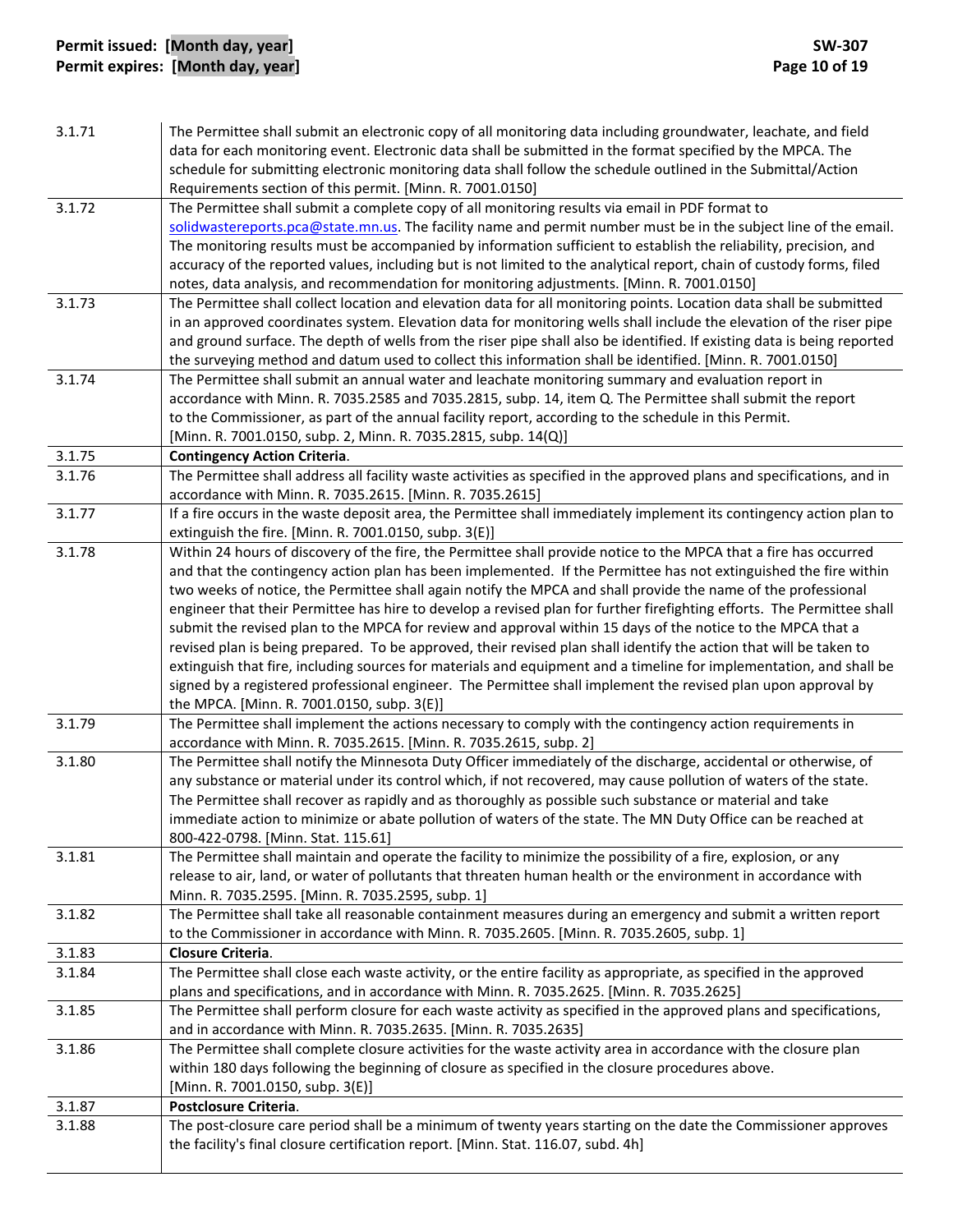# **Permit issued: [Month day, year] SW‐307 Permit expires: [Month day, year] Page 10 of 19**

| 3.1.71 | The Permittee shall submit an electronic copy of all monitoring data including groundwater, leachate, and field<br>data for each monitoring event. Electronic data shall be submitted in the format specified by the MPCA. The<br>schedule for submitting electronic monitoring data shall follow the schedule outlined in the Submittal/Action<br>Requirements section of this permit. [Minn. R. 7001.0150] |
|--------|--------------------------------------------------------------------------------------------------------------------------------------------------------------------------------------------------------------------------------------------------------------------------------------------------------------------------------------------------------------------------------------------------------------|
| 3.1.72 | The Permittee shall submit a complete copy of all monitoring results via email in PDF format to                                                                                                                                                                                                                                                                                                              |
|        | solidwastereports.pca@state.mn.us. The facility name and permit number must be in the subject line of the email.                                                                                                                                                                                                                                                                                             |
|        | The monitoring results must be accompanied by information sufficient to establish the reliability, precision, and                                                                                                                                                                                                                                                                                            |
|        | accuracy of the reported values, including but is not limited to the analytical report, chain of custody forms, filed                                                                                                                                                                                                                                                                                        |
|        | notes, data analysis, and recommendation for monitoring adjustments. [Minn. R. 7001.0150]                                                                                                                                                                                                                                                                                                                    |
| 3.1.73 | The Permittee shall collect location and elevation data for all monitoring points. Location data shall be submitted                                                                                                                                                                                                                                                                                          |
|        | in an approved coordinates system. Elevation data for monitoring wells shall include the elevation of the riser pipe                                                                                                                                                                                                                                                                                         |
|        | and ground surface. The depth of wells from the riser pipe shall also be identified. If existing data is being reported                                                                                                                                                                                                                                                                                      |
|        | the surveying method and datum used to collect this information shall be identified. [Minn. R. 7001.0150]                                                                                                                                                                                                                                                                                                    |
| 3.1.74 | The Permittee shall submit an annual water and leachate monitoring summary and evaluation report in                                                                                                                                                                                                                                                                                                          |
|        | accordance with Minn. R. 7035.2585 and 7035.2815, subp. 14, item Q. The Permittee shall submit the report                                                                                                                                                                                                                                                                                                    |
|        | to the Commissioner, as part of the annual facility report, according to the schedule in this Permit.                                                                                                                                                                                                                                                                                                        |
|        | [Minn. R. 7001.0150, subp. 2, Minn. R. 7035.2815, subp. 14(Q)]                                                                                                                                                                                                                                                                                                                                               |
| 3.1.75 | <b>Contingency Action Criteria.</b>                                                                                                                                                                                                                                                                                                                                                                          |
| 3.1.76 | The Permittee shall address all facility waste activities as specified in the approved plans and specifications, and in                                                                                                                                                                                                                                                                                      |
|        | accordance with Minn. R. 7035.2615. [Minn. R. 7035.2615]                                                                                                                                                                                                                                                                                                                                                     |
| 3.1.77 | If a fire occurs in the waste deposit area, the Permittee shall immediately implement its contingency action plan to                                                                                                                                                                                                                                                                                         |
|        | extinguish the fire. [Minn. R. 7001.0150, subp. 3(E)]                                                                                                                                                                                                                                                                                                                                                        |
| 3.1.78 | Within 24 hours of discovery of the fire, the Permittee shall provide notice to the MPCA that a fire has occurred                                                                                                                                                                                                                                                                                            |
|        | and that the contingency action plan has been implemented. If the Permittee has not extinguished the fire within                                                                                                                                                                                                                                                                                             |
|        | two weeks of notice, the Permittee shall again notify the MPCA and shall provide the name of the professional                                                                                                                                                                                                                                                                                                |
|        | engineer that their Permittee has hire to develop a revised plan for further firefighting efforts. The Permittee shall                                                                                                                                                                                                                                                                                       |
|        | submit the revised plan to the MPCA for review and approval within 15 days of the notice to the MPCA that a                                                                                                                                                                                                                                                                                                  |
|        | revised plan is being prepared. To be approved, their revised plan shall identify the action that will be taken to                                                                                                                                                                                                                                                                                           |
|        | extinguish that fire, including sources for materials and equipment and a timeline for implementation, and shall be                                                                                                                                                                                                                                                                                          |
|        | signed by a registered professional engineer. The Permittee shall implement the revised plan upon approval by                                                                                                                                                                                                                                                                                                |
|        | the MPCA. [Minn. R. 7001.0150, subp. 3(E)]                                                                                                                                                                                                                                                                                                                                                                   |
| 3.1.79 | The Permittee shall implement the actions necessary to comply with the contingency action requirements in                                                                                                                                                                                                                                                                                                    |
|        | accordance with Minn. R. 7035.2615. [Minn. R. 7035.2615, subp. 2]<br>The Permittee shall notify the Minnesota Duty Officer immediately of the discharge, accidental or otherwise, of                                                                                                                                                                                                                         |
| 3.1.80 | any substance or material under its control which, if not recovered, may cause pollution of waters of the state.                                                                                                                                                                                                                                                                                             |
|        | The Permittee shall recover as rapidly and as thoroughly as possible such substance or material and take                                                                                                                                                                                                                                                                                                     |
|        | immediate action to minimize or abate pollution of waters of the state. The MN Duty Office can be reached at                                                                                                                                                                                                                                                                                                 |
|        | 800-422-0798. [Minn. Stat. 115.61]                                                                                                                                                                                                                                                                                                                                                                           |
| 3.1.81 | The Permittee shall maintain and operate the facility to minimize the possibility of a fire, explosion, or any                                                                                                                                                                                                                                                                                               |
|        | release to air, land, or water of pollutants that threaten human health or the environment in accordance with                                                                                                                                                                                                                                                                                                |
|        | Minn. R. 7035.2595. [Minn. R. 7035.2595, subp. 1]                                                                                                                                                                                                                                                                                                                                                            |
| 3.1.82 | The Permittee shall take all reasonable containment measures during an emergency and submit a written report                                                                                                                                                                                                                                                                                                 |
|        | to the Commissioner in accordance with Minn. R. 7035.2605. [Minn. R. 7035.2605, subp. 1]                                                                                                                                                                                                                                                                                                                     |
| 3.1.83 | Closure Criteria.                                                                                                                                                                                                                                                                                                                                                                                            |
| 3.1.84 | The Permittee shall close each waste activity, or the entire facility as appropriate, as specified in the approved                                                                                                                                                                                                                                                                                           |
|        | plans and specifications, and in accordance with Minn. R. 7035.2625. [Minn. R. 7035.2625]                                                                                                                                                                                                                                                                                                                    |
| 3.1.85 | The Permittee shall perform closure for each waste activity as specified in the approved plans and specifications,                                                                                                                                                                                                                                                                                           |
|        | and in accordance with Minn. R. 7035.2635. [Minn. R. 7035.2635]                                                                                                                                                                                                                                                                                                                                              |
| 3.1.86 | The Permittee shall complete closure activities for the waste activity area in accordance with the closure plan                                                                                                                                                                                                                                                                                              |
|        | within 180 days following the beginning of closure as specified in the closure procedures above.                                                                                                                                                                                                                                                                                                             |
|        | [Minn. R. 7001.0150, subp. 3(E)]                                                                                                                                                                                                                                                                                                                                                                             |
| 3.1.87 | Postclosure Criteria.                                                                                                                                                                                                                                                                                                                                                                                        |
| 3.1.88 | The post-closure care period shall be a minimum of twenty years starting on the date the Commissioner approves                                                                                                                                                                                                                                                                                               |
|        | the facility's final closure certification report. [Minn. Stat. 116.07, subd. 4h]                                                                                                                                                                                                                                                                                                                            |
|        |                                                                                                                                                                                                                                                                                                                                                                                                              |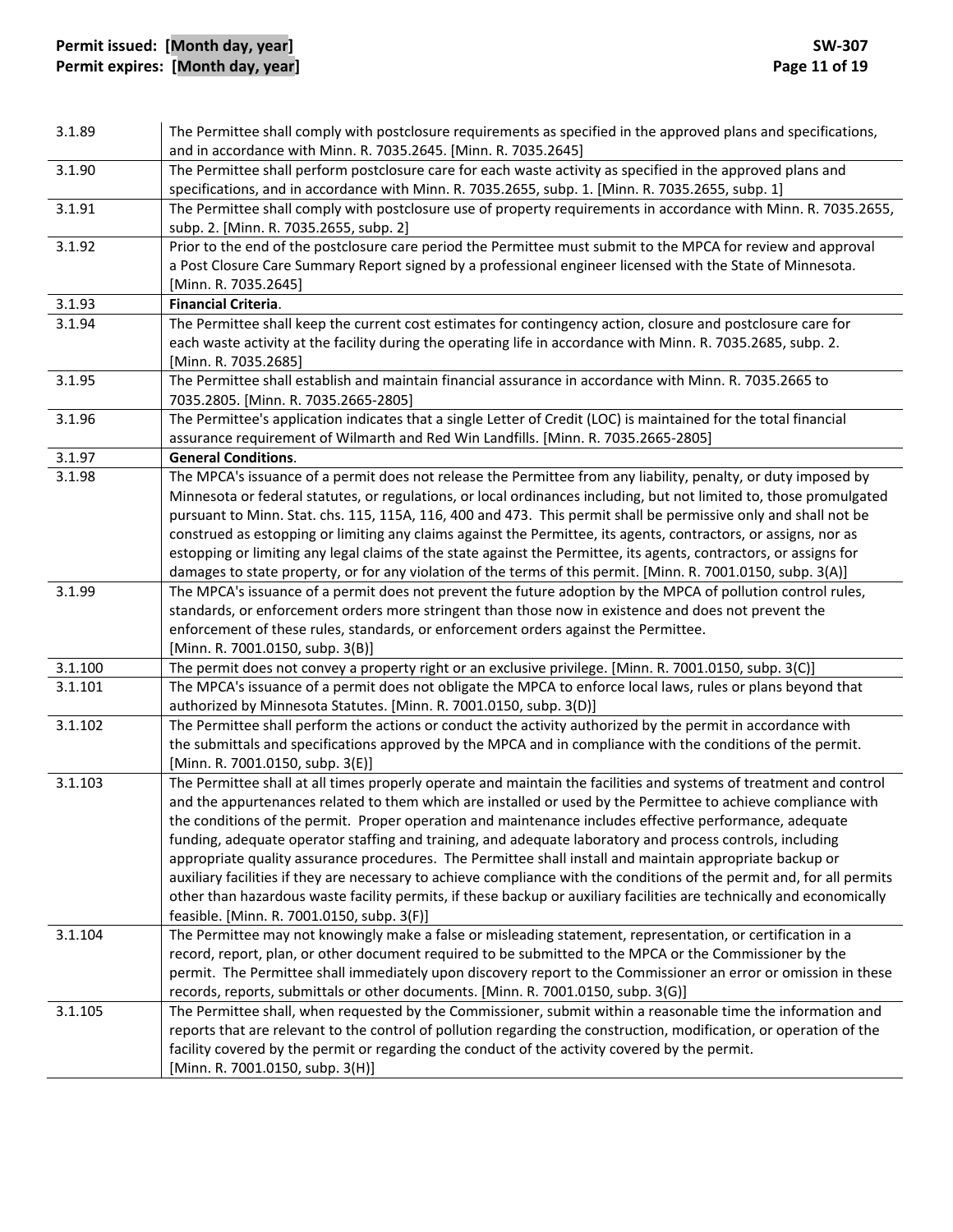# **Permit issued: [Month day, year] SW‐307 Permit expires: [Month day, year] Page 11 of 19**

| 3.1.89  | The Permittee shall comply with postclosure requirements as specified in the approved plans and specifications,<br>and in accordance with Minn. R. 7035.2645. [Minn. R. 7035.2645]                                                                    |
|---------|-------------------------------------------------------------------------------------------------------------------------------------------------------------------------------------------------------------------------------------------------------|
| 3.1.90  | The Permittee shall perform postclosure care for each waste activity as specified in the approved plans and<br>specifications, and in accordance with Minn. R. 7035.2655, subp. 1. [Minn. R. 7035.2655, subp. 1]                                      |
| 3.1.91  | The Permittee shall comply with postclosure use of property requirements in accordance with Minn. R. 7035.2655,<br>subp. 2. [Minn. R. 7035.2655, subp. 2]                                                                                             |
| 3.1.92  | Prior to the end of the postclosure care period the Permittee must submit to the MPCA for review and approval<br>a Post Closure Care Summary Report signed by a professional engineer licensed with the State of Minnesota.<br>[Minn. R. 7035.2645]   |
| 3.1.93  | <b>Financial Criteria.</b>                                                                                                                                                                                                                            |
| 3.1.94  | The Permittee shall keep the current cost estimates for contingency action, closure and postclosure care for<br>each waste activity at the facility during the operating life in accordance with Minn. R. 7035.2685, subp. 2.<br>[Minn. R. 7035.2685] |
| 3.1.95  | The Permittee shall establish and maintain financial assurance in accordance with Minn. R. 7035.2665 to<br>7035.2805. [Minn. R. 7035.2665-2805]                                                                                                       |
| 3.1.96  | The Permittee's application indicates that a single Letter of Credit (LOC) is maintained for the total financial<br>assurance requirement of Wilmarth and Red Win Landfills. [Minn. R. 7035.2665-2805]                                                |
| 3.1.97  | <b>General Conditions.</b>                                                                                                                                                                                                                            |
| 3.1.98  | The MPCA's issuance of a permit does not release the Permittee from any liability, penalty, or duty imposed by                                                                                                                                        |
|         | Minnesota or federal statutes, or regulations, or local ordinances including, but not limited to, those promulgated                                                                                                                                   |
|         | pursuant to Minn. Stat. chs. 115, 115A, 116, 400 and 473. This permit shall be permissive only and shall not be                                                                                                                                       |
|         | construed as estopping or limiting any claims against the Permittee, its agents, contractors, or assigns, nor as                                                                                                                                      |
|         | estopping or limiting any legal claims of the state against the Permittee, its agents, contractors, or assigns for                                                                                                                                    |
|         | damages to state property, or for any violation of the terms of this permit. [Minn. R. 7001.0150, subp. 3(A)]                                                                                                                                         |
| 3.1.99  | The MPCA's issuance of a permit does not prevent the future adoption by the MPCA of pollution control rules,<br>standards, or enforcement orders more stringent than those now in existence and does not prevent the                                  |
|         | enforcement of these rules, standards, or enforcement orders against the Permittee.                                                                                                                                                                   |
|         | [Minn. R. 7001.0150, subp. 3(B)]                                                                                                                                                                                                                      |
| 3.1.100 | The permit does not convey a property right or an exclusive privilege. [Minn. R. 7001.0150, subp. 3(C)]                                                                                                                                               |
| 3.1.101 | The MPCA's issuance of a permit does not obligate the MPCA to enforce local laws, rules or plans beyond that                                                                                                                                          |
|         | authorized by Minnesota Statutes. [Minn. R. 7001.0150, subp. 3(D)]                                                                                                                                                                                    |
| 3.1.102 | The Permittee shall perform the actions or conduct the activity authorized by the permit in accordance with                                                                                                                                           |
|         | the submittals and specifications approved by the MPCA and in compliance with the conditions of the permit.<br>[Minn. R. 7001.0150, subp. 3(E)]                                                                                                       |
| 3.1.103 | The Permittee shall at all times properly operate and maintain the facilities and systems of treatment and control                                                                                                                                    |
|         | and the appurtenances related to them which are installed or used by the Permittee to achieve compliance with                                                                                                                                         |
|         | the conditions of the permit. Proper operation and maintenance includes effective performance, adequate                                                                                                                                               |
|         | funding, adequate operator staffing and training, and adequate laboratory and process controls, including                                                                                                                                             |
|         | appropriate quality assurance procedures. The Permittee shall install and maintain appropriate backup or                                                                                                                                              |
|         | auxiliary facilities if they are necessary to achieve compliance with the conditions of the permit and, for all permits                                                                                                                               |
|         | other than hazardous waste facility permits, if these backup or auxiliary facilities are technically and economically                                                                                                                                 |
|         | feasible. [Minn. R. 7001.0150, subp. 3(F)]                                                                                                                                                                                                            |
| 3.1.104 | The Permittee may not knowingly make a false or misleading statement, representation, or certification in a                                                                                                                                           |
|         | record, report, plan, or other document required to be submitted to the MPCA or the Commissioner by the                                                                                                                                               |
|         | permit. The Permittee shall immediately upon discovery report to the Commissioner an error or omission in these                                                                                                                                       |
|         | records, reports, submittals or other documents. [Minn. R. 7001.0150, subp. 3(G)]<br>The Permittee shall, when requested by the Commissioner, submit within a reasonable time the information and                                                     |
| 3.1.105 | reports that are relevant to the control of pollution regarding the construction, modification, or operation of the                                                                                                                                   |
|         | facility covered by the permit or regarding the conduct of the activity covered by the permit.                                                                                                                                                        |
|         | [Minn. R. 7001.0150, subp. 3(H)]                                                                                                                                                                                                                      |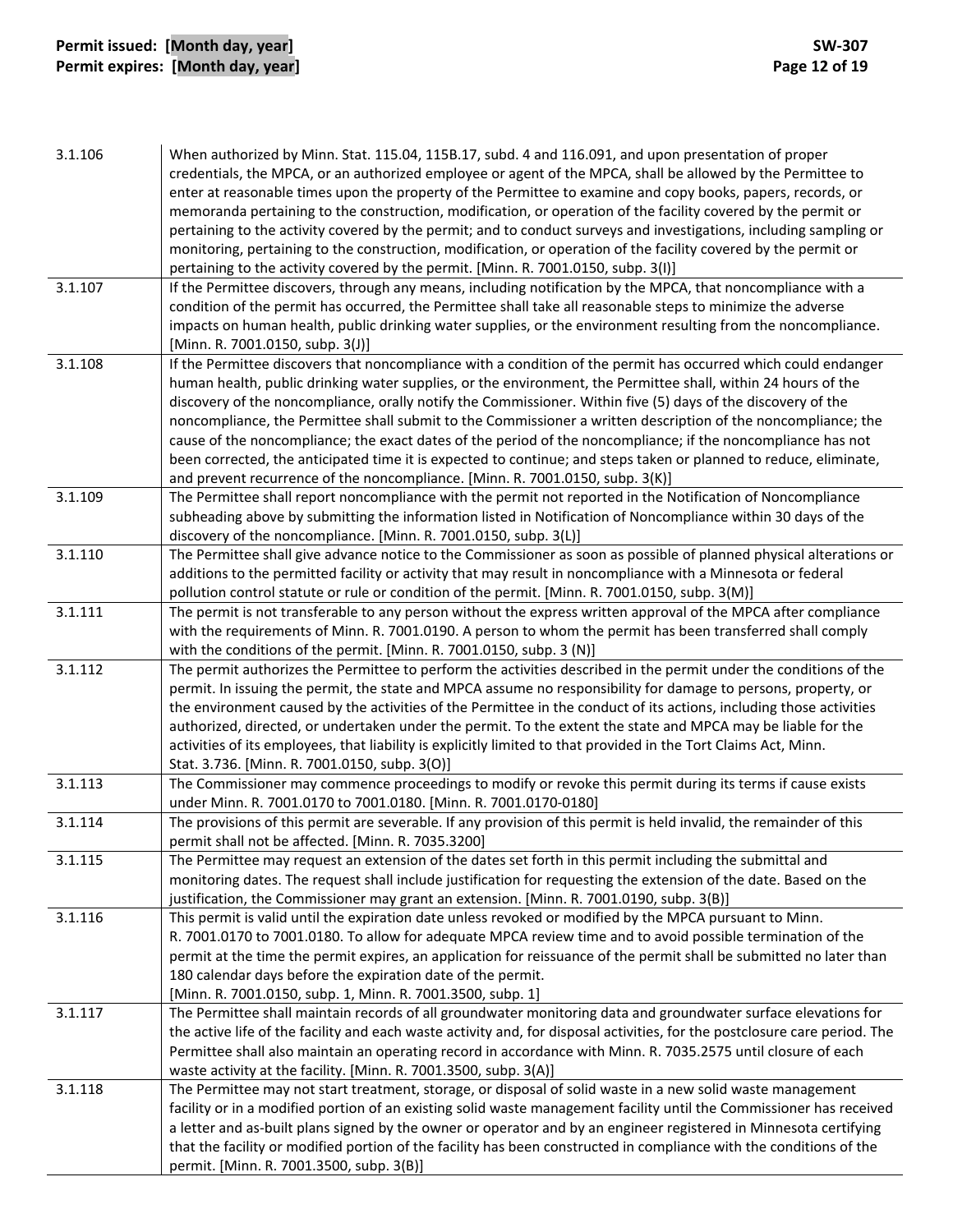# **Permit issued: [Month day, year] SW‐307 Permit expires: [Month day, year] Page 12 of 19**

| credentials, the MPCA, or an authorized employee or agent of the MPCA, shall be allowed by the Permittee to<br>enter at reasonable times upon the property of the Permittee to examine and copy books, papers, records, or<br>memoranda pertaining to the construction, modification, or operation of the facility covered by the permit or<br>pertaining to the activity covered by the permit; and to conduct surveys and investigations, including sampling or<br>monitoring, pertaining to the construction, modification, or operation of the facility covered by the permit or<br>pertaining to the activity covered by the permit. [Minn. R. 7001.0150, subp. 3(I)]<br>3.1.107<br>If the Permittee discovers, through any means, including notification by the MPCA, that noncompliance with a<br>condition of the permit has occurred, the Permittee shall take all reasonable steps to minimize the adverse<br>impacts on human health, public drinking water supplies, or the environment resulting from the noncompliance.<br>[Minn. R. 7001.0150, subp. 3(J)]<br>If the Permittee discovers that noncompliance with a condition of the permit has occurred which could endanger<br>3.1.108<br>human health, public drinking water supplies, or the environment, the Permittee shall, within 24 hours of the<br>discovery of the noncompliance, orally notify the Commissioner. Within five (5) days of the discovery of the<br>noncompliance, the Permittee shall submit to the Commissioner a written description of the noncompliance; the<br>cause of the noncompliance; the exact dates of the period of the noncompliance; if the noncompliance has not<br>been corrected, the anticipated time it is expected to continue; and steps taken or planned to reduce, eliminate,<br>and prevent recurrence of the noncompliance. [Minn. R. 7001.0150, subp. 3(K)]<br>The Permittee shall report noncompliance with the permit not reported in the Notification of Noncompliance<br>3.1.109<br>subheading above by submitting the information listed in Notification of Noncompliance within 30 days of the<br>discovery of the noncompliance. [Minn. R. 7001.0150, subp. 3(L)]<br>3.1.110<br>The Permittee shall give advance notice to the Commissioner as soon as possible of planned physical alterations or<br>additions to the permitted facility or activity that may result in noncompliance with a Minnesota or federal<br>pollution control statute or rule or condition of the permit. [Minn. R. 7001.0150, subp. 3(M)]<br>3.1.111<br>The permit is not transferable to any person without the express written approval of the MPCA after compliance<br>with the requirements of Minn. R. 7001.0190. A person to whom the permit has been transferred shall comply<br>with the conditions of the permit. [Minn. R. 7001.0150, subp. 3 (N)]<br>3.1.112<br>The permit authorizes the Permittee to perform the activities described in the permit under the conditions of the<br>permit. In issuing the permit, the state and MPCA assume no responsibility for damage to persons, property, or<br>the environment caused by the activities of the Permittee in the conduct of its actions, including those activities<br>authorized, directed, or undertaken under the permit. To the extent the state and MPCA may be liable for the<br>activities of its employees, that liability is explicitly limited to that provided in the Tort Claims Act, Minn.<br>Stat. 3.736. [Minn. R. 7001.0150, subp. 3(O)]<br>3.1.113<br>The Commissioner may commence proceedings to modify or revoke this permit during its terms if cause exists<br>under Minn. R. 7001.0170 to 7001.0180. [Minn. R. 7001.0170-0180]<br>The provisions of this permit are severable. If any provision of this permit is held invalid, the remainder of this<br>3.1.114<br>permit shall not be affected. [Minn. R. 7035.3200]<br>The Permittee may request an extension of the dates set forth in this permit including the submittal and<br>3.1.115<br>monitoring dates. The request shall include justification for requesting the extension of the date. Based on the<br>justification, the Commissioner may grant an extension. [Minn. R. 7001.0190, subp. 3(B)]<br>3.1.116<br>This permit is valid until the expiration date unless revoked or modified by the MPCA pursuant to Minn.<br>R. 7001.0170 to 7001.0180. To allow for adequate MPCA review time and to avoid possible termination of the<br>permit at the time the permit expires, an application for reissuance of the permit shall be submitted no later than<br>180 calendar days before the expiration date of the permit.<br>[Minn. R. 7001.0150, subp. 1, Minn. R. 7001.3500, subp. 1]<br>The Permittee shall maintain records of all groundwater monitoring data and groundwater surface elevations for<br>3.1.117<br>the active life of the facility and each waste activity and, for disposal activities, for the postclosure care period. The<br>Permittee shall also maintain an operating record in accordance with Minn. R. 7035.2575 until closure of each<br>waste activity at the facility. [Minn. R. 7001.3500, subp. 3(A)]<br>The Permittee may not start treatment, storage, or disposal of solid waste in a new solid waste management<br>3.1.118<br>facility or in a modified portion of an existing solid waste management facility until the Commissioner has received<br>a letter and as-built plans signed by the owner or operator and by an engineer registered in Minnesota certifying<br>that the facility or modified portion of the facility has been constructed in compliance with the conditions of the<br>permit. [Minn. R. 7001.3500, subp. 3(B)] | 3.1.106 | When authorized by Minn. Stat. 115.04, 115B.17, subd. 4 and 116.091, and upon presentation of proper |
|----------------------------------------------------------------------------------------------------------------------------------------------------------------------------------------------------------------------------------------------------------------------------------------------------------------------------------------------------------------------------------------------------------------------------------------------------------------------------------------------------------------------------------------------------------------------------------------------------------------------------------------------------------------------------------------------------------------------------------------------------------------------------------------------------------------------------------------------------------------------------------------------------------------------------------------------------------------------------------------------------------------------------------------------------------------------------------------------------------------------------------------------------------------------------------------------------------------------------------------------------------------------------------------------------------------------------------------------------------------------------------------------------------------------------------------------------------------------------------------------------------------------------------------------------------------------------------------------------------------------------------------------------------------------------------------------------------------------------------------------------------------------------------------------------------------------------------------------------------------------------------------------------------------------------------------------------------------------------------------------------------------------------------------------------------------------------------------------------------------------------------------------------------------------------------------------------------------------------------------------------------------------------------------------------------------------------------------------------------------------------------------------------------------------------------------------------------------------------------------------------------------------------------------------------------------------------------------------------------------------------------------------------------------------------------------------------------------------------------------------------------------------------------------------------------------------------------------------------------------------------------------------------------------------------------------------------------------------------------------------------------------------------------------------------------------------------------------------------------------------------------------------------------------------------------------------------------------------------------------------------------------------------------------------------------------------------------------------------------------------------------------------------------------------------------------------------------------------------------------------------------------------------------------------------------------------------------------------------------------------------------------------------------------------------------------------------------------------------------------------------------------------------------------------------------------------------------------------------------------------------------------------------------------------------------------------------------------------------------------------------------------------------------------------------------------------------------------------------------------------------------------------------------------------------------------------------------------------------------------------------------------------------------------------------------------------------------------------------------------------------------------------------------------------------------------------------------------------------------------------------------------------------------------------------------------------------------------------------------------------------------------------------------------------------------------------------------------------------------------------------------------------------------------------------------------------------------------------------------------------------------------------------------------------------------------------------------------------------------------------------------------------------------------------------------------------------------------------------------------------------------------------------------------------------------------------------------------------------------------------------------------------------------------------------------------------------------------------------------------------------------------------------------------------------------------------------------------------------------------------------------------------------------------------------------------------------------------------------------------------------------------------------------------------------------------------------------------------------------------------|---------|------------------------------------------------------------------------------------------------------|
|                                                                                                                                                                                                                                                                                                                                                                                                                                                                                                                                                                                                                                                                                                                                                                                                                                                                                                                                                                                                                                                                                                                                                                                                                                                                                                                                                                                                                                                                                                                                                                                                                                                                                                                                                                                                                                                                                                                                                                                                                                                                                                                                                                                                                                                                                                                                                                                                                                                                                                                                                                                                                                                                                                                                                                                                                                                                                                                                                                                                                                                                                                                                                                                                                                                                                                                                                                                                                                                                                                                                                                                                                                                                                                                                                                                                                                                                                                                                                                                                                                                                                                                                                                                                                                                                                                                                                                                                                                                                                                                                                                                                                                                                                                                                                                                                                                                                                                                                                                                                                                                                                                                                                                                                                                                                                                                                                                                                                                                                                                                                                                                                                                                                                                                                              |         |                                                                                                      |
|                                                                                                                                                                                                                                                                                                                                                                                                                                                                                                                                                                                                                                                                                                                                                                                                                                                                                                                                                                                                                                                                                                                                                                                                                                                                                                                                                                                                                                                                                                                                                                                                                                                                                                                                                                                                                                                                                                                                                                                                                                                                                                                                                                                                                                                                                                                                                                                                                                                                                                                                                                                                                                                                                                                                                                                                                                                                                                                                                                                                                                                                                                                                                                                                                                                                                                                                                                                                                                                                                                                                                                                                                                                                                                                                                                                                                                                                                                                                                                                                                                                                                                                                                                                                                                                                                                                                                                                                                                                                                                                                                                                                                                                                                                                                                                                                                                                                                                                                                                                                                                                                                                                                                                                                                                                                                                                                                                                                                                                                                                                                                                                                                                                                                                                                              |         |                                                                                                      |
|                                                                                                                                                                                                                                                                                                                                                                                                                                                                                                                                                                                                                                                                                                                                                                                                                                                                                                                                                                                                                                                                                                                                                                                                                                                                                                                                                                                                                                                                                                                                                                                                                                                                                                                                                                                                                                                                                                                                                                                                                                                                                                                                                                                                                                                                                                                                                                                                                                                                                                                                                                                                                                                                                                                                                                                                                                                                                                                                                                                                                                                                                                                                                                                                                                                                                                                                                                                                                                                                                                                                                                                                                                                                                                                                                                                                                                                                                                                                                                                                                                                                                                                                                                                                                                                                                                                                                                                                                                                                                                                                                                                                                                                                                                                                                                                                                                                                                                                                                                                                                                                                                                                                                                                                                                                                                                                                                                                                                                                                                                                                                                                                                                                                                                                                              |         |                                                                                                      |
|                                                                                                                                                                                                                                                                                                                                                                                                                                                                                                                                                                                                                                                                                                                                                                                                                                                                                                                                                                                                                                                                                                                                                                                                                                                                                                                                                                                                                                                                                                                                                                                                                                                                                                                                                                                                                                                                                                                                                                                                                                                                                                                                                                                                                                                                                                                                                                                                                                                                                                                                                                                                                                                                                                                                                                                                                                                                                                                                                                                                                                                                                                                                                                                                                                                                                                                                                                                                                                                                                                                                                                                                                                                                                                                                                                                                                                                                                                                                                                                                                                                                                                                                                                                                                                                                                                                                                                                                                                                                                                                                                                                                                                                                                                                                                                                                                                                                                                                                                                                                                                                                                                                                                                                                                                                                                                                                                                                                                                                                                                                                                                                                                                                                                                                                              |         |                                                                                                      |
|                                                                                                                                                                                                                                                                                                                                                                                                                                                                                                                                                                                                                                                                                                                                                                                                                                                                                                                                                                                                                                                                                                                                                                                                                                                                                                                                                                                                                                                                                                                                                                                                                                                                                                                                                                                                                                                                                                                                                                                                                                                                                                                                                                                                                                                                                                                                                                                                                                                                                                                                                                                                                                                                                                                                                                                                                                                                                                                                                                                                                                                                                                                                                                                                                                                                                                                                                                                                                                                                                                                                                                                                                                                                                                                                                                                                                                                                                                                                                                                                                                                                                                                                                                                                                                                                                                                                                                                                                                                                                                                                                                                                                                                                                                                                                                                                                                                                                                                                                                                                                                                                                                                                                                                                                                                                                                                                                                                                                                                                                                                                                                                                                                                                                                                                              |         |                                                                                                      |
|                                                                                                                                                                                                                                                                                                                                                                                                                                                                                                                                                                                                                                                                                                                                                                                                                                                                                                                                                                                                                                                                                                                                                                                                                                                                                                                                                                                                                                                                                                                                                                                                                                                                                                                                                                                                                                                                                                                                                                                                                                                                                                                                                                                                                                                                                                                                                                                                                                                                                                                                                                                                                                                                                                                                                                                                                                                                                                                                                                                                                                                                                                                                                                                                                                                                                                                                                                                                                                                                                                                                                                                                                                                                                                                                                                                                                                                                                                                                                                                                                                                                                                                                                                                                                                                                                                                                                                                                                                                                                                                                                                                                                                                                                                                                                                                                                                                                                                                                                                                                                                                                                                                                                                                                                                                                                                                                                                                                                                                                                                                                                                                                                                                                                                                                              |         |                                                                                                      |
|                                                                                                                                                                                                                                                                                                                                                                                                                                                                                                                                                                                                                                                                                                                                                                                                                                                                                                                                                                                                                                                                                                                                                                                                                                                                                                                                                                                                                                                                                                                                                                                                                                                                                                                                                                                                                                                                                                                                                                                                                                                                                                                                                                                                                                                                                                                                                                                                                                                                                                                                                                                                                                                                                                                                                                                                                                                                                                                                                                                                                                                                                                                                                                                                                                                                                                                                                                                                                                                                                                                                                                                                                                                                                                                                                                                                                                                                                                                                                                                                                                                                                                                                                                                                                                                                                                                                                                                                                                                                                                                                                                                                                                                                                                                                                                                                                                                                                                                                                                                                                                                                                                                                                                                                                                                                                                                                                                                                                                                                                                                                                                                                                                                                                                                                              |         |                                                                                                      |
|                                                                                                                                                                                                                                                                                                                                                                                                                                                                                                                                                                                                                                                                                                                                                                                                                                                                                                                                                                                                                                                                                                                                                                                                                                                                                                                                                                                                                                                                                                                                                                                                                                                                                                                                                                                                                                                                                                                                                                                                                                                                                                                                                                                                                                                                                                                                                                                                                                                                                                                                                                                                                                                                                                                                                                                                                                                                                                                                                                                                                                                                                                                                                                                                                                                                                                                                                                                                                                                                                                                                                                                                                                                                                                                                                                                                                                                                                                                                                                                                                                                                                                                                                                                                                                                                                                                                                                                                                                                                                                                                                                                                                                                                                                                                                                                                                                                                                                                                                                                                                                                                                                                                                                                                                                                                                                                                                                                                                                                                                                                                                                                                                                                                                                                                              |         |                                                                                                      |
|                                                                                                                                                                                                                                                                                                                                                                                                                                                                                                                                                                                                                                                                                                                                                                                                                                                                                                                                                                                                                                                                                                                                                                                                                                                                                                                                                                                                                                                                                                                                                                                                                                                                                                                                                                                                                                                                                                                                                                                                                                                                                                                                                                                                                                                                                                                                                                                                                                                                                                                                                                                                                                                                                                                                                                                                                                                                                                                                                                                                                                                                                                                                                                                                                                                                                                                                                                                                                                                                                                                                                                                                                                                                                                                                                                                                                                                                                                                                                                                                                                                                                                                                                                                                                                                                                                                                                                                                                                                                                                                                                                                                                                                                                                                                                                                                                                                                                                                                                                                                                                                                                                                                                                                                                                                                                                                                                                                                                                                                                                                                                                                                                                                                                                                                              |         |                                                                                                      |
|                                                                                                                                                                                                                                                                                                                                                                                                                                                                                                                                                                                                                                                                                                                                                                                                                                                                                                                                                                                                                                                                                                                                                                                                                                                                                                                                                                                                                                                                                                                                                                                                                                                                                                                                                                                                                                                                                                                                                                                                                                                                                                                                                                                                                                                                                                                                                                                                                                                                                                                                                                                                                                                                                                                                                                                                                                                                                                                                                                                                                                                                                                                                                                                                                                                                                                                                                                                                                                                                                                                                                                                                                                                                                                                                                                                                                                                                                                                                                                                                                                                                                                                                                                                                                                                                                                                                                                                                                                                                                                                                                                                                                                                                                                                                                                                                                                                                                                                                                                                                                                                                                                                                                                                                                                                                                                                                                                                                                                                                                                                                                                                                                                                                                                                                              |         |                                                                                                      |
|                                                                                                                                                                                                                                                                                                                                                                                                                                                                                                                                                                                                                                                                                                                                                                                                                                                                                                                                                                                                                                                                                                                                                                                                                                                                                                                                                                                                                                                                                                                                                                                                                                                                                                                                                                                                                                                                                                                                                                                                                                                                                                                                                                                                                                                                                                                                                                                                                                                                                                                                                                                                                                                                                                                                                                                                                                                                                                                                                                                                                                                                                                                                                                                                                                                                                                                                                                                                                                                                                                                                                                                                                                                                                                                                                                                                                                                                                                                                                                                                                                                                                                                                                                                                                                                                                                                                                                                                                                                                                                                                                                                                                                                                                                                                                                                                                                                                                                                                                                                                                                                                                                                                                                                                                                                                                                                                                                                                                                                                                                                                                                                                                                                                                                                                              |         |                                                                                                      |
|                                                                                                                                                                                                                                                                                                                                                                                                                                                                                                                                                                                                                                                                                                                                                                                                                                                                                                                                                                                                                                                                                                                                                                                                                                                                                                                                                                                                                                                                                                                                                                                                                                                                                                                                                                                                                                                                                                                                                                                                                                                                                                                                                                                                                                                                                                                                                                                                                                                                                                                                                                                                                                                                                                                                                                                                                                                                                                                                                                                                                                                                                                                                                                                                                                                                                                                                                                                                                                                                                                                                                                                                                                                                                                                                                                                                                                                                                                                                                                                                                                                                                                                                                                                                                                                                                                                                                                                                                                                                                                                                                                                                                                                                                                                                                                                                                                                                                                                                                                                                                                                                                                                                                                                                                                                                                                                                                                                                                                                                                                                                                                                                                                                                                                                                              |         |                                                                                                      |
|                                                                                                                                                                                                                                                                                                                                                                                                                                                                                                                                                                                                                                                                                                                                                                                                                                                                                                                                                                                                                                                                                                                                                                                                                                                                                                                                                                                                                                                                                                                                                                                                                                                                                                                                                                                                                                                                                                                                                                                                                                                                                                                                                                                                                                                                                                                                                                                                                                                                                                                                                                                                                                                                                                                                                                                                                                                                                                                                                                                                                                                                                                                                                                                                                                                                                                                                                                                                                                                                                                                                                                                                                                                                                                                                                                                                                                                                                                                                                                                                                                                                                                                                                                                                                                                                                                                                                                                                                                                                                                                                                                                                                                                                                                                                                                                                                                                                                                                                                                                                                                                                                                                                                                                                                                                                                                                                                                                                                                                                                                                                                                                                                                                                                                                                              |         |                                                                                                      |
|                                                                                                                                                                                                                                                                                                                                                                                                                                                                                                                                                                                                                                                                                                                                                                                                                                                                                                                                                                                                                                                                                                                                                                                                                                                                                                                                                                                                                                                                                                                                                                                                                                                                                                                                                                                                                                                                                                                                                                                                                                                                                                                                                                                                                                                                                                                                                                                                                                                                                                                                                                                                                                                                                                                                                                                                                                                                                                                                                                                                                                                                                                                                                                                                                                                                                                                                                                                                                                                                                                                                                                                                                                                                                                                                                                                                                                                                                                                                                                                                                                                                                                                                                                                                                                                                                                                                                                                                                                                                                                                                                                                                                                                                                                                                                                                                                                                                                                                                                                                                                                                                                                                                                                                                                                                                                                                                                                                                                                                                                                                                                                                                                                                                                                                                              |         |                                                                                                      |
|                                                                                                                                                                                                                                                                                                                                                                                                                                                                                                                                                                                                                                                                                                                                                                                                                                                                                                                                                                                                                                                                                                                                                                                                                                                                                                                                                                                                                                                                                                                                                                                                                                                                                                                                                                                                                                                                                                                                                                                                                                                                                                                                                                                                                                                                                                                                                                                                                                                                                                                                                                                                                                                                                                                                                                                                                                                                                                                                                                                                                                                                                                                                                                                                                                                                                                                                                                                                                                                                                                                                                                                                                                                                                                                                                                                                                                                                                                                                                                                                                                                                                                                                                                                                                                                                                                                                                                                                                                                                                                                                                                                                                                                                                                                                                                                                                                                                                                                                                                                                                                                                                                                                                                                                                                                                                                                                                                                                                                                                                                                                                                                                                                                                                                                                              |         |                                                                                                      |
|                                                                                                                                                                                                                                                                                                                                                                                                                                                                                                                                                                                                                                                                                                                                                                                                                                                                                                                                                                                                                                                                                                                                                                                                                                                                                                                                                                                                                                                                                                                                                                                                                                                                                                                                                                                                                                                                                                                                                                                                                                                                                                                                                                                                                                                                                                                                                                                                                                                                                                                                                                                                                                                                                                                                                                                                                                                                                                                                                                                                                                                                                                                                                                                                                                                                                                                                                                                                                                                                                                                                                                                                                                                                                                                                                                                                                                                                                                                                                                                                                                                                                                                                                                                                                                                                                                                                                                                                                                                                                                                                                                                                                                                                                                                                                                                                                                                                                                                                                                                                                                                                                                                                                                                                                                                                                                                                                                                                                                                                                                                                                                                                                                                                                                                                              |         |                                                                                                      |
|                                                                                                                                                                                                                                                                                                                                                                                                                                                                                                                                                                                                                                                                                                                                                                                                                                                                                                                                                                                                                                                                                                                                                                                                                                                                                                                                                                                                                                                                                                                                                                                                                                                                                                                                                                                                                                                                                                                                                                                                                                                                                                                                                                                                                                                                                                                                                                                                                                                                                                                                                                                                                                                                                                                                                                                                                                                                                                                                                                                                                                                                                                                                                                                                                                                                                                                                                                                                                                                                                                                                                                                                                                                                                                                                                                                                                                                                                                                                                                                                                                                                                                                                                                                                                                                                                                                                                                                                                                                                                                                                                                                                                                                                                                                                                                                                                                                                                                                                                                                                                                                                                                                                                                                                                                                                                                                                                                                                                                                                                                                                                                                                                                                                                                                                              |         |                                                                                                      |
|                                                                                                                                                                                                                                                                                                                                                                                                                                                                                                                                                                                                                                                                                                                                                                                                                                                                                                                                                                                                                                                                                                                                                                                                                                                                                                                                                                                                                                                                                                                                                                                                                                                                                                                                                                                                                                                                                                                                                                                                                                                                                                                                                                                                                                                                                                                                                                                                                                                                                                                                                                                                                                                                                                                                                                                                                                                                                                                                                                                                                                                                                                                                                                                                                                                                                                                                                                                                                                                                                                                                                                                                                                                                                                                                                                                                                                                                                                                                                                                                                                                                                                                                                                                                                                                                                                                                                                                                                                                                                                                                                                                                                                                                                                                                                                                                                                                                                                                                                                                                                                                                                                                                                                                                                                                                                                                                                                                                                                                                                                                                                                                                                                                                                                                                              |         |                                                                                                      |
|                                                                                                                                                                                                                                                                                                                                                                                                                                                                                                                                                                                                                                                                                                                                                                                                                                                                                                                                                                                                                                                                                                                                                                                                                                                                                                                                                                                                                                                                                                                                                                                                                                                                                                                                                                                                                                                                                                                                                                                                                                                                                                                                                                                                                                                                                                                                                                                                                                                                                                                                                                                                                                                                                                                                                                                                                                                                                                                                                                                                                                                                                                                                                                                                                                                                                                                                                                                                                                                                                                                                                                                                                                                                                                                                                                                                                                                                                                                                                                                                                                                                                                                                                                                                                                                                                                                                                                                                                                                                                                                                                                                                                                                                                                                                                                                                                                                                                                                                                                                                                                                                                                                                                                                                                                                                                                                                                                                                                                                                                                                                                                                                                                                                                                                                              |         |                                                                                                      |
|                                                                                                                                                                                                                                                                                                                                                                                                                                                                                                                                                                                                                                                                                                                                                                                                                                                                                                                                                                                                                                                                                                                                                                                                                                                                                                                                                                                                                                                                                                                                                                                                                                                                                                                                                                                                                                                                                                                                                                                                                                                                                                                                                                                                                                                                                                                                                                                                                                                                                                                                                                                                                                                                                                                                                                                                                                                                                                                                                                                                                                                                                                                                                                                                                                                                                                                                                                                                                                                                                                                                                                                                                                                                                                                                                                                                                                                                                                                                                                                                                                                                                                                                                                                                                                                                                                                                                                                                                                                                                                                                                                                                                                                                                                                                                                                                                                                                                                                                                                                                                                                                                                                                                                                                                                                                                                                                                                                                                                                                                                                                                                                                                                                                                                                                              |         |                                                                                                      |
|                                                                                                                                                                                                                                                                                                                                                                                                                                                                                                                                                                                                                                                                                                                                                                                                                                                                                                                                                                                                                                                                                                                                                                                                                                                                                                                                                                                                                                                                                                                                                                                                                                                                                                                                                                                                                                                                                                                                                                                                                                                                                                                                                                                                                                                                                                                                                                                                                                                                                                                                                                                                                                                                                                                                                                                                                                                                                                                                                                                                                                                                                                                                                                                                                                                                                                                                                                                                                                                                                                                                                                                                                                                                                                                                                                                                                                                                                                                                                                                                                                                                                                                                                                                                                                                                                                                                                                                                                                                                                                                                                                                                                                                                                                                                                                                                                                                                                                                                                                                                                                                                                                                                                                                                                                                                                                                                                                                                                                                                                                                                                                                                                                                                                                                                              |         |                                                                                                      |
|                                                                                                                                                                                                                                                                                                                                                                                                                                                                                                                                                                                                                                                                                                                                                                                                                                                                                                                                                                                                                                                                                                                                                                                                                                                                                                                                                                                                                                                                                                                                                                                                                                                                                                                                                                                                                                                                                                                                                                                                                                                                                                                                                                                                                                                                                                                                                                                                                                                                                                                                                                                                                                                                                                                                                                                                                                                                                                                                                                                                                                                                                                                                                                                                                                                                                                                                                                                                                                                                                                                                                                                                                                                                                                                                                                                                                                                                                                                                                                                                                                                                                                                                                                                                                                                                                                                                                                                                                                                                                                                                                                                                                                                                                                                                                                                                                                                                                                                                                                                                                                                                                                                                                                                                                                                                                                                                                                                                                                                                                                                                                                                                                                                                                                                                              |         |                                                                                                      |
|                                                                                                                                                                                                                                                                                                                                                                                                                                                                                                                                                                                                                                                                                                                                                                                                                                                                                                                                                                                                                                                                                                                                                                                                                                                                                                                                                                                                                                                                                                                                                                                                                                                                                                                                                                                                                                                                                                                                                                                                                                                                                                                                                                                                                                                                                                                                                                                                                                                                                                                                                                                                                                                                                                                                                                                                                                                                                                                                                                                                                                                                                                                                                                                                                                                                                                                                                                                                                                                                                                                                                                                                                                                                                                                                                                                                                                                                                                                                                                                                                                                                                                                                                                                                                                                                                                                                                                                                                                                                                                                                                                                                                                                                                                                                                                                                                                                                                                                                                                                                                                                                                                                                                                                                                                                                                                                                                                                                                                                                                                                                                                                                                                                                                                                                              |         |                                                                                                      |
|                                                                                                                                                                                                                                                                                                                                                                                                                                                                                                                                                                                                                                                                                                                                                                                                                                                                                                                                                                                                                                                                                                                                                                                                                                                                                                                                                                                                                                                                                                                                                                                                                                                                                                                                                                                                                                                                                                                                                                                                                                                                                                                                                                                                                                                                                                                                                                                                                                                                                                                                                                                                                                                                                                                                                                                                                                                                                                                                                                                                                                                                                                                                                                                                                                                                                                                                                                                                                                                                                                                                                                                                                                                                                                                                                                                                                                                                                                                                                                                                                                                                                                                                                                                                                                                                                                                                                                                                                                                                                                                                                                                                                                                                                                                                                                                                                                                                                                                                                                                                                                                                                                                                                                                                                                                                                                                                                                                                                                                                                                                                                                                                                                                                                                                                              |         |                                                                                                      |
|                                                                                                                                                                                                                                                                                                                                                                                                                                                                                                                                                                                                                                                                                                                                                                                                                                                                                                                                                                                                                                                                                                                                                                                                                                                                                                                                                                                                                                                                                                                                                                                                                                                                                                                                                                                                                                                                                                                                                                                                                                                                                                                                                                                                                                                                                                                                                                                                                                                                                                                                                                                                                                                                                                                                                                                                                                                                                                                                                                                                                                                                                                                                                                                                                                                                                                                                                                                                                                                                                                                                                                                                                                                                                                                                                                                                                                                                                                                                                                                                                                                                                                                                                                                                                                                                                                                                                                                                                                                                                                                                                                                                                                                                                                                                                                                                                                                                                                                                                                                                                                                                                                                                                                                                                                                                                                                                                                                                                                                                                                                                                                                                                                                                                                                                              |         |                                                                                                      |
|                                                                                                                                                                                                                                                                                                                                                                                                                                                                                                                                                                                                                                                                                                                                                                                                                                                                                                                                                                                                                                                                                                                                                                                                                                                                                                                                                                                                                                                                                                                                                                                                                                                                                                                                                                                                                                                                                                                                                                                                                                                                                                                                                                                                                                                                                                                                                                                                                                                                                                                                                                                                                                                                                                                                                                                                                                                                                                                                                                                                                                                                                                                                                                                                                                                                                                                                                                                                                                                                                                                                                                                                                                                                                                                                                                                                                                                                                                                                                                                                                                                                                                                                                                                                                                                                                                                                                                                                                                                                                                                                                                                                                                                                                                                                                                                                                                                                                                                                                                                                                                                                                                                                                                                                                                                                                                                                                                                                                                                                                                                                                                                                                                                                                                                                              |         |                                                                                                      |
|                                                                                                                                                                                                                                                                                                                                                                                                                                                                                                                                                                                                                                                                                                                                                                                                                                                                                                                                                                                                                                                                                                                                                                                                                                                                                                                                                                                                                                                                                                                                                                                                                                                                                                                                                                                                                                                                                                                                                                                                                                                                                                                                                                                                                                                                                                                                                                                                                                                                                                                                                                                                                                                                                                                                                                                                                                                                                                                                                                                                                                                                                                                                                                                                                                                                                                                                                                                                                                                                                                                                                                                                                                                                                                                                                                                                                                                                                                                                                                                                                                                                                                                                                                                                                                                                                                                                                                                                                                                                                                                                                                                                                                                                                                                                                                                                                                                                                                                                                                                                                                                                                                                                                                                                                                                                                                                                                                                                                                                                                                                                                                                                                                                                                                                                              |         |                                                                                                      |
|                                                                                                                                                                                                                                                                                                                                                                                                                                                                                                                                                                                                                                                                                                                                                                                                                                                                                                                                                                                                                                                                                                                                                                                                                                                                                                                                                                                                                                                                                                                                                                                                                                                                                                                                                                                                                                                                                                                                                                                                                                                                                                                                                                                                                                                                                                                                                                                                                                                                                                                                                                                                                                                                                                                                                                                                                                                                                                                                                                                                                                                                                                                                                                                                                                                                                                                                                                                                                                                                                                                                                                                                                                                                                                                                                                                                                                                                                                                                                                                                                                                                                                                                                                                                                                                                                                                                                                                                                                                                                                                                                                                                                                                                                                                                                                                                                                                                                                                                                                                                                                                                                                                                                                                                                                                                                                                                                                                                                                                                                                                                                                                                                                                                                                                                              |         |                                                                                                      |
|                                                                                                                                                                                                                                                                                                                                                                                                                                                                                                                                                                                                                                                                                                                                                                                                                                                                                                                                                                                                                                                                                                                                                                                                                                                                                                                                                                                                                                                                                                                                                                                                                                                                                                                                                                                                                                                                                                                                                                                                                                                                                                                                                                                                                                                                                                                                                                                                                                                                                                                                                                                                                                                                                                                                                                                                                                                                                                                                                                                                                                                                                                                                                                                                                                                                                                                                                                                                                                                                                                                                                                                                                                                                                                                                                                                                                                                                                                                                                                                                                                                                                                                                                                                                                                                                                                                                                                                                                                                                                                                                                                                                                                                                                                                                                                                                                                                                                                                                                                                                                                                                                                                                                                                                                                                                                                                                                                                                                                                                                                                                                                                                                                                                                                                                              |         |                                                                                                      |
|                                                                                                                                                                                                                                                                                                                                                                                                                                                                                                                                                                                                                                                                                                                                                                                                                                                                                                                                                                                                                                                                                                                                                                                                                                                                                                                                                                                                                                                                                                                                                                                                                                                                                                                                                                                                                                                                                                                                                                                                                                                                                                                                                                                                                                                                                                                                                                                                                                                                                                                                                                                                                                                                                                                                                                                                                                                                                                                                                                                                                                                                                                                                                                                                                                                                                                                                                                                                                                                                                                                                                                                                                                                                                                                                                                                                                                                                                                                                                                                                                                                                                                                                                                                                                                                                                                                                                                                                                                                                                                                                                                                                                                                                                                                                                                                                                                                                                                                                                                                                                                                                                                                                                                                                                                                                                                                                                                                                                                                                                                                                                                                                                                                                                                                                              |         |                                                                                                      |
|                                                                                                                                                                                                                                                                                                                                                                                                                                                                                                                                                                                                                                                                                                                                                                                                                                                                                                                                                                                                                                                                                                                                                                                                                                                                                                                                                                                                                                                                                                                                                                                                                                                                                                                                                                                                                                                                                                                                                                                                                                                                                                                                                                                                                                                                                                                                                                                                                                                                                                                                                                                                                                                                                                                                                                                                                                                                                                                                                                                                                                                                                                                                                                                                                                                                                                                                                                                                                                                                                                                                                                                                                                                                                                                                                                                                                                                                                                                                                                                                                                                                                                                                                                                                                                                                                                                                                                                                                                                                                                                                                                                                                                                                                                                                                                                                                                                                                                                                                                                                                                                                                                                                                                                                                                                                                                                                                                                                                                                                                                                                                                                                                                                                                                                                              |         |                                                                                                      |
|                                                                                                                                                                                                                                                                                                                                                                                                                                                                                                                                                                                                                                                                                                                                                                                                                                                                                                                                                                                                                                                                                                                                                                                                                                                                                                                                                                                                                                                                                                                                                                                                                                                                                                                                                                                                                                                                                                                                                                                                                                                                                                                                                                                                                                                                                                                                                                                                                                                                                                                                                                                                                                                                                                                                                                                                                                                                                                                                                                                                                                                                                                                                                                                                                                                                                                                                                                                                                                                                                                                                                                                                                                                                                                                                                                                                                                                                                                                                                                                                                                                                                                                                                                                                                                                                                                                                                                                                                                                                                                                                                                                                                                                                                                                                                                                                                                                                                                                                                                                                                                                                                                                                                                                                                                                                                                                                                                                                                                                                                                                                                                                                                                                                                                                                              |         |                                                                                                      |
|                                                                                                                                                                                                                                                                                                                                                                                                                                                                                                                                                                                                                                                                                                                                                                                                                                                                                                                                                                                                                                                                                                                                                                                                                                                                                                                                                                                                                                                                                                                                                                                                                                                                                                                                                                                                                                                                                                                                                                                                                                                                                                                                                                                                                                                                                                                                                                                                                                                                                                                                                                                                                                                                                                                                                                                                                                                                                                                                                                                                                                                                                                                                                                                                                                                                                                                                                                                                                                                                                                                                                                                                                                                                                                                                                                                                                                                                                                                                                                                                                                                                                                                                                                                                                                                                                                                                                                                                                                                                                                                                                                                                                                                                                                                                                                                                                                                                                                                                                                                                                                                                                                                                                                                                                                                                                                                                                                                                                                                                                                                                                                                                                                                                                                                                              |         |                                                                                                      |
|                                                                                                                                                                                                                                                                                                                                                                                                                                                                                                                                                                                                                                                                                                                                                                                                                                                                                                                                                                                                                                                                                                                                                                                                                                                                                                                                                                                                                                                                                                                                                                                                                                                                                                                                                                                                                                                                                                                                                                                                                                                                                                                                                                                                                                                                                                                                                                                                                                                                                                                                                                                                                                                                                                                                                                                                                                                                                                                                                                                                                                                                                                                                                                                                                                                                                                                                                                                                                                                                                                                                                                                                                                                                                                                                                                                                                                                                                                                                                                                                                                                                                                                                                                                                                                                                                                                                                                                                                                                                                                                                                                                                                                                                                                                                                                                                                                                                                                                                                                                                                                                                                                                                                                                                                                                                                                                                                                                                                                                                                                                                                                                                                                                                                                                                              |         |                                                                                                      |
|                                                                                                                                                                                                                                                                                                                                                                                                                                                                                                                                                                                                                                                                                                                                                                                                                                                                                                                                                                                                                                                                                                                                                                                                                                                                                                                                                                                                                                                                                                                                                                                                                                                                                                                                                                                                                                                                                                                                                                                                                                                                                                                                                                                                                                                                                                                                                                                                                                                                                                                                                                                                                                                                                                                                                                                                                                                                                                                                                                                                                                                                                                                                                                                                                                                                                                                                                                                                                                                                                                                                                                                                                                                                                                                                                                                                                                                                                                                                                                                                                                                                                                                                                                                                                                                                                                                                                                                                                                                                                                                                                                                                                                                                                                                                                                                                                                                                                                                                                                                                                                                                                                                                                                                                                                                                                                                                                                                                                                                                                                                                                                                                                                                                                                                                              |         |                                                                                                      |
|                                                                                                                                                                                                                                                                                                                                                                                                                                                                                                                                                                                                                                                                                                                                                                                                                                                                                                                                                                                                                                                                                                                                                                                                                                                                                                                                                                                                                                                                                                                                                                                                                                                                                                                                                                                                                                                                                                                                                                                                                                                                                                                                                                                                                                                                                                                                                                                                                                                                                                                                                                                                                                                                                                                                                                                                                                                                                                                                                                                                                                                                                                                                                                                                                                                                                                                                                                                                                                                                                                                                                                                                                                                                                                                                                                                                                                                                                                                                                                                                                                                                                                                                                                                                                                                                                                                                                                                                                                                                                                                                                                                                                                                                                                                                                                                                                                                                                                                                                                                                                                                                                                                                                                                                                                                                                                                                                                                                                                                                                                                                                                                                                                                                                                                                              |         |                                                                                                      |
|                                                                                                                                                                                                                                                                                                                                                                                                                                                                                                                                                                                                                                                                                                                                                                                                                                                                                                                                                                                                                                                                                                                                                                                                                                                                                                                                                                                                                                                                                                                                                                                                                                                                                                                                                                                                                                                                                                                                                                                                                                                                                                                                                                                                                                                                                                                                                                                                                                                                                                                                                                                                                                                                                                                                                                                                                                                                                                                                                                                                                                                                                                                                                                                                                                                                                                                                                                                                                                                                                                                                                                                                                                                                                                                                                                                                                                                                                                                                                                                                                                                                                                                                                                                                                                                                                                                                                                                                                                                                                                                                                                                                                                                                                                                                                                                                                                                                                                                                                                                                                                                                                                                                                                                                                                                                                                                                                                                                                                                                                                                                                                                                                                                                                                                                              |         |                                                                                                      |
|                                                                                                                                                                                                                                                                                                                                                                                                                                                                                                                                                                                                                                                                                                                                                                                                                                                                                                                                                                                                                                                                                                                                                                                                                                                                                                                                                                                                                                                                                                                                                                                                                                                                                                                                                                                                                                                                                                                                                                                                                                                                                                                                                                                                                                                                                                                                                                                                                                                                                                                                                                                                                                                                                                                                                                                                                                                                                                                                                                                                                                                                                                                                                                                                                                                                                                                                                                                                                                                                                                                                                                                                                                                                                                                                                                                                                                                                                                                                                                                                                                                                                                                                                                                                                                                                                                                                                                                                                                                                                                                                                                                                                                                                                                                                                                                                                                                                                                                                                                                                                                                                                                                                                                                                                                                                                                                                                                                                                                                                                                                                                                                                                                                                                                                                              |         |                                                                                                      |
|                                                                                                                                                                                                                                                                                                                                                                                                                                                                                                                                                                                                                                                                                                                                                                                                                                                                                                                                                                                                                                                                                                                                                                                                                                                                                                                                                                                                                                                                                                                                                                                                                                                                                                                                                                                                                                                                                                                                                                                                                                                                                                                                                                                                                                                                                                                                                                                                                                                                                                                                                                                                                                                                                                                                                                                                                                                                                                                                                                                                                                                                                                                                                                                                                                                                                                                                                                                                                                                                                                                                                                                                                                                                                                                                                                                                                                                                                                                                                                                                                                                                                                                                                                                                                                                                                                                                                                                                                                                                                                                                                                                                                                                                                                                                                                                                                                                                                                                                                                                                                                                                                                                                                                                                                                                                                                                                                                                                                                                                                                                                                                                                                                                                                                                                              |         |                                                                                                      |
|                                                                                                                                                                                                                                                                                                                                                                                                                                                                                                                                                                                                                                                                                                                                                                                                                                                                                                                                                                                                                                                                                                                                                                                                                                                                                                                                                                                                                                                                                                                                                                                                                                                                                                                                                                                                                                                                                                                                                                                                                                                                                                                                                                                                                                                                                                                                                                                                                                                                                                                                                                                                                                                                                                                                                                                                                                                                                                                                                                                                                                                                                                                                                                                                                                                                                                                                                                                                                                                                                                                                                                                                                                                                                                                                                                                                                                                                                                                                                                                                                                                                                                                                                                                                                                                                                                                                                                                                                                                                                                                                                                                                                                                                                                                                                                                                                                                                                                                                                                                                                                                                                                                                                                                                                                                                                                                                                                                                                                                                                                                                                                                                                                                                                                                                              |         |                                                                                                      |
|                                                                                                                                                                                                                                                                                                                                                                                                                                                                                                                                                                                                                                                                                                                                                                                                                                                                                                                                                                                                                                                                                                                                                                                                                                                                                                                                                                                                                                                                                                                                                                                                                                                                                                                                                                                                                                                                                                                                                                                                                                                                                                                                                                                                                                                                                                                                                                                                                                                                                                                                                                                                                                                                                                                                                                                                                                                                                                                                                                                                                                                                                                                                                                                                                                                                                                                                                                                                                                                                                                                                                                                                                                                                                                                                                                                                                                                                                                                                                                                                                                                                                                                                                                                                                                                                                                                                                                                                                                                                                                                                                                                                                                                                                                                                                                                                                                                                                                                                                                                                                                                                                                                                                                                                                                                                                                                                                                                                                                                                                                                                                                                                                                                                                                                                              |         |                                                                                                      |
|                                                                                                                                                                                                                                                                                                                                                                                                                                                                                                                                                                                                                                                                                                                                                                                                                                                                                                                                                                                                                                                                                                                                                                                                                                                                                                                                                                                                                                                                                                                                                                                                                                                                                                                                                                                                                                                                                                                                                                                                                                                                                                                                                                                                                                                                                                                                                                                                                                                                                                                                                                                                                                                                                                                                                                                                                                                                                                                                                                                                                                                                                                                                                                                                                                                                                                                                                                                                                                                                                                                                                                                                                                                                                                                                                                                                                                                                                                                                                                                                                                                                                                                                                                                                                                                                                                                                                                                                                                                                                                                                                                                                                                                                                                                                                                                                                                                                                                                                                                                                                                                                                                                                                                                                                                                                                                                                                                                                                                                                                                                                                                                                                                                                                                                                              |         |                                                                                                      |
|                                                                                                                                                                                                                                                                                                                                                                                                                                                                                                                                                                                                                                                                                                                                                                                                                                                                                                                                                                                                                                                                                                                                                                                                                                                                                                                                                                                                                                                                                                                                                                                                                                                                                                                                                                                                                                                                                                                                                                                                                                                                                                                                                                                                                                                                                                                                                                                                                                                                                                                                                                                                                                                                                                                                                                                                                                                                                                                                                                                                                                                                                                                                                                                                                                                                                                                                                                                                                                                                                                                                                                                                                                                                                                                                                                                                                                                                                                                                                                                                                                                                                                                                                                                                                                                                                                                                                                                                                                                                                                                                                                                                                                                                                                                                                                                                                                                                                                                                                                                                                                                                                                                                                                                                                                                                                                                                                                                                                                                                                                                                                                                                                                                                                                                                              |         |                                                                                                      |
|                                                                                                                                                                                                                                                                                                                                                                                                                                                                                                                                                                                                                                                                                                                                                                                                                                                                                                                                                                                                                                                                                                                                                                                                                                                                                                                                                                                                                                                                                                                                                                                                                                                                                                                                                                                                                                                                                                                                                                                                                                                                                                                                                                                                                                                                                                                                                                                                                                                                                                                                                                                                                                                                                                                                                                                                                                                                                                                                                                                                                                                                                                                                                                                                                                                                                                                                                                                                                                                                                                                                                                                                                                                                                                                                                                                                                                                                                                                                                                                                                                                                                                                                                                                                                                                                                                                                                                                                                                                                                                                                                                                                                                                                                                                                                                                                                                                                                                                                                                                                                                                                                                                                                                                                                                                                                                                                                                                                                                                                                                                                                                                                                                                                                                                                              |         |                                                                                                      |
|                                                                                                                                                                                                                                                                                                                                                                                                                                                                                                                                                                                                                                                                                                                                                                                                                                                                                                                                                                                                                                                                                                                                                                                                                                                                                                                                                                                                                                                                                                                                                                                                                                                                                                                                                                                                                                                                                                                                                                                                                                                                                                                                                                                                                                                                                                                                                                                                                                                                                                                                                                                                                                                                                                                                                                                                                                                                                                                                                                                                                                                                                                                                                                                                                                                                                                                                                                                                                                                                                                                                                                                                                                                                                                                                                                                                                                                                                                                                                                                                                                                                                                                                                                                                                                                                                                                                                                                                                                                                                                                                                                                                                                                                                                                                                                                                                                                                                                                                                                                                                                                                                                                                                                                                                                                                                                                                                                                                                                                                                                                                                                                                                                                                                                                                              |         |                                                                                                      |
|                                                                                                                                                                                                                                                                                                                                                                                                                                                                                                                                                                                                                                                                                                                                                                                                                                                                                                                                                                                                                                                                                                                                                                                                                                                                                                                                                                                                                                                                                                                                                                                                                                                                                                                                                                                                                                                                                                                                                                                                                                                                                                                                                                                                                                                                                                                                                                                                                                                                                                                                                                                                                                                                                                                                                                                                                                                                                                                                                                                                                                                                                                                                                                                                                                                                                                                                                                                                                                                                                                                                                                                                                                                                                                                                                                                                                                                                                                                                                                                                                                                                                                                                                                                                                                                                                                                                                                                                                                                                                                                                                                                                                                                                                                                                                                                                                                                                                                                                                                                                                                                                                                                                                                                                                                                                                                                                                                                                                                                                                                                                                                                                                                                                                                                                              |         |                                                                                                      |
|                                                                                                                                                                                                                                                                                                                                                                                                                                                                                                                                                                                                                                                                                                                                                                                                                                                                                                                                                                                                                                                                                                                                                                                                                                                                                                                                                                                                                                                                                                                                                                                                                                                                                                                                                                                                                                                                                                                                                                                                                                                                                                                                                                                                                                                                                                                                                                                                                                                                                                                                                                                                                                                                                                                                                                                                                                                                                                                                                                                                                                                                                                                                                                                                                                                                                                                                                                                                                                                                                                                                                                                                                                                                                                                                                                                                                                                                                                                                                                                                                                                                                                                                                                                                                                                                                                                                                                                                                                                                                                                                                                                                                                                                                                                                                                                                                                                                                                                                                                                                                                                                                                                                                                                                                                                                                                                                                                                                                                                                                                                                                                                                                                                                                                                                              |         |                                                                                                      |
|                                                                                                                                                                                                                                                                                                                                                                                                                                                                                                                                                                                                                                                                                                                                                                                                                                                                                                                                                                                                                                                                                                                                                                                                                                                                                                                                                                                                                                                                                                                                                                                                                                                                                                                                                                                                                                                                                                                                                                                                                                                                                                                                                                                                                                                                                                                                                                                                                                                                                                                                                                                                                                                                                                                                                                                                                                                                                                                                                                                                                                                                                                                                                                                                                                                                                                                                                                                                                                                                                                                                                                                                                                                                                                                                                                                                                                                                                                                                                                                                                                                                                                                                                                                                                                                                                                                                                                                                                                                                                                                                                                                                                                                                                                                                                                                                                                                                                                                                                                                                                                                                                                                                                                                                                                                                                                                                                                                                                                                                                                                                                                                                                                                                                                                                              |         |                                                                                                      |
|                                                                                                                                                                                                                                                                                                                                                                                                                                                                                                                                                                                                                                                                                                                                                                                                                                                                                                                                                                                                                                                                                                                                                                                                                                                                                                                                                                                                                                                                                                                                                                                                                                                                                                                                                                                                                                                                                                                                                                                                                                                                                                                                                                                                                                                                                                                                                                                                                                                                                                                                                                                                                                                                                                                                                                                                                                                                                                                                                                                                                                                                                                                                                                                                                                                                                                                                                                                                                                                                                                                                                                                                                                                                                                                                                                                                                                                                                                                                                                                                                                                                                                                                                                                                                                                                                                                                                                                                                                                                                                                                                                                                                                                                                                                                                                                                                                                                                                                                                                                                                                                                                                                                                                                                                                                                                                                                                                                                                                                                                                                                                                                                                                                                                                                                              |         |                                                                                                      |
|                                                                                                                                                                                                                                                                                                                                                                                                                                                                                                                                                                                                                                                                                                                                                                                                                                                                                                                                                                                                                                                                                                                                                                                                                                                                                                                                                                                                                                                                                                                                                                                                                                                                                                                                                                                                                                                                                                                                                                                                                                                                                                                                                                                                                                                                                                                                                                                                                                                                                                                                                                                                                                                                                                                                                                                                                                                                                                                                                                                                                                                                                                                                                                                                                                                                                                                                                                                                                                                                                                                                                                                                                                                                                                                                                                                                                                                                                                                                                                                                                                                                                                                                                                                                                                                                                                                                                                                                                                                                                                                                                                                                                                                                                                                                                                                                                                                                                                                                                                                                                                                                                                                                                                                                                                                                                                                                                                                                                                                                                                                                                                                                                                                                                                                                              |         |                                                                                                      |
|                                                                                                                                                                                                                                                                                                                                                                                                                                                                                                                                                                                                                                                                                                                                                                                                                                                                                                                                                                                                                                                                                                                                                                                                                                                                                                                                                                                                                                                                                                                                                                                                                                                                                                                                                                                                                                                                                                                                                                                                                                                                                                                                                                                                                                                                                                                                                                                                                                                                                                                                                                                                                                                                                                                                                                                                                                                                                                                                                                                                                                                                                                                                                                                                                                                                                                                                                                                                                                                                                                                                                                                                                                                                                                                                                                                                                                                                                                                                                                                                                                                                                                                                                                                                                                                                                                                                                                                                                                                                                                                                                                                                                                                                                                                                                                                                                                                                                                                                                                                                                                                                                                                                                                                                                                                                                                                                                                                                                                                                                                                                                                                                                                                                                                                                              |         |                                                                                                      |
|                                                                                                                                                                                                                                                                                                                                                                                                                                                                                                                                                                                                                                                                                                                                                                                                                                                                                                                                                                                                                                                                                                                                                                                                                                                                                                                                                                                                                                                                                                                                                                                                                                                                                                                                                                                                                                                                                                                                                                                                                                                                                                                                                                                                                                                                                                                                                                                                                                                                                                                                                                                                                                                                                                                                                                                                                                                                                                                                                                                                                                                                                                                                                                                                                                                                                                                                                                                                                                                                                                                                                                                                                                                                                                                                                                                                                                                                                                                                                                                                                                                                                                                                                                                                                                                                                                                                                                                                                                                                                                                                                                                                                                                                                                                                                                                                                                                                                                                                                                                                                                                                                                                                                                                                                                                                                                                                                                                                                                                                                                                                                                                                                                                                                                                                              |         |                                                                                                      |
|                                                                                                                                                                                                                                                                                                                                                                                                                                                                                                                                                                                                                                                                                                                                                                                                                                                                                                                                                                                                                                                                                                                                                                                                                                                                                                                                                                                                                                                                                                                                                                                                                                                                                                                                                                                                                                                                                                                                                                                                                                                                                                                                                                                                                                                                                                                                                                                                                                                                                                                                                                                                                                                                                                                                                                                                                                                                                                                                                                                                                                                                                                                                                                                                                                                                                                                                                                                                                                                                                                                                                                                                                                                                                                                                                                                                                                                                                                                                                                                                                                                                                                                                                                                                                                                                                                                                                                                                                                                                                                                                                                                                                                                                                                                                                                                                                                                                                                                                                                                                                                                                                                                                                                                                                                                                                                                                                                                                                                                                                                                                                                                                                                                                                                                                              |         |                                                                                                      |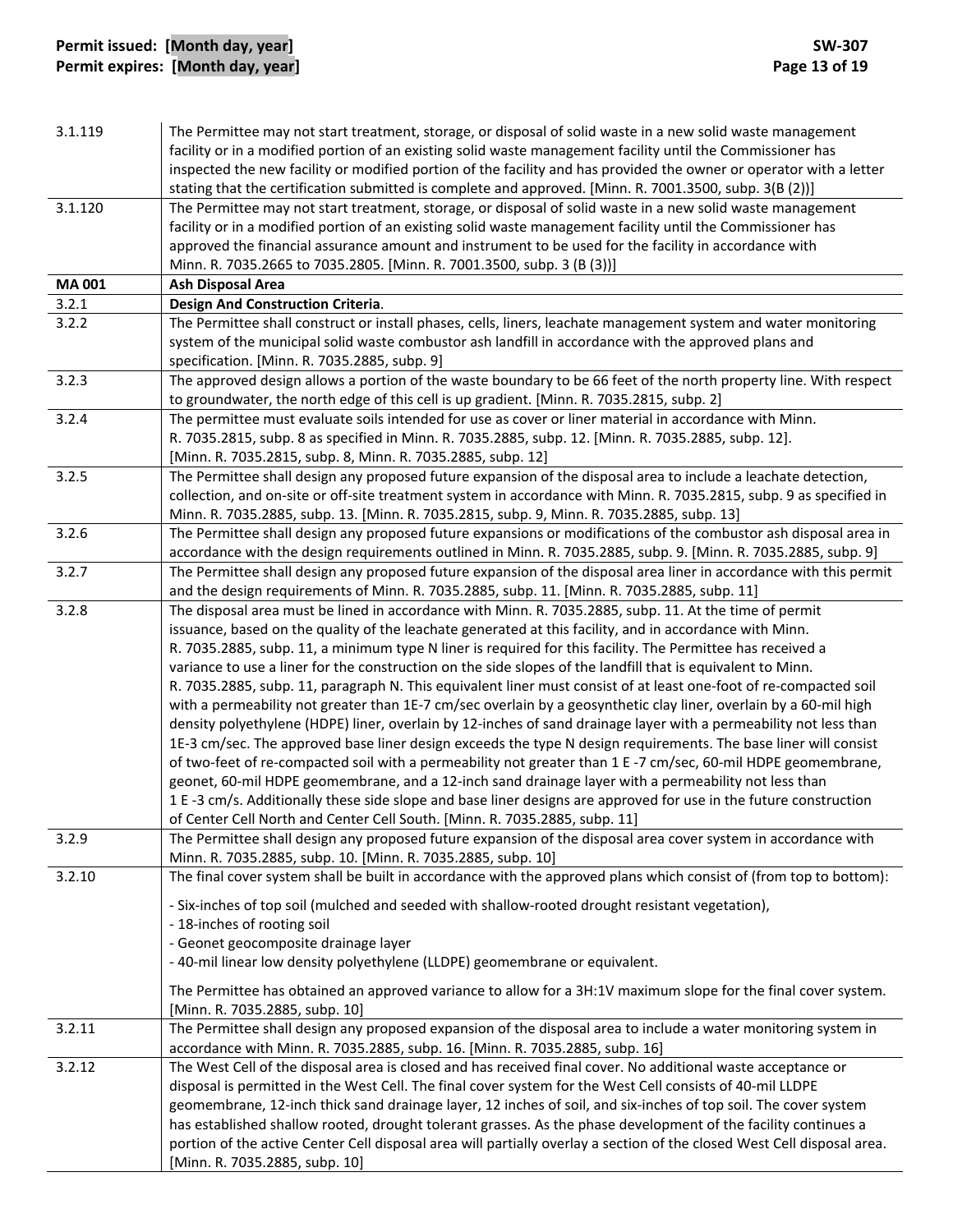| 3.1.119      | The Permittee may not start treatment, storage, or disposal of solid waste in a new solid waste management<br>facility or in a modified portion of an existing solid waste management facility until the Commissioner has<br>inspected the new facility or modified portion of the facility and has provided the owner or operator with a letter<br>stating that the certification submitted is complete and approved. [Minn. R. 7001.3500, subp. 3(B (2))] |
|--------------|-------------------------------------------------------------------------------------------------------------------------------------------------------------------------------------------------------------------------------------------------------------------------------------------------------------------------------------------------------------------------------------------------------------------------------------------------------------|
| 3.1.120      | The Permittee may not start treatment, storage, or disposal of solid waste in a new solid waste management                                                                                                                                                                                                                                                                                                                                                  |
|              | facility or in a modified portion of an existing solid waste management facility until the Commissioner has                                                                                                                                                                                                                                                                                                                                                 |
|              | approved the financial assurance amount and instrument to be used for the facility in accordance with                                                                                                                                                                                                                                                                                                                                                       |
|              | Minn. R. 7035.2665 to 7035.2805. [Minn. R. 7001.3500, subp. 3 (B (3))]                                                                                                                                                                                                                                                                                                                                                                                      |
| <b>MA001</b> | <b>Ash Disposal Area</b>                                                                                                                                                                                                                                                                                                                                                                                                                                    |
| 3.2.1        | <b>Design And Construction Criteria.</b>                                                                                                                                                                                                                                                                                                                                                                                                                    |
| 3.2.2        | The Permittee shall construct or install phases, cells, liners, leachate management system and water monitoring                                                                                                                                                                                                                                                                                                                                             |
|              | system of the municipal solid waste combustor ash landfill in accordance with the approved plans and                                                                                                                                                                                                                                                                                                                                                        |
|              | specification. [Minn. R. 7035.2885, subp. 9]                                                                                                                                                                                                                                                                                                                                                                                                                |
| 3.2.3        | The approved design allows a portion of the waste boundary to be 66 feet of the north property line. With respect                                                                                                                                                                                                                                                                                                                                           |
|              | to groundwater, the north edge of this cell is up gradient. [Minn. R. 7035.2815, subp. 2]                                                                                                                                                                                                                                                                                                                                                                   |
| 3.2.4        | The permittee must evaluate soils intended for use as cover or liner material in accordance with Minn.                                                                                                                                                                                                                                                                                                                                                      |
|              | R. 7035.2815, subp. 8 as specified in Minn. R. 7035.2885, subp. 12. [Minn. R. 7035.2885, subp. 12].                                                                                                                                                                                                                                                                                                                                                         |
|              | [Minn. R. 7035.2815, subp. 8, Minn. R. 7035.2885, subp. 12]                                                                                                                                                                                                                                                                                                                                                                                                 |
| 3.2.5        | The Permittee shall design any proposed future expansion of the disposal area to include a leachate detection,                                                                                                                                                                                                                                                                                                                                              |
|              | collection, and on-site or off-site treatment system in accordance with Minn. R. 7035.2815, subp. 9 as specified in                                                                                                                                                                                                                                                                                                                                         |
|              | Minn. R. 7035.2885, subp. 13. [Minn. R. 7035.2815, subp. 9, Minn. R. 7035.2885, subp. 13]                                                                                                                                                                                                                                                                                                                                                                   |
| 3.2.6        | The Permittee shall design any proposed future expansions or modifications of the combustor ash disposal area in                                                                                                                                                                                                                                                                                                                                            |
|              | accordance with the design requirements outlined in Minn. R. 7035.2885, subp. 9. [Minn. R. 7035.2885, subp. 9]                                                                                                                                                                                                                                                                                                                                              |
| 3.2.7        | The Permittee shall design any proposed future expansion of the disposal area liner in accordance with this permit                                                                                                                                                                                                                                                                                                                                          |
|              | and the design requirements of Minn. R. 7035.2885, subp. 11. [Minn. R. 7035.2885, subp. 11]                                                                                                                                                                                                                                                                                                                                                                 |
| 3.2.8        | The disposal area must be lined in accordance with Minn. R. 7035.2885, subp. 11. At the time of permit                                                                                                                                                                                                                                                                                                                                                      |
|              | issuance, based on the quality of the leachate generated at this facility, and in accordance with Minn.                                                                                                                                                                                                                                                                                                                                                     |
|              | R. 7035.2885, subp. 11, a minimum type N liner is required for this facility. The Permittee has received a                                                                                                                                                                                                                                                                                                                                                  |
|              | variance to use a liner for the construction on the side slopes of the landfill that is equivalent to Minn.                                                                                                                                                                                                                                                                                                                                                 |
|              | R. 7035.2885, subp. 11, paragraph N. This equivalent liner must consist of at least one-foot of re-compacted soil                                                                                                                                                                                                                                                                                                                                           |
|              | with a permeability not greater than 1E-7 cm/sec overlain by a geosynthetic clay liner, overlain by a 60-mil high                                                                                                                                                                                                                                                                                                                                           |
|              | density polyethylene (HDPE) liner, overlain by 12-inches of sand drainage layer with a permeability not less than                                                                                                                                                                                                                                                                                                                                           |
|              | 1E-3 cm/sec. The approved base liner design exceeds the type N design requirements. The base liner will consist                                                                                                                                                                                                                                                                                                                                             |
|              | of two-feet of re-compacted soil with a permeability not greater than 1 E-7 cm/sec, 60-mil HDPE geomembrane,                                                                                                                                                                                                                                                                                                                                                |
|              | geonet, 60-mil HDPE geomembrane, and a 12-inch sand drainage layer with a permeability not less than                                                                                                                                                                                                                                                                                                                                                        |
|              | 1 E -3 cm/s. Additionally these side slope and base liner designs are approved for use in the future construction                                                                                                                                                                                                                                                                                                                                           |
|              | of Center Cell North and Center Cell South. [Minn. R. 7035.2885, subp. 11]                                                                                                                                                                                                                                                                                                                                                                                  |
| 3.2.9        | The Permittee shall design any proposed future expansion of the disposal area cover system in accordance with                                                                                                                                                                                                                                                                                                                                               |
|              | Minn. R. 7035.2885, subp. 10. [Minn. R. 7035.2885, subp. 10]                                                                                                                                                                                                                                                                                                                                                                                                |
| 3.2.10       | The final cover system shall be built in accordance with the approved plans which consist of (from top to bottom):                                                                                                                                                                                                                                                                                                                                          |
|              | - Six-inches of top soil (mulched and seeded with shallow-rooted drought resistant vegetation),                                                                                                                                                                                                                                                                                                                                                             |
|              | - 18-inches of rooting soil                                                                                                                                                                                                                                                                                                                                                                                                                                 |
|              | - Geonet geocomposite drainage layer                                                                                                                                                                                                                                                                                                                                                                                                                        |
|              | -40-mil linear low density polyethylene (LLDPE) geomembrane or equivalent.                                                                                                                                                                                                                                                                                                                                                                                  |
|              |                                                                                                                                                                                                                                                                                                                                                                                                                                                             |
|              | The Permittee has obtained an approved variance to allow for a 3H:1V maximum slope for the final cover system.                                                                                                                                                                                                                                                                                                                                              |
| 3.2.11       | [Minn. R. 7035.2885, subp. 10]<br>The Permittee shall design any proposed expansion of the disposal area to include a water monitoring system in                                                                                                                                                                                                                                                                                                            |
|              |                                                                                                                                                                                                                                                                                                                                                                                                                                                             |
|              | accordance with Minn. R. 7035.2885, subp. 16. [Minn. R. 7035.2885, subp. 16]                                                                                                                                                                                                                                                                                                                                                                                |
| 3.2.12       | The West Cell of the disposal area is closed and has received final cover. No additional waste acceptance or                                                                                                                                                                                                                                                                                                                                                |
|              | disposal is permitted in the West Cell. The final cover system for the West Cell consists of 40-mil LLDPE                                                                                                                                                                                                                                                                                                                                                   |
|              | geomembrane, 12-inch thick sand drainage layer, 12 inches of soil, and six-inches of top soil. The cover system                                                                                                                                                                                                                                                                                                                                             |
|              | has established shallow rooted, drought tolerant grasses. As the phase development of the facility continues a<br>portion of the active Center Cell disposal area will partially overlay a section of the closed West Cell disposal area.                                                                                                                                                                                                                   |
|              | [Minn. R. 7035.2885, subp. 10]                                                                                                                                                                                                                                                                                                                                                                                                                              |
|              |                                                                                                                                                                                                                                                                                                                                                                                                                                                             |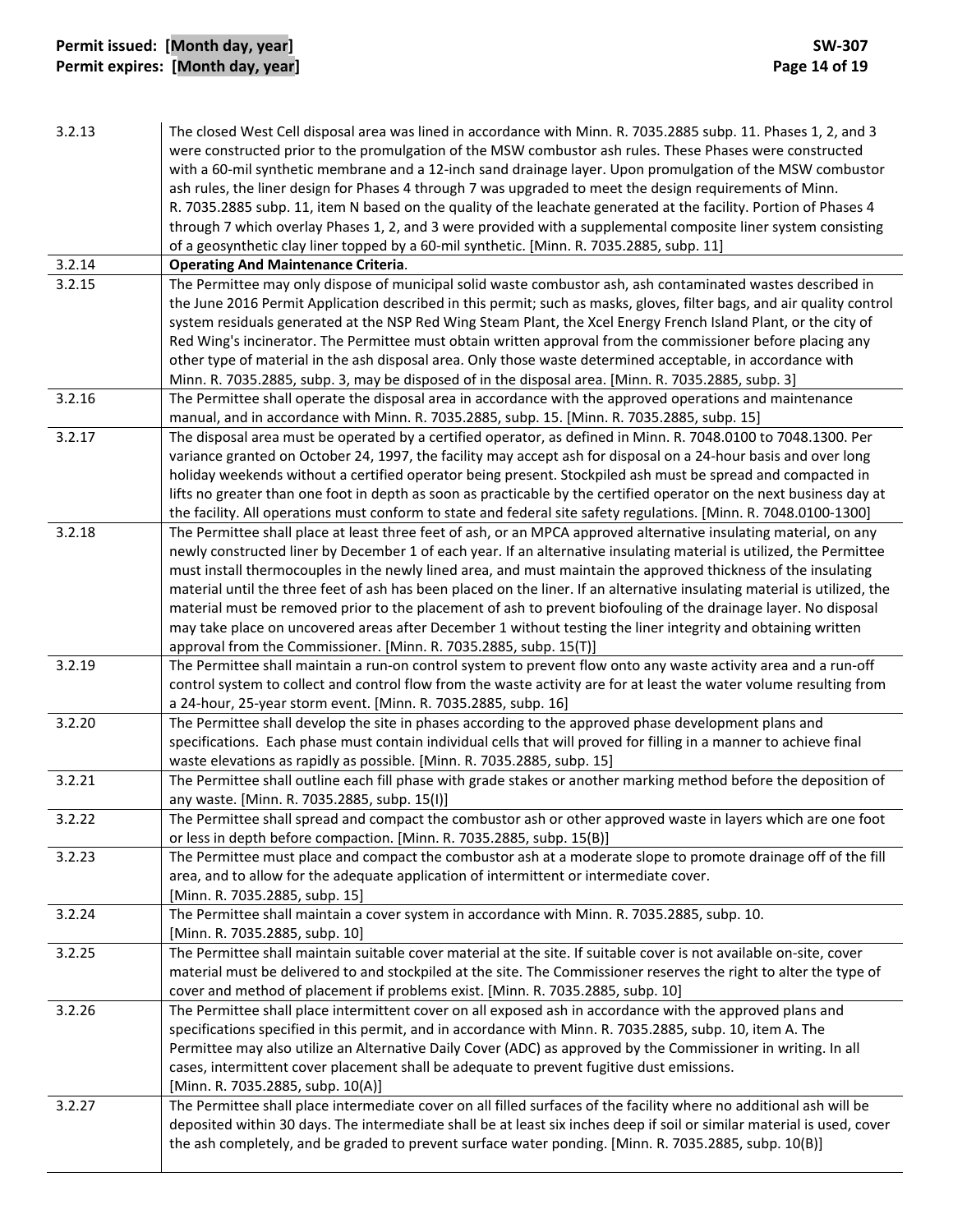# **Permit issued: [Month day, year] SW‐307 Permit expires: [Month day, year] Page 14 of 19**

| 3.2.13 | The closed West Cell disposal area was lined in accordance with Minn. R. 7035.2885 subp. 11. Phases 1, 2, and 3                                                                      |
|--------|--------------------------------------------------------------------------------------------------------------------------------------------------------------------------------------|
|        | were constructed prior to the promulgation of the MSW combustor ash rules. These Phases were constructed                                                                             |
|        | with a 60-mil synthetic membrane and a 12-inch sand drainage layer. Upon promulgation of the MSW combustor                                                                           |
|        | ash rules, the liner design for Phases 4 through 7 was upgraded to meet the design requirements of Minn.                                                                             |
|        | R. 7035.2885 subp. 11, item N based on the quality of the leachate generated at the facility. Portion of Phases 4                                                                    |
|        | through 7 which overlay Phases 1, 2, and 3 were provided with a supplemental composite liner system consisting                                                                       |
|        | of a geosynthetic clay liner topped by a 60-mil synthetic. [Minn. R. 7035.2885, subp. 11]                                                                                            |
| 3.2.14 | <b>Operating And Maintenance Criteria.</b>                                                                                                                                           |
| 3.2.15 | The Permittee may only dispose of municipal solid waste combustor ash, ash contaminated wastes described in                                                                          |
|        | the June 2016 Permit Application described in this permit; such as masks, gloves, filter bags, and air quality control                                                               |
|        | system residuals generated at the NSP Red Wing Steam Plant, the Xcel Energy French Island Plant, or the city of                                                                      |
|        | Red Wing's incinerator. The Permittee must obtain written approval from the commissioner before placing any                                                                          |
|        | other type of material in the ash disposal area. Only those waste determined acceptable, in accordance with                                                                          |
|        | Minn. R. 7035.2885, subp. 3, may be disposed of in the disposal area. [Minn. R. 7035.2885, subp. 3]                                                                                  |
| 3.2.16 | The Permittee shall operate the disposal area in accordance with the approved operations and maintenance                                                                             |
|        | manual, and in accordance with Minn. R. 7035.2885, subp. 15. [Minn. R. 7035.2885, subp. 15]                                                                                          |
| 3.2.17 | The disposal area must be operated by a certified operator, as defined in Minn. R. 7048.0100 to 7048.1300. Per                                                                       |
|        | variance granted on October 24, 1997, the facility may accept ash for disposal on a 24-hour basis and over long                                                                      |
|        | holiday weekends without a certified operator being present. Stockpiled ash must be spread and compacted in                                                                          |
|        | lifts no greater than one foot in depth as soon as practicable by the certified operator on the next business day at                                                                 |
|        | the facility. All operations must conform to state and federal site safety regulations. [Minn. R. 7048.0100-1300]                                                                    |
| 3.2.18 | The Permittee shall place at least three feet of ash, or an MPCA approved alternative insulating material, on any                                                                    |
|        | newly constructed liner by December 1 of each year. If an alternative insulating material is utilized, the Permittee                                                                 |
|        | must install thermocouples in the newly lined area, and must maintain the approved thickness of the insulating                                                                       |
|        | material until the three feet of ash has been placed on the liner. If an alternative insulating material is utilized, the                                                            |
|        | material must be removed prior to the placement of ash to prevent biofouling of the drainage layer. No disposal                                                                      |
|        | may take place on uncovered areas after December 1 without testing the liner integrity and obtaining written                                                                         |
| 3.2.19 | approval from the Commissioner. [Minn. R. 7035.2885, subp. 15(T)]<br>The Permittee shall maintain a run-on control system to prevent flow onto any waste activity area and a run-off |
|        | control system to collect and control flow from the waste activity are for at least the water volume resulting from                                                                  |
|        | a 24-hour, 25-year storm event. [Minn. R. 7035.2885, subp. 16]                                                                                                                       |
| 3.2.20 | The Permittee shall develop the site in phases according to the approved phase development plans and                                                                                 |
|        | specifications. Each phase must contain individual cells that will proved for filling in a manner to achieve final                                                                   |
|        | waste elevations as rapidly as possible. [Minn. R. 7035.2885, subp. 15]                                                                                                              |
| 3.2.21 | The Permittee shall outline each fill phase with grade stakes or another marking method before the deposition of                                                                     |
|        | any waste. [Minn. R. 7035.2885, subp. 15(I)]                                                                                                                                         |
| 3.2.22 | The Permittee shall spread and compact the combustor ash or other approved waste in layers which are one foot                                                                        |
|        | or less in depth before compaction. [Minn. R. 7035.2885, subp. 15(B)]                                                                                                                |
| 3.2.23 | The Permittee must place and compact the combustor ash at a moderate slope to promote drainage off of the fill                                                                       |
|        | area, and to allow for the adequate application of intermittent or intermediate cover.                                                                                               |
|        | [Minn. R. 7035.2885, subp. 15]                                                                                                                                                       |
| 3.2.24 | The Permittee shall maintain a cover system in accordance with Minn. R. 7035.2885, subp. 10.                                                                                         |
|        | [Minn. R. 7035.2885, subp. 10]                                                                                                                                                       |
| 3.2.25 | The Permittee shall maintain suitable cover material at the site. If suitable cover is not available on-site, cover                                                                  |
|        | material must be delivered to and stockpiled at the site. The Commissioner reserves the right to alter the type of                                                                   |
|        | cover and method of placement if problems exist. [Minn. R. 7035.2885, subp. 10]                                                                                                      |
| 3.2.26 | The Permittee shall place intermittent cover on all exposed ash in accordance with the approved plans and                                                                            |
|        | specifications specified in this permit, and in accordance with Minn. R. 7035.2885, subp. 10, item A. The                                                                            |
|        | Permittee may also utilize an Alternative Daily Cover (ADC) as approved by the Commissioner in writing. In all                                                                       |
|        | cases, intermittent cover placement shall be adequate to prevent fugitive dust emissions.                                                                                            |
|        | [Minn. R. 7035.2885, subp. 10(A)]                                                                                                                                                    |
| 3.2.27 | The Permittee shall place intermediate cover on all filled surfaces of the facility where no additional ash will be                                                                  |
|        | deposited within 30 days. The intermediate shall be at least six inches deep if soil or similar material is used, cover                                                              |
|        | the ash completely, and be graded to prevent surface water ponding. [Minn. R. 7035.2885, subp. 10(B)]                                                                                |
|        |                                                                                                                                                                                      |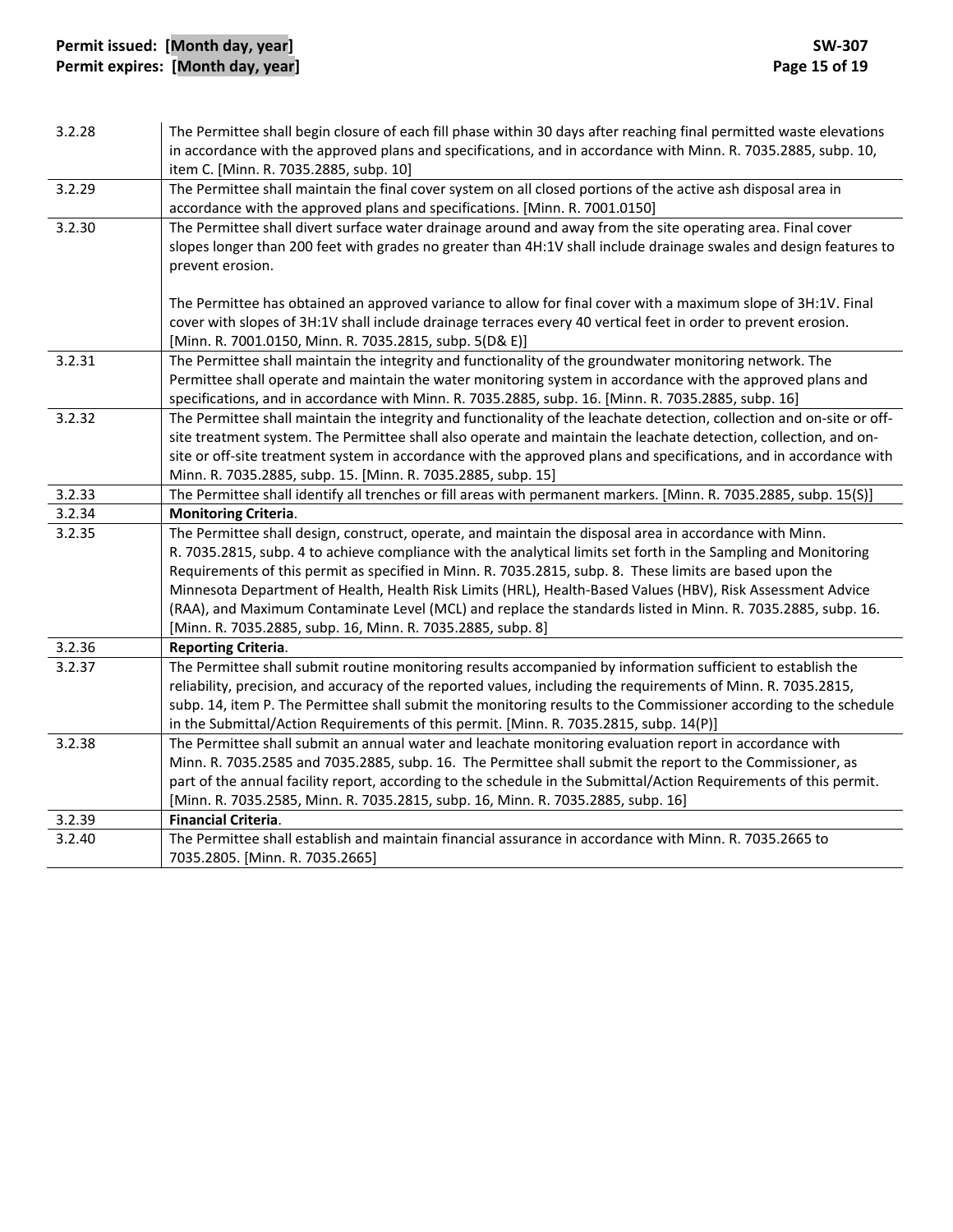| item C. [Minn. R. 7035.2885, subp. 10]<br>3.2.29<br>The Permittee shall maintain the final cover system on all closed portions of the active ash disposal area in<br>accordance with the approved plans and specifications. [Minn. R. 7001.0150]<br>3.2.30<br>The Permittee shall divert surface water drainage around and away from the site operating area. Final cover<br>slopes longer than 200 feet with grades no greater than 4H:1V shall include drainage swales and design features to<br>prevent erosion.<br>The Permittee has obtained an approved variance to allow for final cover with a maximum slope of 3H:1V. Final<br>cover with slopes of 3H:1V shall include drainage terraces every 40 vertical feet in order to prevent erosion.<br>[Minn. R. 7001.0150, Minn. R. 7035.2815, subp. 5(D& E)]<br>3.2.31<br>The Permittee shall maintain the integrity and functionality of the groundwater monitoring network. The<br>Permittee shall operate and maintain the water monitoring system in accordance with the approved plans and<br>specifications, and in accordance with Minn. R. 7035.2885, subp. 16. [Minn. R. 7035.2885, subp. 16]<br>3.2.32<br>The Permittee shall maintain the integrity and functionality of the leachate detection, collection and on-site or off-<br>site treatment system. The Permittee shall also operate and maintain the leachate detection, collection, and on-<br>site or off-site treatment system in accordance with the approved plans and specifications, and in accordance with<br>Minn. R. 7035.2885, subp. 15. [Minn. R. 7035.2885, subp. 15]<br>The Permittee shall identify all trenches or fill areas with permanent markers. [Minn. R. 7035.2885, subp. 15(S)]<br>3.2.33<br>3.2.34<br><b>Monitoring Criteria.</b><br>3.2.35<br>The Permittee shall design, construct, operate, and maintain the disposal area in accordance with Minn.<br>R. 7035.2815, subp. 4 to achieve compliance with the analytical limits set forth in the Sampling and Monitoring<br>Requirements of this permit as specified in Minn. R. 7035.2815, subp. 8. These limits are based upon the<br>Minnesota Department of Health, Health Risk Limits (HRL), Health-Based Values (HBV), Risk Assessment Advice<br>(RAA), and Maximum Contaminate Level (MCL) and replace the standards listed in Minn. R. 7035.2885, subp. 16.<br>[Minn. R. 7035.2885, subp. 16, Minn. R. 7035.2885, subp. 8]<br>3.2.36<br><b>Reporting Criteria.</b><br>The Permittee shall submit routine monitoring results accompanied by information sufficient to establish the<br>3.2.37<br>reliability, precision, and accuracy of the reported values, including the requirements of Minn. R. 7035.2815,<br>subp. 14, item P. The Permittee shall submit the monitoring results to the Commissioner according to the schedule<br>in the Submittal/Action Requirements of this permit. [Minn. R. 7035.2815, subp. 14(P)]<br>3.2.38<br>The Permittee shall submit an annual water and leachate monitoring evaluation report in accordance with<br>Minn. R. 7035.2585 and 7035.2885, subp. 16. The Permittee shall submit the report to the Commissioner, as<br>part of the annual facility report, according to the schedule in the Submittal/Action Requirements of this permit.<br>[Minn. R. 7035.2585, Minn. R. 7035.2815, subp. 16, Minn. R. 7035.2885, subp. 16] | 3.2.28 | The Permittee shall begin closure of each fill phase within 30 days after reaching final permitted waste elevations |
|------------------------------------------------------------------------------------------------------------------------------------------------------------------------------------------------------------------------------------------------------------------------------------------------------------------------------------------------------------------------------------------------------------------------------------------------------------------------------------------------------------------------------------------------------------------------------------------------------------------------------------------------------------------------------------------------------------------------------------------------------------------------------------------------------------------------------------------------------------------------------------------------------------------------------------------------------------------------------------------------------------------------------------------------------------------------------------------------------------------------------------------------------------------------------------------------------------------------------------------------------------------------------------------------------------------------------------------------------------------------------------------------------------------------------------------------------------------------------------------------------------------------------------------------------------------------------------------------------------------------------------------------------------------------------------------------------------------------------------------------------------------------------------------------------------------------------------------------------------------------------------------------------------------------------------------------------------------------------------------------------------------------------------------------------------------------------------------------------------------------------------------------------------------------------------------------------------------------------------------------------------------------------------------------------------------------------------------------------------------------------------------------------------------------------------------------------------------------------------------------------------------------------------------------------------------------------------------------------------------------------------------------------------------------------------------------------------------------------------------------------------------------------------------------------------------------------------------------------------------------------------------------------------------------------------------------------------------------------------------------------------------------------------------------------------------------------------------------------------------------------------------------------------------------------------------------------------------------------------------------------------------------------------------------------------------------------------------------------------------------------------|--------|---------------------------------------------------------------------------------------------------------------------|
|                                                                                                                                                                                                                                                                                                                                                                                                                                                                                                                                                                                                                                                                                                                                                                                                                                                                                                                                                                                                                                                                                                                                                                                                                                                                                                                                                                                                                                                                                                                                                                                                                                                                                                                                                                                                                                                                                                                                                                                                                                                                                                                                                                                                                                                                                                                                                                                                                                                                                                                                                                                                                                                                                                                                                                                                                                                                                                                                                                                                                                                                                                                                                                                                                                                                                                                                                                                    |        | in accordance with the approved plans and specifications, and in accordance with Minn. R. 7035.2885, subp. 10,      |
|                                                                                                                                                                                                                                                                                                                                                                                                                                                                                                                                                                                                                                                                                                                                                                                                                                                                                                                                                                                                                                                                                                                                                                                                                                                                                                                                                                                                                                                                                                                                                                                                                                                                                                                                                                                                                                                                                                                                                                                                                                                                                                                                                                                                                                                                                                                                                                                                                                                                                                                                                                                                                                                                                                                                                                                                                                                                                                                                                                                                                                                                                                                                                                                                                                                                                                                                                                                    |        |                                                                                                                     |
|                                                                                                                                                                                                                                                                                                                                                                                                                                                                                                                                                                                                                                                                                                                                                                                                                                                                                                                                                                                                                                                                                                                                                                                                                                                                                                                                                                                                                                                                                                                                                                                                                                                                                                                                                                                                                                                                                                                                                                                                                                                                                                                                                                                                                                                                                                                                                                                                                                                                                                                                                                                                                                                                                                                                                                                                                                                                                                                                                                                                                                                                                                                                                                                                                                                                                                                                                                                    |        |                                                                                                                     |
|                                                                                                                                                                                                                                                                                                                                                                                                                                                                                                                                                                                                                                                                                                                                                                                                                                                                                                                                                                                                                                                                                                                                                                                                                                                                                                                                                                                                                                                                                                                                                                                                                                                                                                                                                                                                                                                                                                                                                                                                                                                                                                                                                                                                                                                                                                                                                                                                                                                                                                                                                                                                                                                                                                                                                                                                                                                                                                                                                                                                                                                                                                                                                                                                                                                                                                                                                                                    |        |                                                                                                                     |
|                                                                                                                                                                                                                                                                                                                                                                                                                                                                                                                                                                                                                                                                                                                                                                                                                                                                                                                                                                                                                                                                                                                                                                                                                                                                                                                                                                                                                                                                                                                                                                                                                                                                                                                                                                                                                                                                                                                                                                                                                                                                                                                                                                                                                                                                                                                                                                                                                                                                                                                                                                                                                                                                                                                                                                                                                                                                                                                                                                                                                                                                                                                                                                                                                                                                                                                                                                                    |        |                                                                                                                     |
|                                                                                                                                                                                                                                                                                                                                                                                                                                                                                                                                                                                                                                                                                                                                                                                                                                                                                                                                                                                                                                                                                                                                                                                                                                                                                                                                                                                                                                                                                                                                                                                                                                                                                                                                                                                                                                                                                                                                                                                                                                                                                                                                                                                                                                                                                                                                                                                                                                                                                                                                                                                                                                                                                                                                                                                                                                                                                                                                                                                                                                                                                                                                                                                                                                                                                                                                                                                    |        |                                                                                                                     |
|                                                                                                                                                                                                                                                                                                                                                                                                                                                                                                                                                                                                                                                                                                                                                                                                                                                                                                                                                                                                                                                                                                                                                                                                                                                                                                                                                                                                                                                                                                                                                                                                                                                                                                                                                                                                                                                                                                                                                                                                                                                                                                                                                                                                                                                                                                                                                                                                                                                                                                                                                                                                                                                                                                                                                                                                                                                                                                                                                                                                                                                                                                                                                                                                                                                                                                                                                                                    |        |                                                                                                                     |
|                                                                                                                                                                                                                                                                                                                                                                                                                                                                                                                                                                                                                                                                                                                                                                                                                                                                                                                                                                                                                                                                                                                                                                                                                                                                                                                                                                                                                                                                                                                                                                                                                                                                                                                                                                                                                                                                                                                                                                                                                                                                                                                                                                                                                                                                                                                                                                                                                                                                                                                                                                                                                                                                                                                                                                                                                                                                                                                                                                                                                                                                                                                                                                                                                                                                                                                                                                                    |        |                                                                                                                     |
|                                                                                                                                                                                                                                                                                                                                                                                                                                                                                                                                                                                                                                                                                                                                                                                                                                                                                                                                                                                                                                                                                                                                                                                                                                                                                                                                                                                                                                                                                                                                                                                                                                                                                                                                                                                                                                                                                                                                                                                                                                                                                                                                                                                                                                                                                                                                                                                                                                                                                                                                                                                                                                                                                                                                                                                                                                                                                                                                                                                                                                                                                                                                                                                                                                                                                                                                                                                    |        |                                                                                                                     |
|                                                                                                                                                                                                                                                                                                                                                                                                                                                                                                                                                                                                                                                                                                                                                                                                                                                                                                                                                                                                                                                                                                                                                                                                                                                                                                                                                                                                                                                                                                                                                                                                                                                                                                                                                                                                                                                                                                                                                                                                                                                                                                                                                                                                                                                                                                                                                                                                                                                                                                                                                                                                                                                                                                                                                                                                                                                                                                                                                                                                                                                                                                                                                                                                                                                                                                                                                                                    |        |                                                                                                                     |
|                                                                                                                                                                                                                                                                                                                                                                                                                                                                                                                                                                                                                                                                                                                                                                                                                                                                                                                                                                                                                                                                                                                                                                                                                                                                                                                                                                                                                                                                                                                                                                                                                                                                                                                                                                                                                                                                                                                                                                                                                                                                                                                                                                                                                                                                                                                                                                                                                                                                                                                                                                                                                                                                                                                                                                                                                                                                                                                                                                                                                                                                                                                                                                                                                                                                                                                                                                                    |        |                                                                                                                     |
|                                                                                                                                                                                                                                                                                                                                                                                                                                                                                                                                                                                                                                                                                                                                                                                                                                                                                                                                                                                                                                                                                                                                                                                                                                                                                                                                                                                                                                                                                                                                                                                                                                                                                                                                                                                                                                                                                                                                                                                                                                                                                                                                                                                                                                                                                                                                                                                                                                                                                                                                                                                                                                                                                                                                                                                                                                                                                                                                                                                                                                                                                                                                                                                                                                                                                                                                                                                    |        |                                                                                                                     |
|                                                                                                                                                                                                                                                                                                                                                                                                                                                                                                                                                                                                                                                                                                                                                                                                                                                                                                                                                                                                                                                                                                                                                                                                                                                                                                                                                                                                                                                                                                                                                                                                                                                                                                                                                                                                                                                                                                                                                                                                                                                                                                                                                                                                                                                                                                                                                                                                                                                                                                                                                                                                                                                                                                                                                                                                                                                                                                                                                                                                                                                                                                                                                                                                                                                                                                                                                                                    |        |                                                                                                                     |
|                                                                                                                                                                                                                                                                                                                                                                                                                                                                                                                                                                                                                                                                                                                                                                                                                                                                                                                                                                                                                                                                                                                                                                                                                                                                                                                                                                                                                                                                                                                                                                                                                                                                                                                                                                                                                                                                                                                                                                                                                                                                                                                                                                                                                                                                                                                                                                                                                                                                                                                                                                                                                                                                                                                                                                                                                                                                                                                                                                                                                                                                                                                                                                                                                                                                                                                                                                                    |        |                                                                                                                     |
|                                                                                                                                                                                                                                                                                                                                                                                                                                                                                                                                                                                                                                                                                                                                                                                                                                                                                                                                                                                                                                                                                                                                                                                                                                                                                                                                                                                                                                                                                                                                                                                                                                                                                                                                                                                                                                                                                                                                                                                                                                                                                                                                                                                                                                                                                                                                                                                                                                                                                                                                                                                                                                                                                                                                                                                                                                                                                                                                                                                                                                                                                                                                                                                                                                                                                                                                                                                    |        |                                                                                                                     |
|                                                                                                                                                                                                                                                                                                                                                                                                                                                                                                                                                                                                                                                                                                                                                                                                                                                                                                                                                                                                                                                                                                                                                                                                                                                                                                                                                                                                                                                                                                                                                                                                                                                                                                                                                                                                                                                                                                                                                                                                                                                                                                                                                                                                                                                                                                                                                                                                                                                                                                                                                                                                                                                                                                                                                                                                                                                                                                                                                                                                                                                                                                                                                                                                                                                                                                                                                                                    |        |                                                                                                                     |
|                                                                                                                                                                                                                                                                                                                                                                                                                                                                                                                                                                                                                                                                                                                                                                                                                                                                                                                                                                                                                                                                                                                                                                                                                                                                                                                                                                                                                                                                                                                                                                                                                                                                                                                                                                                                                                                                                                                                                                                                                                                                                                                                                                                                                                                                                                                                                                                                                                                                                                                                                                                                                                                                                                                                                                                                                                                                                                                                                                                                                                                                                                                                                                                                                                                                                                                                                                                    |        |                                                                                                                     |
|                                                                                                                                                                                                                                                                                                                                                                                                                                                                                                                                                                                                                                                                                                                                                                                                                                                                                                                                                                                                                                                                                                                                                                                                                                                                                                                                                                                                                                                                                                                                                                                                                                                                                                                                                                                                                                                                                                                                                                                                                                                                                                                                                                                                                                                                                                                                                                                                                                                                                                                                                                                                                                                                                                                                                                                                                                                                                                                                                                                                                                                                                                                                                                                                                                                                                                                                                                                    |        |                                                                                                                     |
|                                                                                                                                                                                                                                                                                                                                                                                                                                                                                                                                                                                                                                                                                                                                                                                                                                                                                                                                                                                                                                                                                                                                                                                                                                                                                                                                                                                                                                                                                                                                                                                                                                                                                                                                                                                                                                                                                                                                                                                                                                                                                                                                                                                                                                                                                                                                                                                                                                                                                                                                                                                                                                                                                                                                                                                                                                                                                                                                                                                                                                                                                                                                                                                                                                                                                                                                                                                    |        |                                                                                                                     |
|                                                                                                                                                                                                                                                                                                                                                                                                                                                                                                                                                                                                                                                                                                                                                                                                                                                                                                                                                                                                                                                                                                                                                                                                                                                                                                                                                                                                                                                                                                                                                                                                                                                                                                                                                                                                                                                                                                                                                                                                                                                                                                                                                                                                                                                                                                                                                                                                                                                                                                                                                                                                                                                                                                                                                                                                                                                                                                                                                                                                                                                                                                                                                                                                                                                                                                                                                                                    |        |                                                                                                                     |
|                                                                                                                                                                                                                                                                                                                                                                                                                                                                                                                                                                                                                                                                                                                                                                                                                                                                                                                                                                                                                                                                                                                                                                                                                                                                                                                                                                                                                                                                                                                                                                                                                                                                                                                                                                                                                                                                                                                                                                                                                                                                                                                                                                                                                                                                                                                                                                                                                                                                                                                                                                                                                                                                                                                                                                                                                                                                                                                                                                                                                                                                                                                                                                                                                                                                                                                                                                                    |        |                                                                                                                     |
|                                                                                                                                                                                                                                                                                                                                                                                                                                                                                                                                                                                                                                                                                                                                                                                                                                                                                                                                                                                                                                                                                                                                                                                                                                                                                                                                                                                                                                                                                                                                                                                                                                                                                                                                                                                                                                                                                                                                                                                                                                                                                                                                                                                                                                                                                                                                                                                                                                                                                                                                                                                                                                                                                                                                                                                                                                                                                                                                                                                                                                                                                                                                                                                                                                                                                                                                                                                    |        |                                                                                                                     |
|                                                                                                                                                                                                                                                                                                                                                                                                                                                                                                                                                                                                                                                                                                                                                                                                                                                                                                                                                                                                                                                                                                                                                                                                                                                                                                                                                                                                                                                                                                                                                                                                                                                                                                                                                                                                                                                                                                                                                                                                                                                                                                                                                                                                                                                                                                                                                                                                                                                                                                                                                                                                                                                                                                                                                                                                                                                                                                                                                                                                                                                                                                                                                                                                                                                                                                                                                                                    |        |                                                                                                                     |
|                                                                                                                                                                                                                                                                                                                                                                                                                                                                                                                                                                                                                                                                                                                                                                                                                                                                                                                                                                                                                                                                                                                                                                                                                                                                                                                                                                                                                                                                                                                                                                                                                                                                                                                                                                                                                                                                                                                                                                                                                                                                                                                                                                                                                                                                                                                                                                                                                                                                                                                                                                                                                                                                                                                                                                                                                                                                                                                                                                                                                                                                                                                                                                                                                                                                                                                                                                                    |        |                                                                                                                     |
|                                                                                                                                                                                                                                                                                                                                                                                                                                                                                                                                                                                                                                                                                                                                                                                                                                                                                                                                                                                                                                                                                                                                                                                                                                                                                                                                                                                                                                                                                                                                                                                                                                                                                                                                                                                                                                                                                                                                                                                                                                                                                                                                                                                                                                                                                                                                                                                                                                                                                                                                                                                                                                                                                                                                                                                                                                                                                                                                                                                                                                                                                                                                                                                                                                                                                                                                                                                    |        |                                                                                                                     |
|                                                                                                                                                                                                                                                                                                                                                                                                                                                                                                                                                                                                                                                                                                                                                                                                                                                                                                                                                                                                                                                                                                                                                                                                                                                                                                                                                                                                                                                                                                                                                                                                                                                                                                                                                                                                                                                                                                                                                                                                                                                                                                                                                                                                                                                                                                                                                                                                                                                                                                                                                                                                                                                                                                                                                                                                                                                                                                                                                                                                                                                                                                                                                                                                                                                                                                                                                                                    |        |                                                                                                                     |
|                                                                                                                                                                                                                                                                                                                                                                                                                                                                                                                                                                                                                                                                                                                                                                                                                                                                                                                                                                                                                                                                                                                                                                                                                                                                                                                                                                                                                                                                                                                                                                                                                                                                                                                                                                                                                                                                                                                                                                                                                                                                                                                                                                                                                                                                                                                                                                                                                                                                                                                                                                                                                                                                                                                                                                                                                                                                                                                                                                                                                                                                                                                                                                                                                                                                                                                                                                                    |        |                                                                                                                     |
|                                                                                                                                                                                                                                                                                                                                                                                                                                                                                                                                                                                                                                                                                                                                                                                                                                                                                                                                                                                                                                                                                                                                                                                                                                                                                                                                                                                                                                                                                                                                                                                                                                                                                                                                                                                                                                                                                                                                                                                                                                                                                                                                                                                                                                                                                                                                                                                                                                                                                                                                                                                                                                                                                                                                                                                                                                                                                                                                                                                                                                                                                                                                                                                                                                                                                                                                                                                    |        |                                                                                                                     |
|                                                                                                                                                                                                                                                                                                                                                                                                                                                                                                                                                                                                                                                                                                                                                                                                                                                                                                                                                                                                                                                                                                                                                                                                                                                                                                                                                                                                                                                                                                                                                                                                                                                                                                                                                                                                                                                                                                                                                                                                                                                                                                                                                                                                                                                                                                                                                                                                                                                                                                                                                                                                                                                                                                                                                                                                                                                                                                                                                                                                                                                                                                                                                                                                                                                                                                                                                                                    |        |                                                                                                                     |
|                                                                                                                                                                                                                                                                                                                                                                                                                                                                                                                                                                                                                                                                                                                                                                                                                                                                                                                                                                                                                                                                                                                                                                                                                                                                                                                                                                                                                                                                                                                                                                                                                                                                                                                                                                                                                                                                                                                                                                                                                                                                                                                                                                                                                                                                                                                                                                                                                                                                                                                                                                                                                                                                                                                                                                                                                                                                                                                                                                                                                                                                                                                                                                                                                                                                                                                                                                                    |        |                                                                                                                     |
|                                                                                                                                                                                                                                                                                                                                                                                                                                                                                                                                                                                                                                                                                                                                                                                                                                                                                                                                                                                                                                                                                                                                                                                                                                                                                                                                                                                                                                                                                                                                                                                                                                                                                                                                                                                                                                                                                                                                                                                                                                                                                                                                                                                                                                                                                                                                                                                                                                                                                                                                                                                                                                                                                                                                                                                                                                                                                                                                                                                                                                                                                                                                                                                                                                                                                                                                                                                    |        |                                                                                                                     |
|                                                                                                                                                                                                                                                                                                                                                                                                                                                                                                                                                                                                                                                                                                                                                                                                                                                                                                                                                                                                                                                                                                                                                                                                                                                                                                                                                                                                                                                                                                                                                                                                                                                                                                                                                                                                                                                                                                                                                                                                                                                                                                                                                                                                                                                                                                                                                                                                                                                                                                                                                                                                                                                                                                                                                                                                                                                                                                                                                                                                                                                                                                                                                                                                                                                                                                                                                                                    |        |                                                                                                                     |
|                                                                                                                                                                                                                                                                                                                                                                                                                                                                                                                                                                                                                                                                                                                                                                                                                                                                                                                                                                                                                                                                                                                                                                                                                                                                                                                                                                                                                                                                                                                                                                                                                                                                                                                                                                                                                                                                                                                                                                                                                                                                                                                                                                                                                                                                                                                                                                                                                                                                                                                                                                                                                                                                                                                                                                                                                                                                                                                                                                                                                                                                                                                                                                                                                                                                                                                                                                                    |        |                                                                                                                     |
|                                                                                                                                                                                                                                                                                                                                                                                                                                                                                                                                                                                                                                                                                                                                                                                                                                                                                                                                                                                                                                                                                                                                                                                                                                                                                                                                                                                                                                                                                                                                                                                                                                                                                                                                                                                                                                                                                                                                                                                                                                                                                                                                                                                                                                                                                                                                                                                                                                                                                                                                                                                                                                                                                                                                                                                                                                                                                                                                                                                                                                                                                                                                                                                                                                                                                                                                                                                    |        |                                                                                                                     |
|                                                                                                                                                                                                                                                                                                                                                                                                                                                                                                                                                                                                                                                                                                                                                                                                                                                                                                                                                                                                                                                                                                                                                                                                                                                                                                                                                                                                                                                                                                                                                                                                                                                                                                                                                                                                                                                                                                                                                                                                                                                                                                                                                                                                                                                                                                                                                                                                                                                                                                                                                                                                                                                                                                                                                                                                                                                                                                                                                                                                                                                                                                                                                                                                                                                                                                                                                                                    | 3.2.39 | <b>Financial Criteria.</b>                                                                                          |
| The Permittee shall establish and maintain financial assurance in accordance with Minn. R. 7035.2665 to<br>3.2.40                                                                                                                                                                                                                                                                                                                                                                                                                                                                                                                                                                                                                                                                                                                                                                                                                                                                                                                                                                                                                                                                                                                                                                                                                                                                                                                                                                                                                                                                                                                                                                                                                                                                                                                                                                                                                                                                                                                                                                                                                                                                                                                                                                                                                                                                                                                                                                                                                                                                                                                                                                                                                                                                                                                                                                                                                                                                                                                                                                                                                                                                                                                                                                                                                                                                  |        |                                                                                                                     |
|                                                                                                                                                                                                                                                                                                                                                                                                                                                                                                                                                                                                                                                                                                                                                                                                                                                                                                                                                                                                                                                                                                                                                                                                                                                                                                                                                                                                                                                                                                                                                                                                                                                                                                                                                                                                                                                                                                                                                                                                                                                                                                                                                                                                                                                                                                                                                                                                                                                                                                                                                                                                                                                                                                                                                                                                                                                                                                                                                                                                                                                                                                                                                                                                                                                                                                                                                                                    |        | 7035.2805. [Minn. R. 7035.2665]                                                                                     |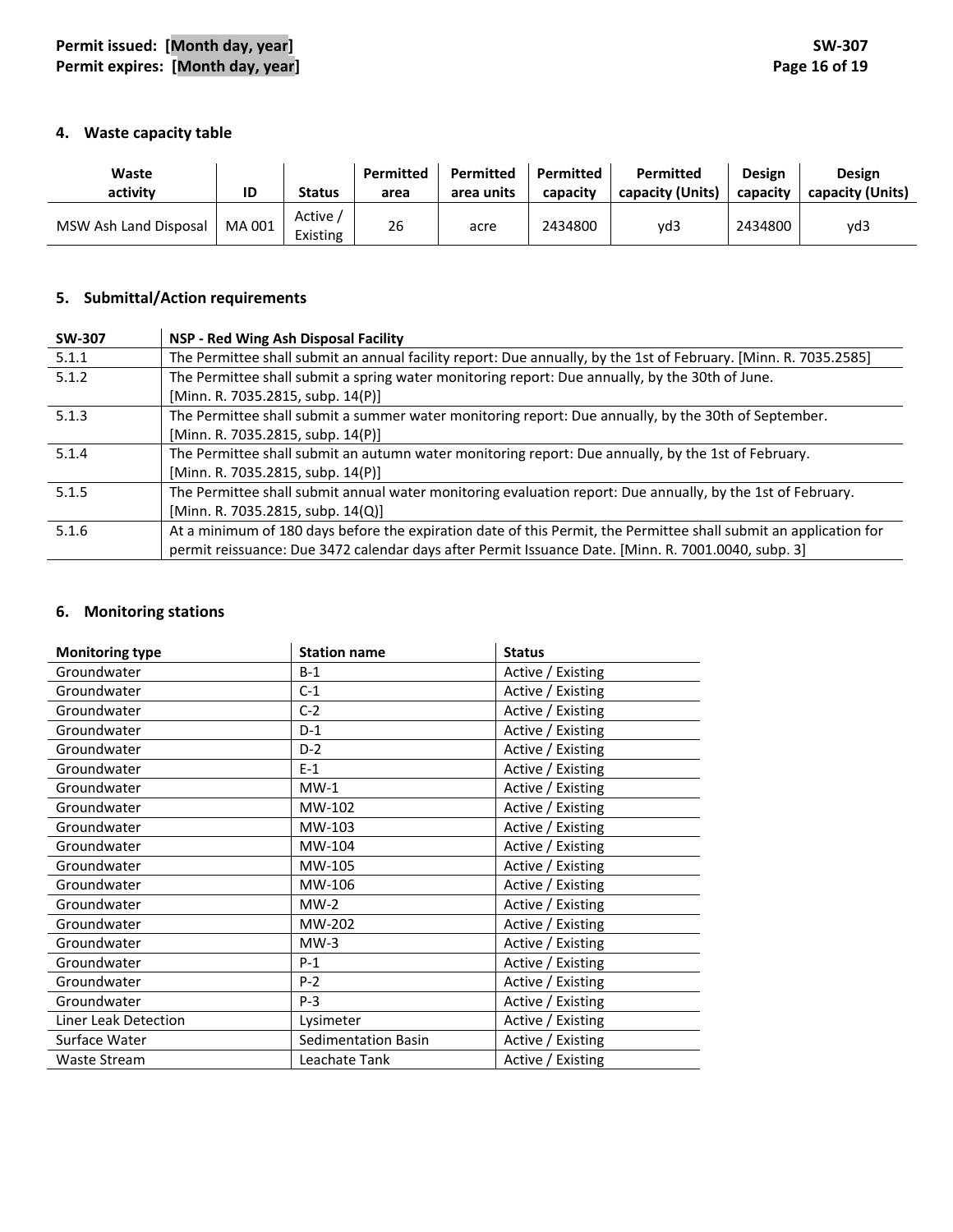### **4. Waste capacity table**

| Waste<br>activity     | ID     | <b>Status</b>       | Permitted<br>area | Permitted<br>area units | Permitted<br>capacity | <b>Permitted</b><br>capacity (Units) | <b>Design</b><br>capacity | <b>Design</b><br>capacity (Units) |
|-----------------------|--------|---------------------|-------------------|-------------------------|-----------------------|--------------------------------------|---------------------------|-----------------------------------|
| MSW Ash Land Disposal | MA 001 | Active,<br>Existing | 26                | acre                    | 2434800               | yd3                                  | 2434800                   | vd3                               |

### **5. Submittal/Action requirements**

| <b>SW-307</b> | NSP - Red Wing Ash Disposal Facility                                                                              |
|---------------|-------------------------------------------------------------------------------------------------------------------|
| 5.1.1         | The Permittee shall submit an annual facility report: Due annually, by the 1st of February. [Minn. R. 7035.2585]  |
| 5.1.2         | The Permittee shall submit a spring water monitoring report: Due annually, by the 30th of June.                   |
|               | [Minn. R. 7035.2815, subp. 14(P)]                                                                                 |
| 5.1.3         | The Permittee shall submit a summer water monitoring report: Due annually, by the 30th of September.              |
|               | [Minn. R. 7035.2815, subp. 14(P)]                                                                                 |
| 5.1.4         | The Permittee shall submit an autumn water monitoring report: Due annually, by the 1st of February.               |
|               | [Minn. R. 7035.2815, subp. 14(P)]                                                                                 |
| 5.1.5         | The Permittee shall submit annual water monitoring evaluation report: Due annually, by the 1st of February.       |
|               | [Minn. R. 7035.2815, subp. 14(Q)]                                                                                 |
| 5.1.6         | At a minimum of 180 days before the expiration date of this Permit, the Permittee shall submit an application for |
|               | permit reissuance: Due 3472 calendar days after Permit Issuance Date. [Minn. R. 7001.0040, subp. 3]               |

# **6. Monitoring stations**

| <b>Monitoring type</b> | <b>Station name</b>        | <b>Status</b>     |
|------------------------|----------------------------|-------------------|
| Groundwater            | $B-1$                      | Active / Existing |
| Groundwater            | $C-1$                      | Active / Existing |
| Groundwater            | $C-2$                      | Active / Existing |
| Groundwater            | $D-1$                      | Active / Existing |
| Groundwater            | $D-2$                      | Active / Existing |
| Groundwater            | $E-1$                      | Active / Existing |
| Groundwater            | $MW-1$                     | Active / Existing |
| Groundwater            | MW-102                     | Active / Existing |
| Groundwater            | MW-103                     | Active / Existing |
| Groundwater            | MW-104                     | Active / Existing |
| Groundwater            | MW-105                     | Active / Existing |
| Groundwater            | MW-106                     | Active / Existing |
| Groundwater            | $MW-2$                     | Active / Existing |
| Groundwater            | MW-202                     | Active / Existing |
| Groundwater            | $MW-3$                     | Active / Existing |
| Groundwater            | $P-1$                      | Active / Existing |
| Groundwater            | $P-2$                      | Active / Existing |
| Groundwater            | $P-3$                      | Active / Existing |
| Liner Leak Detection   | Lysimeter                  | Active / Existing |
| Surface Water          | <b>Sedimentation Basin</b> | Active / Existing |
| <b>Waste Stream</b>    | Leachate Tank              | Active / Existing |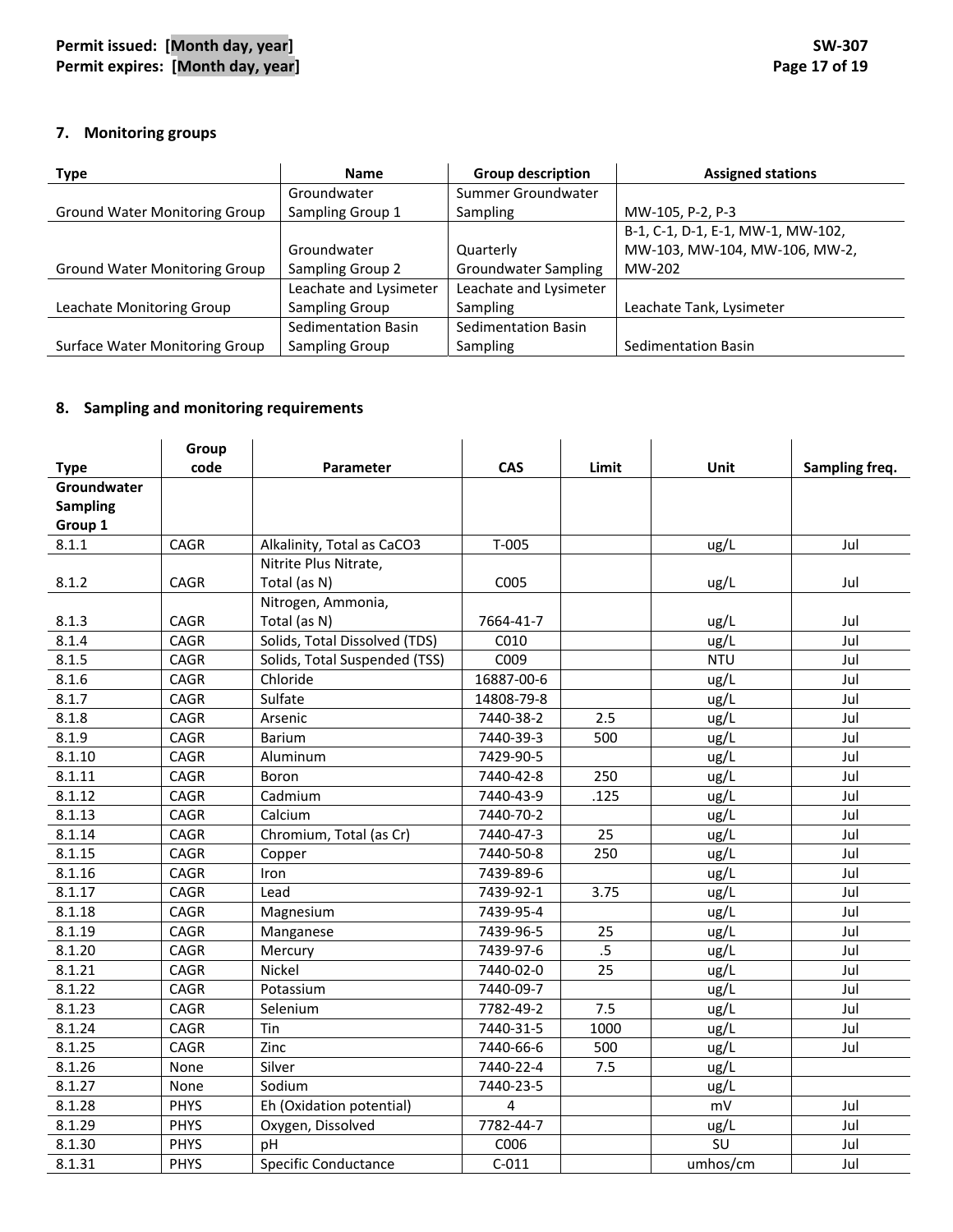## **7. Monitoring groups**

| <b>Type</b>                          | <b>Name</b>            | <b>Group description</b> | <b>Assigned stations</b>          |
|--------------------------------------|------------------------|--------------------------|-----------------------------------|
|                                      | Groundwater            | Summer Groundwater       |                                   |
| <b>Ground Water Monitoring Group</b> | Sampling Group 1       | <b>Sampling</b>          | MW-105, P-2, P-3                  |
|                                      |                        |                          | B-1, C-1, D-1, E-1, MW-1, MW-102, |
|                                      | Groundwater            | Quarterly                | MW-103, MW-104, MW-106, MW-2,     |
| <b>Ground Water Monitoring Group</b> | Sampling Group 2       | Groundwater Sampling     | MW-202                            |
|                                      | Leachate and Lysimeter | Leachate and Lysimeter   |                                   |
| Leachate Monitoring Group            | Sampling Group         | Sampling                 | Leachate Tank, Lysimeter          |
|                                      | Sedimentation Basin    | Sedimentation Basin      |                                   |
| Surface Water Monitoring Group       | Sampling Group         | Sampling                 | Sedimentation Basin               |

## **8. Sampling and monitoring requirements**

|                 | Group       |                               |            |       |            |                |
|-----------------|-------------|-------------------------------|------------|-------|------------|----------------|
| <b>Type</b>     | code        | Parameter                     | <b>CAS</b> | Limit | Unit       | Sampling freq. |
| Groundwater     |             |                               |            |       |            |                |
| <b>Sampling</b> |             |                               |            |       |            |                |
| Group 1         |             |                               |            |       |            |                |
| 8.1.1           | CAGR        | Alkalinity, Total as CaCO3    | $T-005$    |       | ug/L       | Jul            |
|                 |             | Nitrite Plus Nitrate,         |            |       |            |                |
| 8.1.2           | <b>CAGR</b> | Total (as N)                  | C005       |       | ug/L       | Jul            |
|                 |             | Nitrogen, Ammonia,            |            |       |            |                |
| 8.1.3           | <b>CAGR</b> | Total (as N)                  | 7664-41-7  |       | ug/L       | Jul            |
| 8.1.4           | <b>CAGR</b> | Solids, Total Dissolved (TDS) | C010       |       | ug/L       | Jul            |
| 8.1.5           | CAGR        | Solids, Total Suspended (TSS) | C009       |       | <b>NTU</b> | Jul            |
| 8.1.6           | CAGR        | Chloride                      | 16887-00-6 |       | ug/L       | Jul            |
| 8.1.7           | CAGR        | Sulfate                       | 14808-79-8 |       | ug/L       | Jul            |
| 8.1.8           | CAGR        | Arsenic                       | 7440-38-2  | 2.5   | ug/L       | Jul            |
| 8.1.9           | CAGR        | <b>Barium</b>                 | 7440-39-3  | 500   | ug/L       | Jul            |
| 8.1.10          | <b>CAGR</b> | Aluminum                      | 7429-90-5  |       | ug/L       | Jul            |
| 8.1.11          | <b>CAGR</b> | Boron                         | 7440-42-8  | 250   | ug/L       | Jul            |
| 8.1.12          | CAGR        | Cadmium                       | 7440-43-9  | .125  | ug/L       | Jul            |
| 8.1.13          | CAGR        | Calcium                       | 7440-70-2  |       | ug/L       | Jul            |
| 8.1.14          | CAGR        | Chromium, Total (as Cr)       | 7440-47-3  | 25    | ug/L       | Jul            |
| 8.1.15          | CAGR        | Copper                        | 7440-50-8  | 250   | ug/L       | Jul            |
| 8.1.16          | CAGR        | Iron                          | 7439-89-6  |       | ug/L       | Jul            |
| 8.1.17          | CAGR        | Lead                          | 7439-92-1  | 3.75  | ug/L       | Jul            |
| 8.1.18          | <b>CAGR</b> | Magnesium                     | 7439-95-4  |       | ug/L       | Jul            |
| 8.1.19          | CAGR        | Manganese                     | 7439-96-5  | 25    | ug/L       | Jul            |
| 8.1.20          | CAGR        | Mercury                       | 7439-97-6  | .5    | ug/L       | Jul            |
| 8.1.21          | CAGR        | Nickel                        | 7440-02-0  | 25    | ug/L       | Jul            |
| 8.1.22          | CAGR        | Potassium                     | 7440-09-7  |       | ug/L       | Jul            |
| 8.1.23          | CAGR        | Selenium                      | 7782-49-2  | 7.5   | ug/L       | Jul            |
| 8.1.24          | CAGR        | Tin                           | 7440-31-5  | 1000  | ug/L       | Jul            |
| 8.1.25          | CAGR        | Zinc                          | 7440-66-6  | 500   | ug/L       | Jul            |
| 8.1.26          | None        | Silver                        | 7440-22-4  | 7.5   | ug/L       |                |
| 8.1.27          | None        | Sodium                        | 7440-23-5  |       | ug/L       |                |
| 8.1.28          | <b>PHYS</b> | Eh (Oxidation potential)      | 4          |       | mV         | Jul            |
| 8.1.29          | PHYS        | Oxygen, Dissolved             | 7782-44-7  |       | ug/L       | Jul            |
| 8.1.30          | <b>PHYS</b> | pH                            | C006       |       | SU         | Jul            |
| 8.1.31          | <b>PHYS</b> | <b>Specific Conductance</b>   | $C-011$    |       | umhos/cm   | Jul            |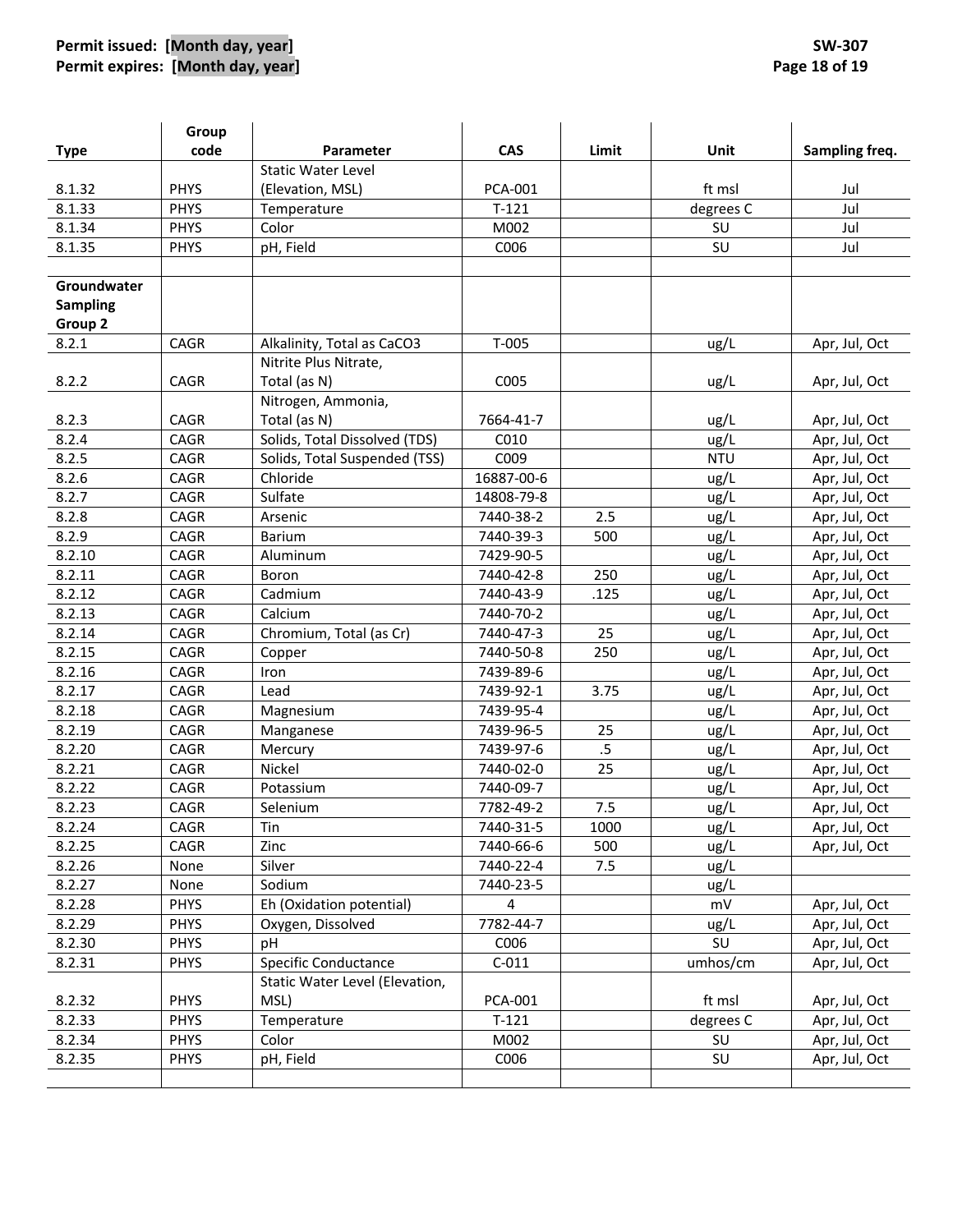# **Permit issued: [Month day, year] SW‐307 Permit expires: [Month day, year] Page 18 of 19**

|                 | Group       |                                |                |        |            |                |
|-----------------|-------------|--------------------------------|----------------|--------|------------|----------------|
| <b>Type</b>     | code        | <b>Parameter</b>               | CAS            | Limit  | Unit       | Sampling freq. |
|                 |             | <b>Static Water Level</b>      |                |        |            |                |
| 8.1.32          | <b>PHYS</b> | (Elevation, MSL)               | PCA-001        |        | ft msl     | Jul            |
| 8.1.33          | <b>PHYS</b> | Temperature                    | $T-121$        |        | degrees C  | Jul            |
| 8.1.34          | <b>PHYS</b> | Color                          | M002           |        | SU         | Jul            |
| 8.1.35          | <b>PHYS</b> | pH, Field                      | C006           |        | SU         | Jul            |
|                 |             |                                |                |        |            |                |
| Groundwater     |             |                                |                |        |            |                |
| <b>Sampling</b> |             |                                |                |        |            |                |
| Group 2         |             |                                |                |        |            |                |
| 8.2.1           | CAGR        | Alkalinity, Total as CaCO3     | $T-005$        |        | ug/L       | Apr, Jul, Oct  |
|                 |             | Nitrite Plus Nitrate,          |                |        |            |                |
| 8.2.2           | CAGR        | Total (as N)                   | C005           |        | ug/L       | Apr, Jul, Oct  |
|                 |             | Nitrogen, Ammonia,             |                |        |            |                |
| 8.2.3           | CAGR        | Total (as N)                   | 7664-41-7      |        | ug/L       | Apr, Jul, Oct  |
| 8.2.4           | CAGR        | Solids, Total Dissolved (TDS)  | C010           |        | ug/L       | Apr, Jul, Oct  |
| 8.2.5           | CAGR        | Solids, Total Suspended (TSS)  | C009           |        | <b>NTU</b> | Apr, Jul, Oct  |
| 8.2.6           | CAGR        | Chloride                       | 16887-00-6     |        | ug/L       | Apr, Jul, Oct  |
| 8.2.7           | CAGR        | Sulfate                        | 14808-79-8     |        | ug/L       | Apr, Jul, Oct  |
| 8.2.8           | CAGR        | Arsenic                        | 7440-38-2      | 2.5    | ug/L       | Apr, Jul, Oct  |
| 8.2.9           | CAGR        | Barium                         | 7440-39-3      | 500    | ug/L       | Apr, Jul, Oct  |
| 8.2.10          | CAGR        | Aluminum                       | 7429-90-5      |        | ug/L       | Apr, Jul, Oct  |
| 8.2.11          | CAGR        | Boron                          | 7440-42-8      | 250    | ug/L       | Apr, Jul, Oct  |
| 8.2.12          | CAGR        | Cadmium                        | 7440-43-9      | .125   | ug/L       | Apr, Jul, Oct  |
| 8.2.13          | CAGR        | Calcium                        | 7440-70-2      |        | ug/L       | Apr, Jul, Oct  |
| 8.2.14          | CAGR        | Chromium, Total (as Cr)        | 7440-47-3      | 25     | ug/L       | Apr, Jul, Oct  |
| 8.2.15          | CAGR        | Copper                         | 7440-50-8      | 250    | ug/L       | Apr, Jul, Oct  |
| 8.2.16          | CAGR        | Iron                           | 7439-89-6      |        | ug/L       | Apr, Jul, Oct  |
| 8.2.17          | CAGR        | Lead                           | 7439-92-1      | 3.75   | ug/L       | Apr, Jul, Oct  |
| 8.2.18          | CAGR        | Magnesium                      | 7439-95-4      |        | ug/L       | Apr, Jul, Oct  |
| 8.2.19          | <b>CAGR</b> | Manganese                      | 7439-96-5      | 25     | ug/L       | Apr, Jul, Oct  |
| 8.2.20          | CAGR        | Mercury                        | 7439-97-6      | $.5\,$ | ug/L       | Apr, Jul, Oct  |
| 8.2.21          | CAGR        | <b>Nickel</b>                  | 7440-02-0      | 25     | ug/L       | Apr, Jul, Oct  |
| 8.2.22          | CAGR        | Potassium                      | 7440-09-7      |        | ug/L       | Apr, Jul, Oct  |
| 8.2.23          | CAGR        | Selenium                       | 7782-49-2      | 7.5    | ug/L       | Apr, Jul, Oct  |
| 8.2.24          | CAGR        | Tin                            | 7440-31-5      | 1000   | ug/L       | Apr, Jul, Oct  |
| 8.2.25          | CAGR        | Zinc                           | 7440-66-6      | 500    | ug/L       | Apr, Jul, Oct  |
| 8.2.26          | None        | Silver                         | 7440-22-4      | 7.5    | ug/L       |                |
| 8.2.27          | None        | Sodium                         | 7440-23-5      |        | ug/L       |                |
| 8.2.28          | <b>PHYS</b> | Eh (Oxidation potential)       | 4              |        | mV         | Apr, Jul, Oct  |
| 8.2.29          | <b>PHYS</b> | Oxygen, Dissolved              | 7782-44-7      |        | ug/L       | Apr, Jul, Oct  |
| 8.2.30          | <b>PHYS</b> | pH                             | C006           |        | SU         | Apr, Jul, Oct  |
| 8.2.31          | <b>PHYS</b> | <b>Specific Conductance</b>    | $C-011$        |        | umhos/cm   | Apr, Jul, Oct  |
|                 |             | Static Water Level (Elevation, |                |        |            |                |
| 8.2.32          | <b>PHYS</b> | MSL)                           | <b>PCA-001</b> |        | ft msl     | Apr, Jul, Oct  |
| 8.2.33          | <b>PHYS</b> | Temperature                    | $T-121$        |        | degrees C  | Apr, Jul, Oct  |
| 8.2.34          | <b>PHYS</b> | Color                          | M002           |        | SU         | Apr, Jul, Oct  |
| 8.2.35          | <b>PHYS</b> | pH, Field                      | C006           |        | SU         | Apr, Jul, Oct  |
|                 |             |                                |                |        |            |                |